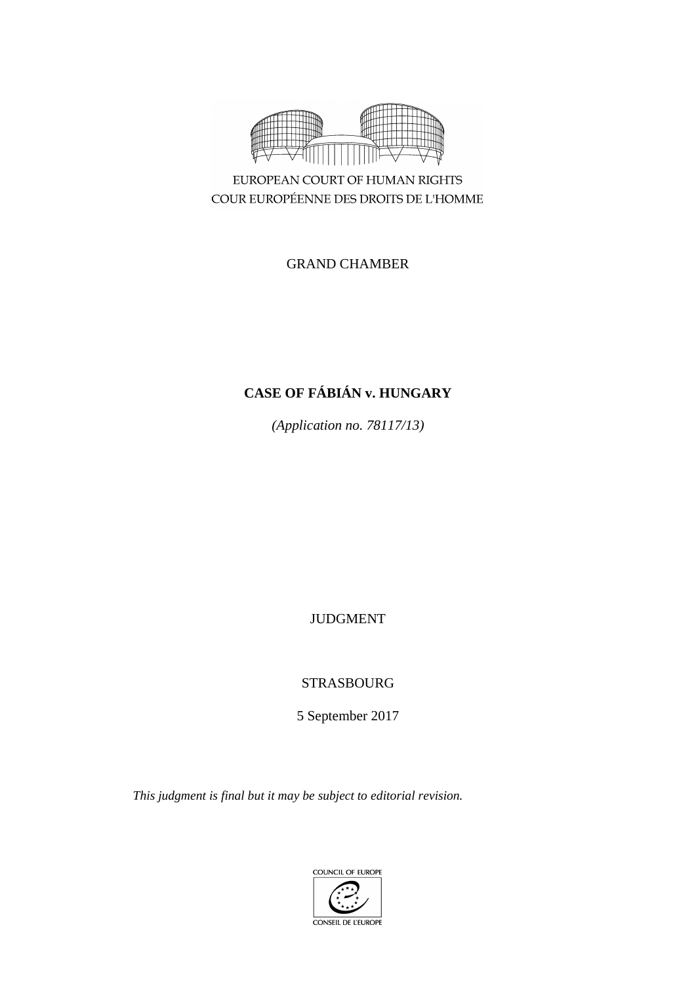

EUROPEAN COURT OF HUMAN RIGHTS COUR EUROPÉENNE DES DROITS DE L'HOMME

# GRAND CHAMBER

# **CASE OF FÁBIÁN v. HUNGARY**

*(Application no. 78117/13)*

JUDGMENT

STRASBOURG

5 September 2017

*This judgment is final but it may be subject to editorial revision.*

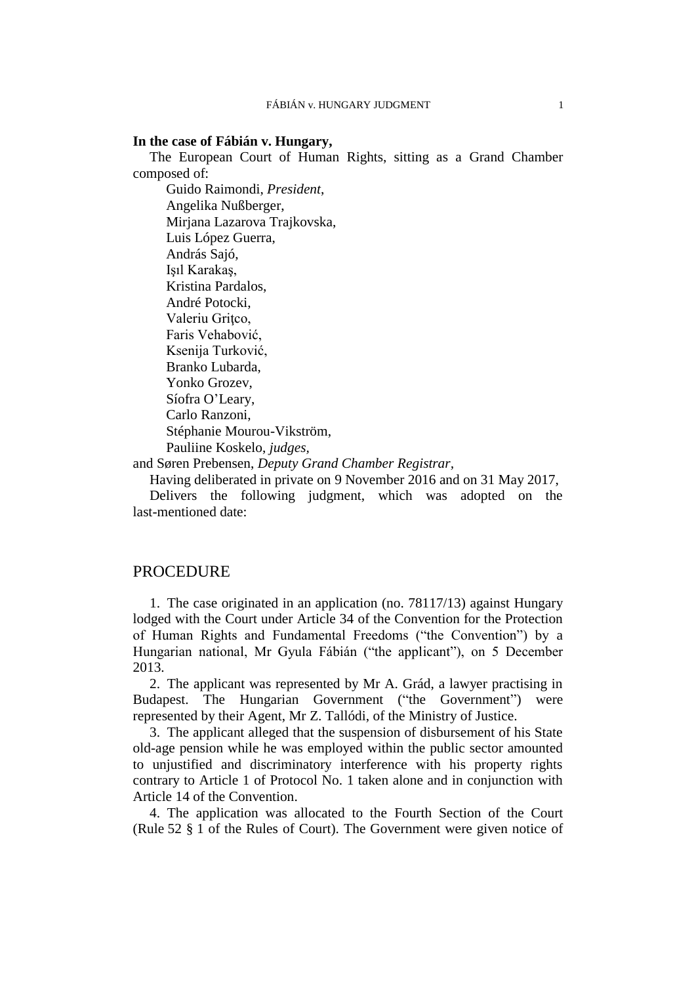#### **In the case of Fábián v. Hungary,**

The European Court of Human Rights, sitting as a Grand Chamber composed of:

Guido Raimondi, *President*, Angelika Nußberger, Mirjana Lazarova Trajkovska, Luis López Guerra, András Sajó, Işıl Karakaş, Kristina Pardalos, André Potocki, Valeriu Gritco, Faris Vehabović, Ksenija Turković, Branko Lubarda, Yonko Grozev, Síofra O'Leary, Carlo Ranzoni, Stéphanie Mourou-Vikström, Pauliine Koskelo, *judges,*

and Søren Prebensen, *Deputy Grand Chamber Registrar,*

Having deliberated in private on 9 November 2016 and on 31 May 2017,

Delivers the following judgment, which was adopted on the last-mentioned date:

## **PROCEDURE**

1. The case originated in an application (no. 78117/13) against Hungary lodged with the Court under Article 34 of the Convention for the Protection of Human Rights and Fundamental Freedoms ("the Convention") by a Hungarian national, Mr Gyula Fábián ("the applicant"), on 5 December 2013.

2. The applicant was represented by Mr A. Grád, a lawyer practising in Budapest. The Hungarian Government ("the Government") were represented by their Agent, Mr Z. Tallódi, of the Ministry of Justice.

3. The applicant alleged that the suspension of disbursement of his State old-age pension while he was employed within the public sector amounted to unjustified and discriminatory interference with his property rights contrary to Article 1 of Protocol No. 1 taken alone and in conjunction with Article 14 of the Convention.

<span id="page-2-0"></span>4. The application was allocated to the Fourth Section of the Court (Rule 52 § 1 of the Rules of Court). The Government were given notice of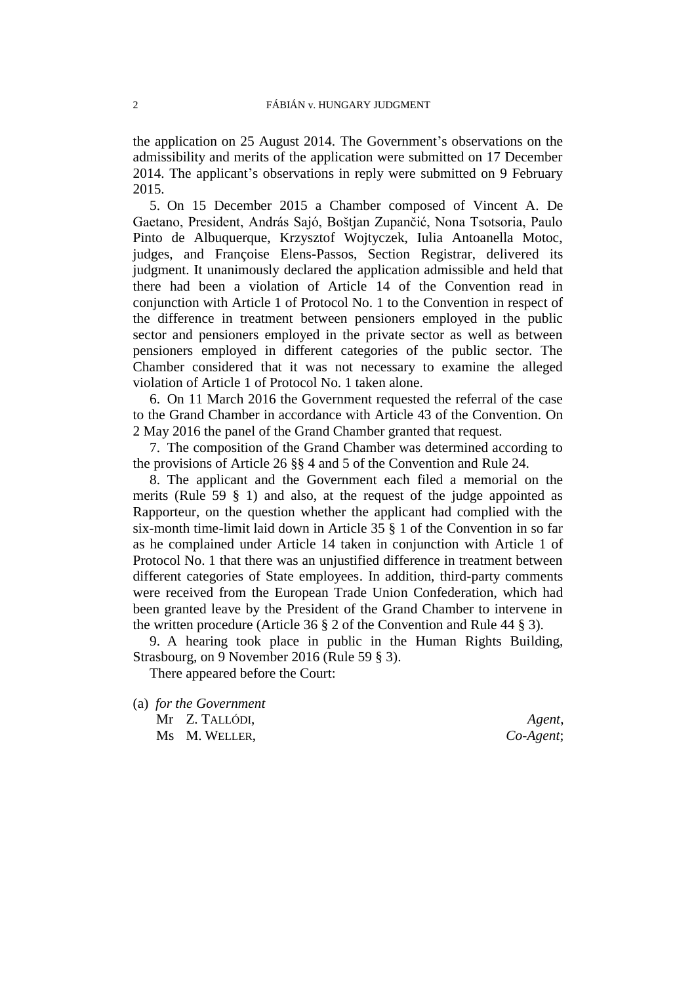the application on 25 August 2014. The Government's observations on the admissibility and merits of the application were submitted on 17 December 2014. The applicant's observations in reply were submitted on 9 February 2015.

5. On 15 December 2015 a Chamber composed of Vincent A. De Gaetano, President, András Sajó, Boštjan Zupančić, Nona Tsotsoria, Paulo Pinto de Albuquerque, Krzysztof Wojtyczek, Iulia Antoanella Motoc, judges, and Françoise Elens-Passos, Section Registrar, delivered its judgment. It unanimously declared the application admissible and held that there had been a violation of Article 14 of the Convention read in conjunction with Article 1 of Protocol No. 1 to the Convention in respect of the difference in treatment between pensioners employed in the public sector and pensioners employed in the private sector as well as between pensioners employed in different categories of the public sector. The Chamber considered that it was not necessary to examine the alleged violation of Article 1 of Protocol No. 1 taken alone.

6. On 11 March 2016 the Government requested the referral of the case to the Grand Chamber in accordance with Article 43 of the Convention. On 2 May 2016 the panel of the Grand Chamber granted that request.

7. The composition of the Grand Chamber was determined according to the provisions of Article 26 §§ 4 and 5 of the Convention and Rule 24.

<span id="page-3-0"></span>8. The applicant and the Government each filed a memorial on the merits (Rule 59 § 1) and also, at the request of the judge appointed as Rapporteur, on the question whether the applicant had complied with the six-month time-limit laid down in Article 35 § 1 of the Convention in so far as he complained under Article 14 taken in conjunction with Article 1 of Protocol No. 1 that there was an unjustified difference in treatment between different categories of State employees. In addition, third-party comments were received from the European Trade Union Confederation, which had been granted leave by the President of the Grand Chamber to intervene in the written procedure (Article 36 § 2 of the Convention and Rule 44 § 3).

9. A hearing took place in public in the Human Rights Building, Strasbourg, on 9 November 2016 (Rule 59 § 3).

There appeared before the Court:

(a) *for the Government* Mr Z. TALLÓDI, *Agent*, Ms M. WELLER, *Co-Agent*;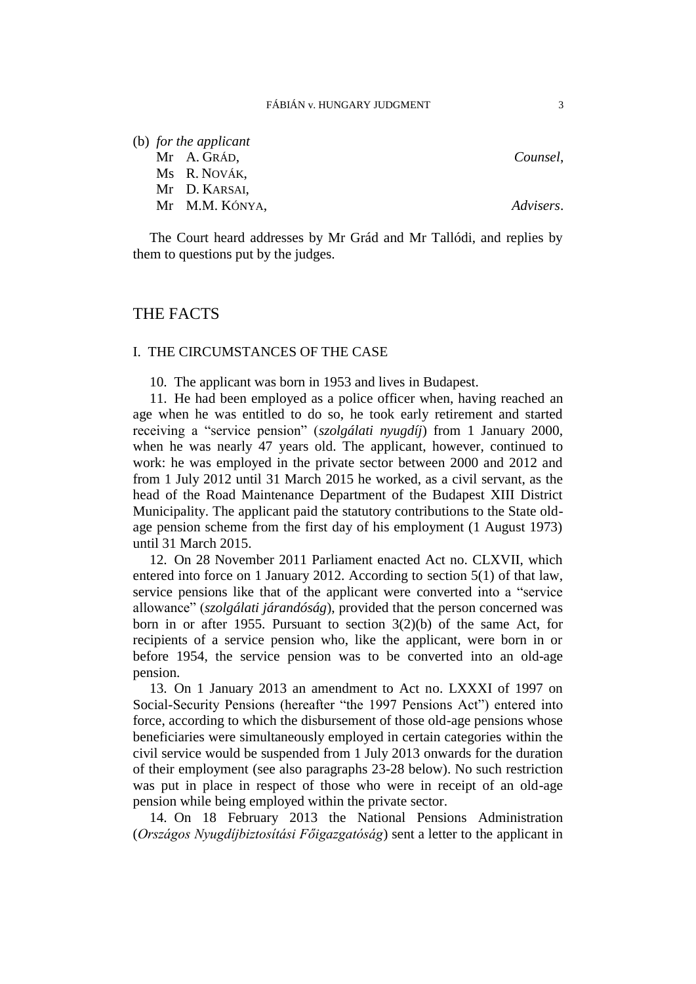(b) *for the applicant*

Mr A. GRÁD, *Counsel*,

Ms R. NOVÁK,

Mr D. KARSAI,

Mr M.M. KÓNYA, *Advisers*.

The Court heard addresses by Mr Grád and Mr Tallódi, and replies by them to questions put by the judges.

## THE FACTS

## I. THE CIRCUMSTANCES OF THE CASE

10. The applicant was born in 1953 and lives in Budapest.

<span id="page-4-1"></span>11. He had been employed as a police officer when, having reached an age when he was entitled to do so, he took early retirement and started receiving a "service pension" (*szolgálati nyugdíj*) from 1 January 2000, when he was nearly 47 years old. The applicant, however, continued to work: he was employed in the private sector between 2000 and 2012 and from 1 July 2012 until 31 March 2015 he worked, as a civil servant, as the head of the Road Maintenance Department of the Budapest XIII District Municipality. The applicant paid the statutory contributions to the State oldage pension scheme from the first day of his employment (1 August 1973) until 31 March 2015.

<span id="page-4-0"></span>12. On 28 November 2011 Parliament enacted Act no. CLXVII, which entered into force on 1 January 2012. According to section 5(1) of that law, service pensions like that of the applicant were converted into a "service allowance" (*szolgálati járandóság*), provided that the person concerned was born in or after 1955. Pursuant to section  $3(2)(b)$  of the same Act, for recipients of a service pension who, like the applicant, were born in or before 1954, the service pension was to be converted into an old-age pension.

13. On 1 January 2013 an amendment to Act no. LXXXI of 1997 on Social-Security Pensions (hereafter "the 1997 Pensions Act") entered into force, according to which the disbursement of those old-age pensions whose beneficiaries were simultaneously employed in certain categories within the civil service would be suspended from 1 July 2013 onwards for the duration of their employment (see also paragraphs [23](#page-6-0)[-28](#page-8-0) below). No such restriction was put in place in respect of those who were in receipt of an old-age pension while being employed within the private sector.

<span id="page-4-2"></span>14. On 18 February 2013 the National Pensions Administration (*Országos Nyugdíjbiztosítási Főigazgatóság*) sent a letter to the applicant in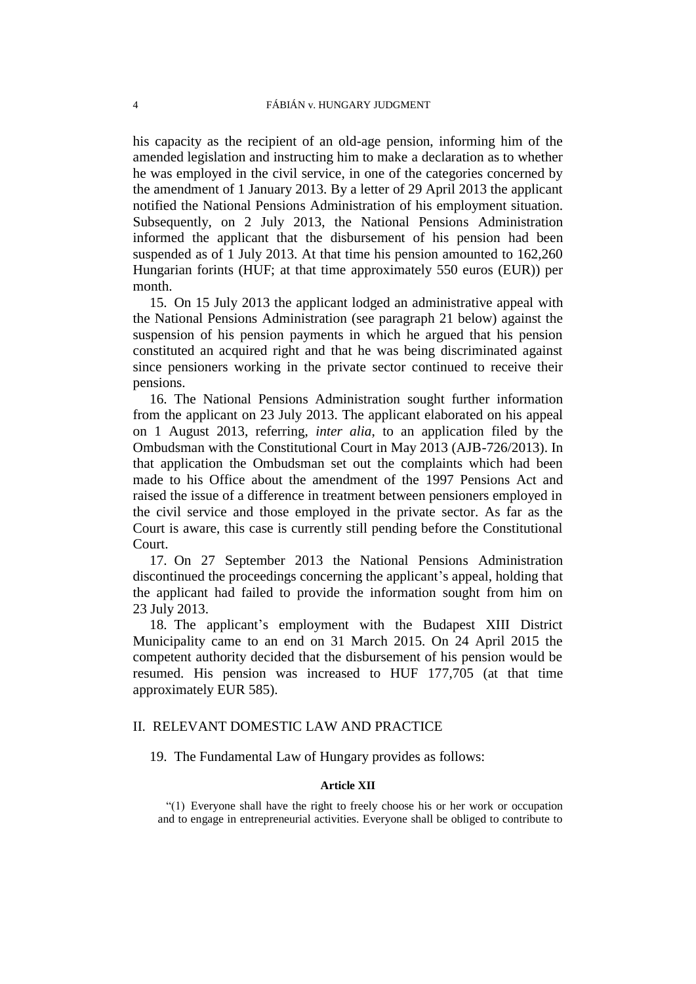his capacity as the recipient of an old-age pension, informing him of the amended legislation and instructing him to make a declaration as to whether he was employed in the civil service, in one of the categories concerned by the amendment of 1 January 2013. By a letter of 29 April 2013 the applicant notified the National Pensions Administration of his employment situation. Subsequently, on 2 July 2013, the National Pensions Administration informed the applicant that the disbursement of his pension had been suspended as of 1 July 2013. At that time his pension amounted to 162,260 Hungarian forints (HUF; at that time approximately 550 euros (EUR)) per month.

15. On 15 July 2013 the applicant lodged an administrative appeal with the National Pensions Administration (see paragraph [21](#page-6-1) below) against the suspension of his pension payments in which he argued that his pension constituted an acquired right and that he was being discriminated against since pensioners working in the private sector continued to receive their pensions.

16. The National Pensions Administration sought further information from the applicant on 23 July 2013. The applicant elaborated on his appeal on 1 August 2013, referring, *inter alia*, to an application filed by the Ombudsman with the Constitutional Court in May 2013 (AJB-726/2013). In that application the Ombudsman set out the complaints which had been made to his Office about the amendment of the 1997 Pensions Act and raised the issue of a difference in treatment between pensioners employed in the civil service and those employed in the private sector. As far as the Court is aware, this case is currently still pending before the Constitutional Court.

<span id="page-5-1"></span>17. On 27 September 2013 the National Pensions Administration discontinued the proceedings concerning the applicant's appeal, holding that the applicant had failed to provide the information sought from him on 23 July 2013.

<span id="page-5-0"></span>18. The applicant's employment with the Budapest XIII District Municipality came to an end on 31 March 2015. On 24 April 2015 the competent authority decided that the disbursement of his pension would be resumed. His pension was increased to HUF 177,705 (at that time approximately EUR 585).

## II. RELEVANT DOMESTIC LAW AND PRACTICE

19. The Fundamental Law of Hungary provides as follows:

### **Article XII**

"(1) Everyone shall have the right to freely choose his or her work or occupation and to engage in entrepreneurial activities. Everyone shall be obliged to contribute to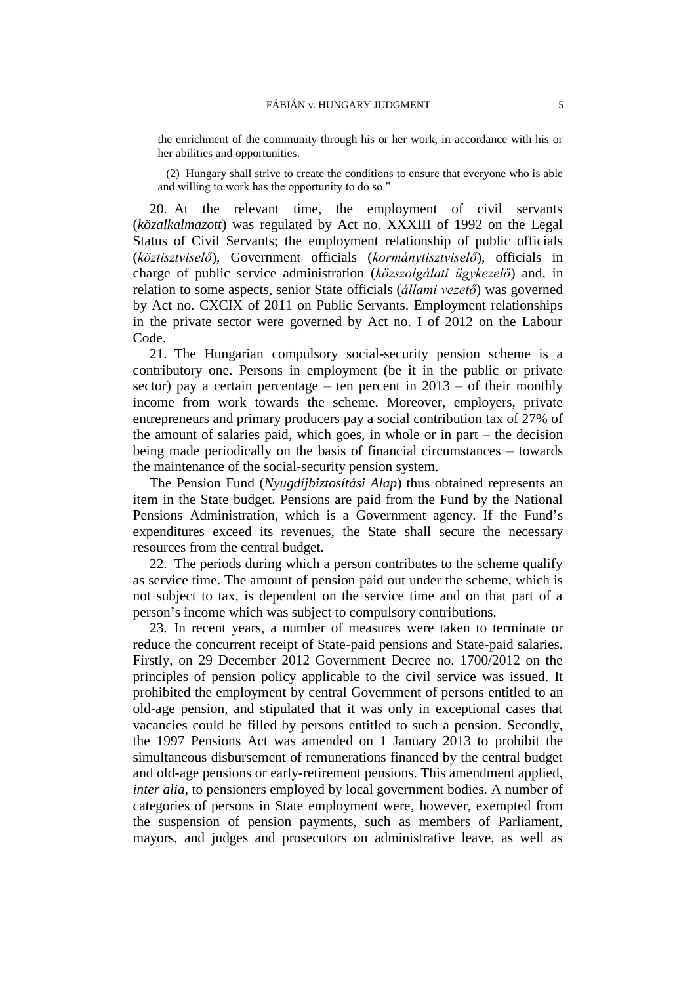the enrichment of the community through his or her work, in accordance with his or her abilities and opportunities.

(2) Hungary shall strive to create the conditions to ensure that everyone who is able and willing to work has the opportunity to do so."

<span id="page-6-3"></span>20. At the relevant time, the employment of civil servants (*közalkalmazott*) was regulated by Act no. XXXIII of 1992 on the Legal Status of Civil Servants; the employment relationship of public officials (*köztisztviselő*), Government officials (*kormánytisztviselő*), officials in charge of public service administration (*közszolgálati ügykezelő*) and, in relation to some aspects, senior State officials (*állami vezető*) was governed by Act no. CXCIX of 2011 on Public Servants. Employment relationships in the private sector were governed by Act no. I of 2012 on the Labour Code.

<span id="page-6-1"></span>21. The Hungarian compulsory social-security pension scheme is a contributory one. Persons in employment (be it in the public or private sector) pay a certain percentage – ten percent in  $2013$  – of their monthly income from work towards the scheme. Moreover, employers, private entrepreneurs and primary producers pay a social contribution tax of 27% of the amount of salaries paid, which goes, in whole or in part – the decision being made periodically on the basis of financial circumstances – towards the maintenance of the social-security pension system.

The Pension Fund (*Nyugdíjbiztosítási Alap*) thus obtained represents an item in the State budget. Pensions are paid from the Fund by the National Pensions Administration, which is a Government agency. If the Fund's expenditures exceed its revenues, the State shall secure the necessary resources from the central budget.

<span id="page-6-2"></span>22. The periods during which a person contributes to the scheme qualify as service time. The amount of pension paid out under the scheme, which is not subject to tax, is dependent on the service time and on that part of a person's income which was subject to compulsory contributions.

<span id="page-6-0"></span>23. In recent years, a number of measures were taken to terminate or reduce the concurrent receipt of State-paid pensions and State-paid salaries. Firstly, on 29 December 2012 Government Decree no. 1700/2012 on the principles of pension policy applicable to the civil service was issued. It prohibited the employment by central Government of persons entitled to an old-age pension, and stipulated that it was only in exceptional cases that vacancies could be filled by persons entitled to such a pension. Secondly, the 1997 Pensions Act was amended on 1 January 2013 to prohibit the simultaneous disbursement of remunerations financed by the central budget and old-age pensions or early-retirement pensions. This amendment applied, *inter alia*, to pensioners employed by local government bodies. A number of categories of persons in State employment were, however, exempted from the suspension of pension payments, such as members of Parliament, mayors, and judges and prosecutors on administrative leave, as well as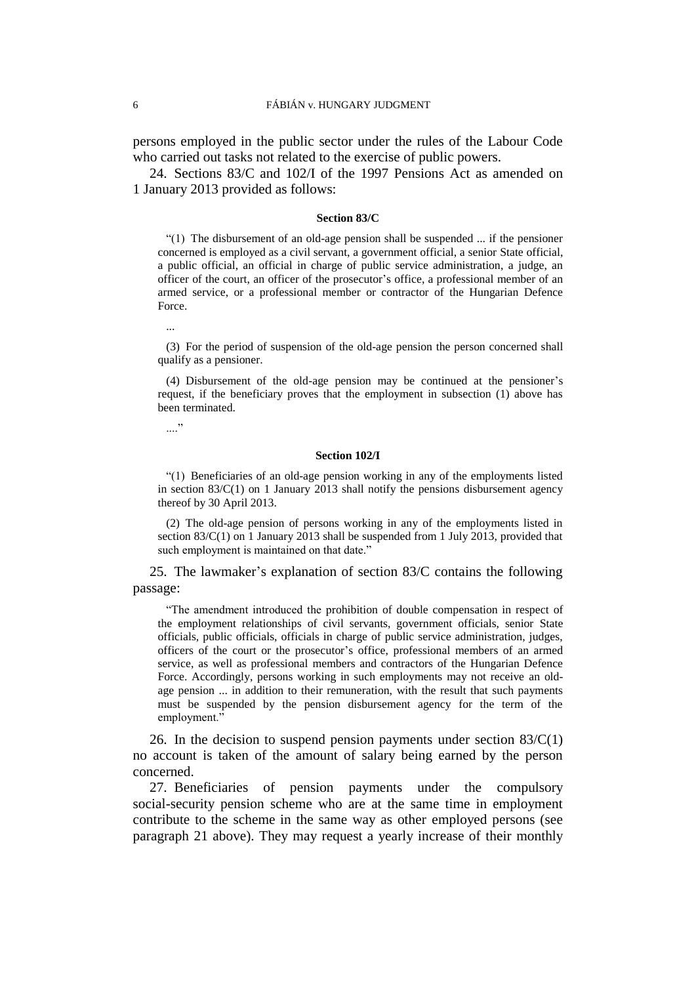persons employed in the public sector under the rules of the Labour Code who carried out tasks not related to the exercise of public powers.

<span id="page-7-0"></span>24. Sections 83/C and 102/I of the 1997 Pensions Act as amended on 1 January 2013 provided as follows:

#### **Section 83/C**

 $(1)$  The disbursement of an old-age pension shall be suspended ... if the pensioner concerned is employed as a civil servant, a government official, a senior State official, a public official, an official in charge of public service administration, a judge, an officer of the court, an officer of the prosecutor's office, a professional member of an armed service, or a professional member or contractor of the Hungarian Defence Force.

...

(3) For the period of suspension of the old-age pension the person concerned shall qualify as a pensioner.

(4) Disbursement of the old-age pension may be continued at the pensioner's request, if the beneficiary proves that the employment in subsection (1) above has been terminated.

....<sup>"</sup>

#### **Section 102/I**

"(1) Beneficiaries of an old-age pension working in any of the employments listed in section 83/C(1) on 1 January 2013 shall notify the pensions disbursement agency thereof by 30 April 2013.

(2) The old-age pension of persons working in any of the employments listed in section 83/C(1) on 1 January 2013 shall be suspended from 1 July 2013, provided that such employment is maintained on that date."

25. The lawmaker's explanation of section 83/C contains the following passage:

"The amendment introduced the prohibition of double compensation in respect of the employment relationships of civil servants, government officials, senior State officials, public officials, officials in charge of public service administration, judges, officers of the court or the prosecutor's office, professional members of an armed service, as well as professional members and contractors of the Hungarian Defence Force. Accordingly, persons working in such employments may not receive an oldage pension ... in addition to their remuneration, with the result that such payments must be suspended by the pension disbursement agency for the term of the employment."

26. In the decision to suspend pension payments under section  $83/C(1)$ no account is taken of the amount of salary being earned by the person concerned.

<span id="page-7-1"></span>27. Beneficiaries of pension payments under the compulsory social-security pension scheme who are at the same time in employment contribute to the scheme in the same way as other employed persons (see paragraph [21](#page-6-1) above). They may request a yearly increase of their monthly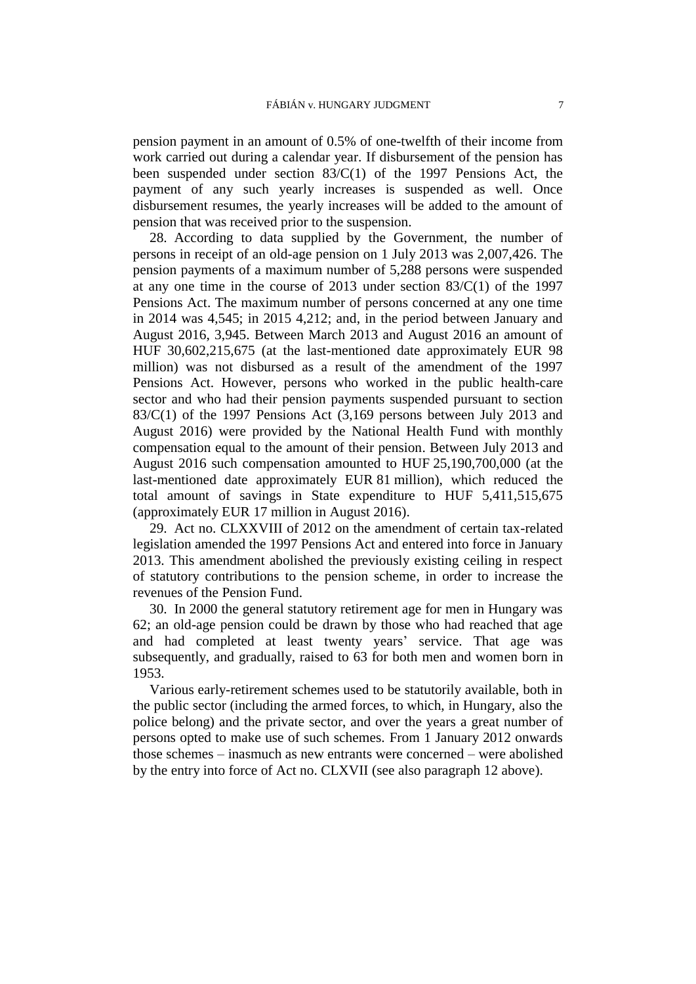pension payment in an amount of 0.5% of one-twelfth of their income from work carried out during a calendar year. If disbursement of the pension has been suspended under section 83/C(1) of the 1997 Pensions Act, the payment of any such yearly increases is suspended as well. Once disbursement resumes, the yearly increases will be added to the amount of pension that was received prior to the suspension.

<span id="page-8-0"></span>28. According to data supplied by the Government, the number of persons in receipt of an old-age pension on 1 July 2013 was 2,007,426. The pension payments of a maximum number of 5,288 persons were suspended at any one time in the course of 2013 under section 83/C(1) of the 1997 Pensions Act. The maximum number of persons concerned at any one time in 2014 was 4,545; in 2015 4,212; and, in the period between January and August 2016, 3,945. Between March 2013 and August 2016 an amount of HUF 30,602,215,675 (at the last-mentioned date approximately EUR 98 million) was not disbursed as a result of the amendment of the 1997 Pensions Act. However, persons who worked in the public health-care sector and who had their pension payments suspended pursuant to section 83/C(1) of the 1997 Pensions Act (3,169 persons between July 2013 and August 2016) were provided by the National Health Fund with monthly compensation equal to the amount of their pension. Between July 2013 and August 2016 such compensation amounted to HUF 25,190,700,000 (at the last-mentioned date approximately EUR 81 million), which reduced the total amount of savings in State expenditure to HUF 5,411,515,675 (approximately EUR 17 million in August 2016).

<span id="page-8-1"></span>29. Act no. CLXXVIII of 2012 on the amendment of certain tax-related legislation amended the 1997 Pensions Act and entered into force in January 2013. This amendment abolished the previously existing ceiling in respect of statutory contributions to the pension scheme, in order to increase the revenues of the Pension Fund.

<span id="page-8-2"></span>30. In 2000 the general statutory retirement age for men in Hungary was 62; an old-age pension could be drawn by those who had reached that age and had completed at least twenty years' service. That age was subsequently, and gradually, raised to 63 for both men and women born in 1953.

Various early-retirement schemes used to be statutorily available, both in the public sector (including the armed forces, to which, in Hungary, also the police belong) and the private sector, and over the years a great number of persons opted to make use of such schemes. From 1 January 2012 onwards those schemes – inasmuch as new entrants were concerned – were abolished by the entry into force of Act no. CLXVII (see also paragraph [12](#page-4-0) above).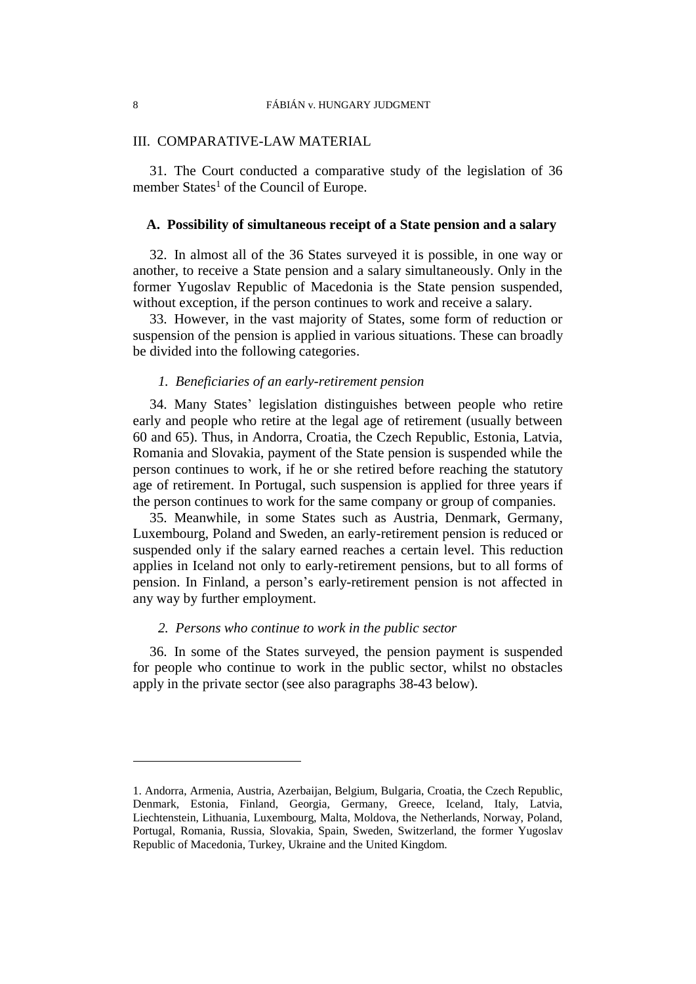### III. COMPARATIVE-LAW MATERIAL

31. The Court conducted a comparative study of the legislation of 36 member States<sup>1</sup> of the Council of Europe.

### **A. Possibility of simultaneous receipt of a State pension and a salary**

32. In almost all of the 36 States surveyed it is possible, in one way or another, to receive a State pension and a salary simultaneously. Only in the former Yugoslav Republic of Macedonia is the State pension suspended, without exception, if the person continues to work and receive a salary.

33. However, in the vast majority of States, some form of reduction or suspension of the pension is applied in various situations. These can broadly be divided into the following categories.

## *1. Beneficiaries of an early-retirement pension*

34. Many States' legislation distinguishes between people who retire early and people who retire at the legal age of retirement (usually between 60 and 65). Thus, in Andorra, Croatia, the Czech Republic, Estonia, Latvia, Romania and Slovakia, payment of the State pension is suspended while the person continues to work, if he or she retired before reaching the statutory age of retirement. In Portugal, such suspension is applied for three years if the person continues to work for the same company or group of companies.

35. Meanwhile, in some States such as Austria, Denmark, Germany, Luxembourg, Poland and Sweden, an early-retirement pension is reduced or suspended only if the salary earned reaches a certain level. This reduction applies in Iceland not only to early-retirement pensions, but to all forms of pension. In Finland, a person's early-retirement pension is not affected in any way by further employment.

#### *2. Persons who continue to work in the public sector*

<span id="page-9-0"></span>36. In some of the States surveyed, the pension payment is suspended for people who continue to work in the public sector, whilst no obstacles apply in the private sector (see also paragraphs [38](#page-10-0)[-43](#page-11-0) below).

<sup>1.</sup> Andorra, Armenia, Austria, Azerbaijan, Belgium, Bulgaria, Croatia, the Czech Republic, Denmark, Estonia, Finland, Georgia, Germany, Greece, Iceland, Italy, Latvia, Liechtenstein, Lithuania, Luxembourg, Malta, Moldova, the Netherlands, Norway, Poland, Portugal, Romania, Russia, Slovakia, Spain, Sweden, Switzerland, the former Yugoslav Republic of Macedonia, Turkey, Ukraine and the United Kingdom.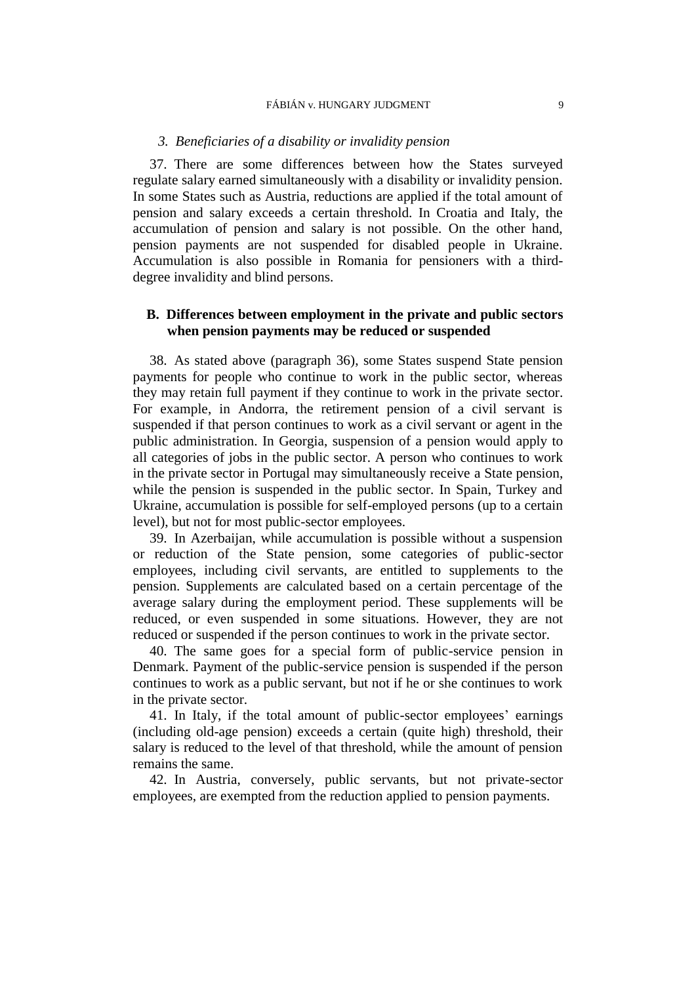#### FÁBIÁN v. HUNGARY JUDGMENT 9

### *3. Beneficiaries of a disability or invalidity pension*

37. There are some differences between how the States surveyed regulate salary earned simultaneously with a disability or invalidity pension. In some States such as Austria, reductions are applied if the total amount of pension and salary exceeds a certain threshold. In Croatia and Italy, the accumulation of pension and salary is not possible. On the other hand, pension payments are not suspended for disabled people in Ukraine. Accumulation is also possible in Romania for pensioners with a thirddegree invalidity and blind persons.

## **B. Differences between employment in the private and public sectors when pension payments may be reduced or suspended**

<span id="page-10-0"></span>38. As stated above (paragraph [36\)](#page-9-0), some States suspend State pension payments for people who continue to work in the public sector, whereas they may retain full payment if they continue to work in the private sector. For example, in Andorra, the retirement pension of a civil servant is suspended if that person continues to work as a civil servant or agent in the public administration. In Georgia, suspension of a pension would apply to all categories of jobs in the public sector. A person who continues to work in the private sector in Portugal may simultaneously receive a State pension, while the pension is suspended in the public sector. In Spain, Turkey and Ukraine, accumulation is possible for self-employed persons (up to a certain level), but not for most public-sector employees.

39. In Azerbaijan, while accumulation is possible without a suspension or reduction of the State pension, some categories of public-sector employees, including civil servants, are entitled to supplements to the pension. Supplements are calculated based on a certain percentage of the average salary during the employment period. These supplements will be reduced, or even suspended in some situations. However, they are not reduced or suspended if the person continues to work in the private sector.

40. The same goes for a special form of public-service pension in Denmark. Payment of the public-service pension is suspended if the person continues to work as a public servant, but not if he or she continues to work in the private sector.

41. In Italy, if the total amount of public-sector employees' earnings (including old-age pension) exceeds a certain (quite high) threshold, their salary is reduced to the level of that threshold, while the amount of pension remains the same.

42. In Austria, conversely, public servants, but not private-sector employees, are exempted from the reduction applied to pension payments.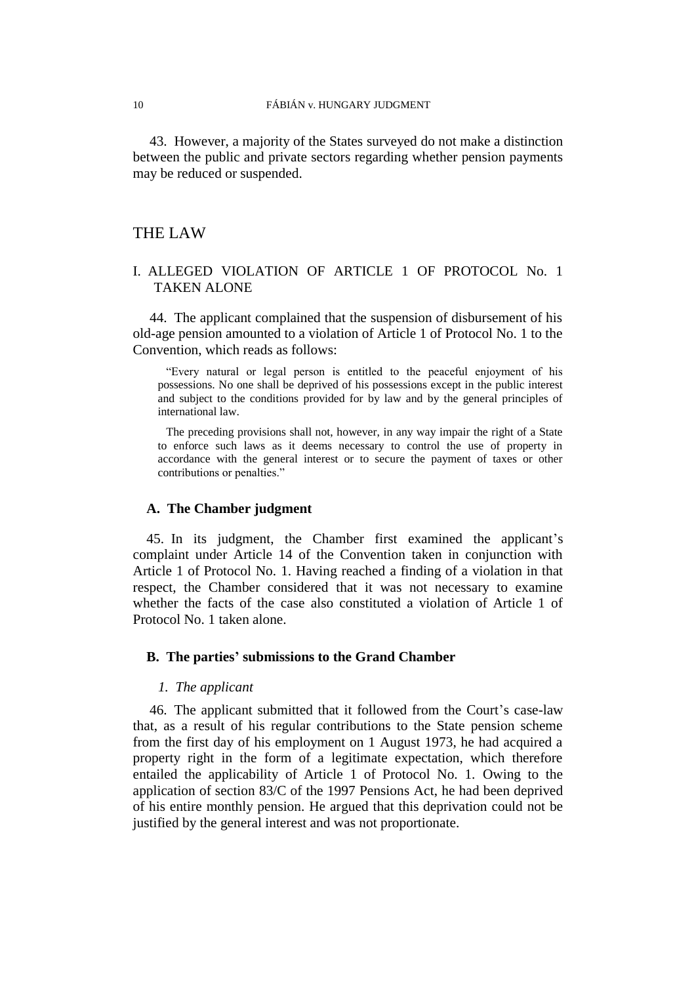<span id="page-11-0"></span>43. However, a majority of the States surveyed do not make a distinction between the public and private sectors regarding whether pension payments may be reduced or suspended.

## THE LAW

## I. ALLEGED VIOLATION OF ARTICLE 1 OF PROTOCOL No. 1 TAKEN ALONE

44. The applicant complained that the suspension of disbursement of his old-age pension amounted to a violation of Article 1 of Protocol No. 1 to the Convention, which reads as follows:

"Every natural or legal person is entitled to the peaceful enjoyment of his possessions. No one shall be deprived of his possessions except in the public interest and subject to the conditions provided for by law and by the general principles of international law.

The preceding provisions shall not, however, in any way impair the right of a State to enforce such laws as it deems necessary to control the use of property in accordance with the general interest or to secure the payment of taxes or other contributions or penalties."

## **A. The Chamber judgment**

45. In its judgment, the Chamber first examined the applicant's complaint under Article 14 of the Convention taken in conjunction with Article 1 of Protocol No. 1. Having reached a finding of a violation in that respect, the Chamber considered that it was not necessary to examine whether the facts of the case also constituted a violation of Article 1 of Protocol No. 1 taken alone.

## **B. The parties' submissions to the Grand Chamber**

## *1. The applicant*

46. The applicant submitted that it followed from the Court's case-law that, as a result of his regular contributions to the State pension scheme from the first day of his employment on 1 August 1973, he had acquired a property right in the form of a legitimate expectation, which therefore entailed the applicability of Article 1 of Protocol No. 1. Owing to the application of section 83/C of the 1997 Pensions Act, he had been deprived of his entire monthly pension. He argued that this deprivation could not be justified by the general interest and was not proportionate.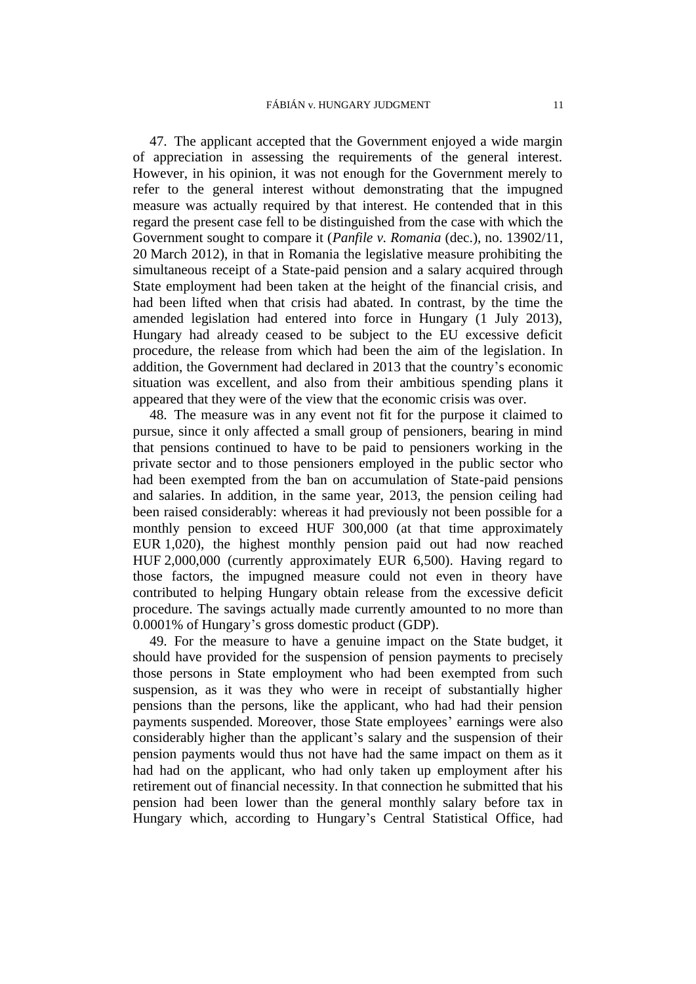47. The applicant accepted that the Government enjoyed a wide margin of appreciation in assessing the requirements of the general interest. However, in his opinion, it was not enough for the Government merely to refer to the general interest without demonstrating that the impugned measure was actually required by that interest. He contended that in this regard the present case fell to be distinguished from the case with which the Government sought to compare it (*Panfile v. Romania* (dec.), no. 13902/11, 20 March 2012), in that in Romania the legislative measure prohibiting the simultaneous receipt of a State-paid pension and a salary acquired through State employment had been taken at the height of the financial crisis, and had been lifted when that crisis had abated. In contrast, by the time the amended legislation had entered into force in Hungary (1 July 2013), Hungary had already ceased to be subject to the EU excessive deficit procedure, the release from which had been the aim of the legislation. In addition, the Government had declared in 2013 that the country's economic situation was excellent, and also from their ambitious spending plans it appeared that they were of the view that the economic crisis was over.

48. The measure was in any event not fit for the purpose it claimed to pursue, since it only affected a small group of pensioners, bearing in mind that pensions continued to have to be paid to pensioners working in the private sector and to those pensioners employed in the public sector who had been exempted from the ban on accumulation of State-paid pensions and salaries. In addition, in the same year, 2013, the pension ceiling had been raised considerably: whereas it had previously not been possible for a monthly pension to exceed HUF 300,000 (at that time approximately EUR 1,020), the highest monthly pension paid out had now reached HUF 2,000,000 (currently approximately EUR 6,500). Having regard to those factors, the impugned measure could not even in theory have contributed to helping Hungary obtain release from the excessive deficit procedure. The savings actually made currently amounted to no more than 0.0001% of Hungary's gross domestic product (GDP).

<span id="page-12-0"></span>49. For the measure to have a genuine impact on the State budget, it should have provided for the suspension of pension payments to precisely those persons in State employment who had been exempted from such suspension, as it was they who were in receipt of substantially higher pensions than the persons, like the applicant, who had had their pension payments suspended. Moreover, those State employees' earnings were also considerably higher than the applicant's salary and the suspension of their pension payments would thus not have had the same impact on them as it had had on the applicant, who had only taken up employment after his retirement out of financial necessity. In that connection he submitted that his pension had been lower than the general monthly salary before tax in Hungary which, according to Hungary's Central Statistical Office, had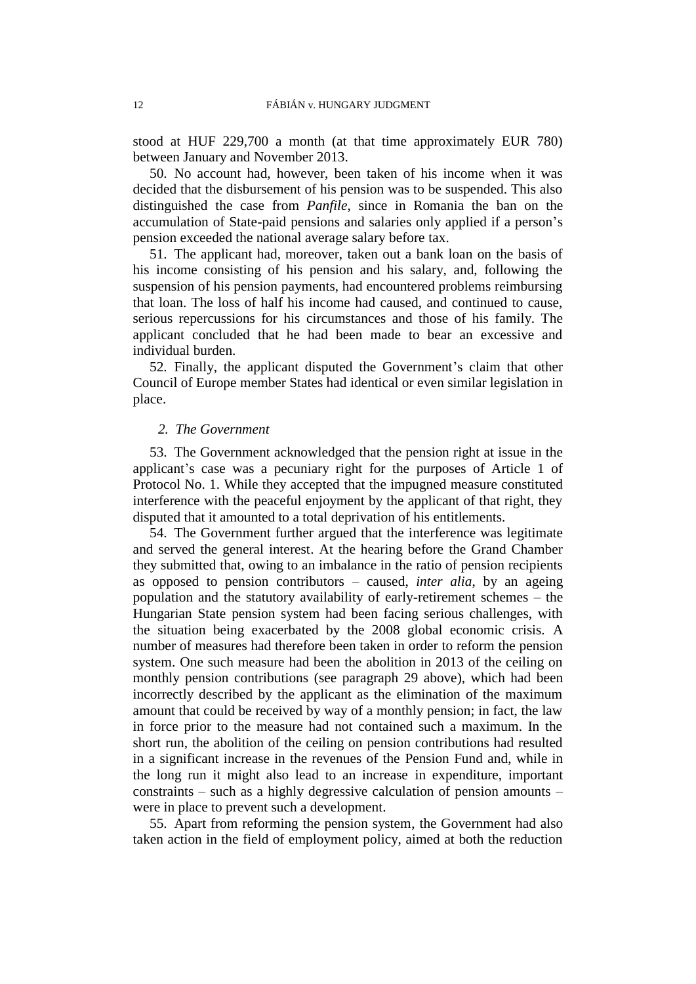stood at HUF 229,700 a month (at that time approximately EUR 780) between January and November 2013.

50. No account had, however, been taken of his income when it was decided that the disbursement of his pension was to be suspended. This also distinguished the case from *Panfile*, since in Romania the ban on the accumulation of State-paid pensions and salaries only applied if a person's pension exceeded the national average salary before tax.

51. The applicant had, moreover, taken out a bank loan on the basis of his income consisting of his pension and his salary, and, following the suspension of his pension payments, had encountered problems reimbursing that loan. The loss of half his income had caused, and continued to cause, serious repercussions for his circumstances and those of his family. The applicant concluded that he had been made to bear an excessive and individual burden.

52. Finally, the applicant disputed the Government's claim that other Council of Europe member States had identical or even similar legislation in place.

## *2. The Government*

53. The Government acknowledged that the pension right at issue in the applicant's case was a pecuniary right for the purposes of Article 1 of Protocol No. 1. While they accepted that the impugned measure constituted interference with the peaceful enjoyment by the applicant of that right, they disputed that it amounted to a total deprivation of his entitlements.

54. The Government further argued that the interference was legitimate and served the general interest. At the hearing before the Grand Chamber they submitted that, owing to an imbalance in the ratio of pension recipients as opposed to pension contributors – caused, *inter alia*, by an ageing population and the statutory availability of early-retirement schemes – the Hungarian State pension system had been facing serious challenges, with the situation being exacerbated by the 2008 global economic crisis. A number of measures had therefore been taken in order to reform the pension system. One such measure had been the abolition in 2013 of the ceiling on monthly pension contributions (see paragraph [29](#page-8-1) above), which had been incorrectly described by the applicant as the elimination of the maximum amount that could be received by way of a monthly pension; in fact, the law in force prior to the measure had not contained such a maximum. In the short run, the abolition of the ceiling on pension contributions had resulted in a significant increase in the revenues of the Pension Fund and, while in the long run it might also lead to an increase in expenditure, important constraints – such as a highly degressive calculation of pension amounts – were in place to prevent such a development.

<span id="page-13-0"></span>55. Apart from reforming the pension system, the Government had also taken action in the field of employment policy, aimed at both the reduction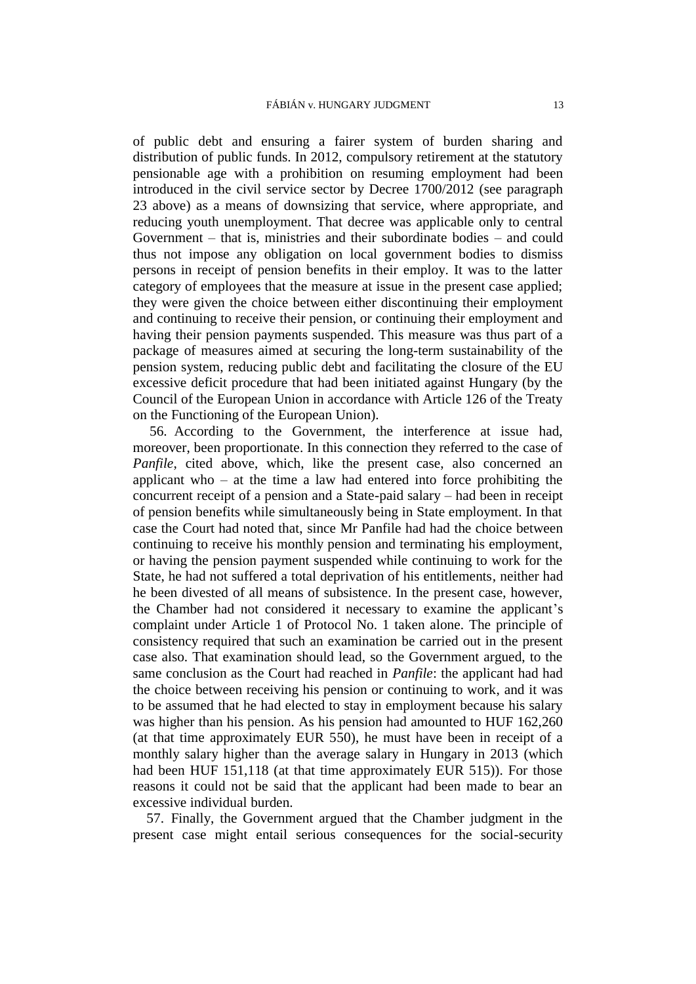of public debt and ensuring a fairer system of burden sharing and distribution of public funds. In 2012, compulsory retirement at the statutory pensionable age with a prohibition on resuming employment had been introduced in the civil service sector by Decree 1700/2012 (see paragraph [23](#page-6-0) above) as a means of downsizing that service, where appropriate, and reducing youth unemployment. That decree was applicable only to central Government – that is, ministries and their subordinate bodies – and could thus not impose any obligation on local government bodies to dismiss persons in receipt of pension benefits in their employ. It was to the latter category of employees that the measure at issue in the present case applied; they were given the choice between either discontinuing their employment and continuing to receive their pension, or continuing their employment and having their pension payments suspended. This measure was thus part of a package of measures aimed at securing the long-term sustainability of the pension system, reducing public debt and facilitating the closure of the EU excessive deficit procedure that had been initiated against Hungary (by the Council of the European Union in accordance with Article 126 of the Treaty on the Functioning of the European Union).

<span id="page-14-0"></span>56. According to the Government, the interference at issue had, moreover, been proportionate. In this connection they referred to the case of *Panfile*, cited above, which, like the present case, also concerned an applicant who – at the time a law had entered into force prohibiting the concurrent receipt of a pension and a State-paid salary – had been in receipt of pension benefits while simultaneously being in State employment. In that case the Court had noted that, since Mr Panfile had had the choice between continuing to receive his monthly pension and terminating his employment, or having the pension payment suspended while continuing to work for the State, he had not suffered a total deprivation of his entitlements, neither had he been divested of all means of subsistence. In the present case, however, the Chamber had not considered it necessary to examine the applicant's complaint under Article 1 of Protocol No. 1 taken alone. The principle of consistency required that such an examination be carried out in the present case also. That examination should lead, so the Government argued, to the same conclusion as the Court had reached in *Panfile*: the applicant had had the choice between receiving his pension or continuing to work, and it was to be assumed that he had elected to stay in employment because his salary was higher than his pension. As his pension had amounted to HUF 162,260 (at that time approximately EUR 550), he must have been in receipt of a monthly salary higher than the average salary in Hungary in 2013 (which had been HUF 151,118 (at that time approximately EUR 515)). For those reasons it could not be said that the applicant had been made to bear an excessive individual burden.

57. Finally, the Government argued that the Chamber judgment in the present case might entail serious consequences for the social-security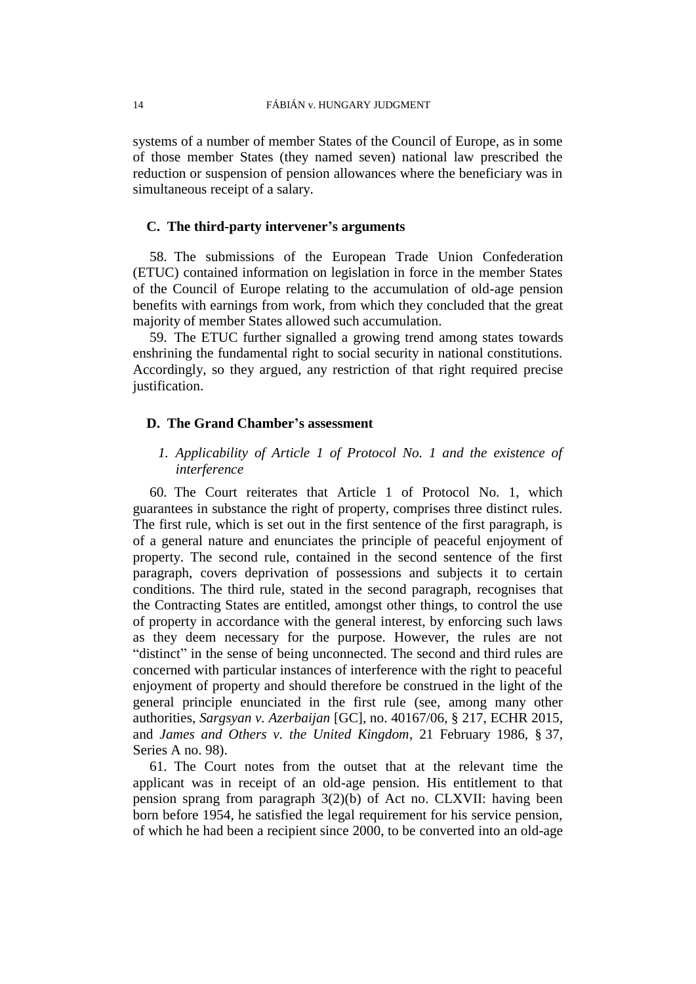systems of a number of member States of the Council of Europe, as in some of those member States (they named seven) national law prescribed the reduction or suspension of pension allowances where the beneficiary was in simultaneous receipt of a salary.

## **C. The third-party intervener's arguments**

58. The submissions of the European Trade Union Confederation (ETUC) contained information on legislation in force in the member States of the Council of Europe relating to the accumulation of old-age pension benefits with earnings from work, from which they concluded that the great majority of member States allowed such accumulation.

59. The ETUC further signalled a growing trend among states towards enshrining the fundamental right to social security in national constitutions. Accordingly, so they argued, any restriction of that right required precise justification.

## **D. The Grand Chamber's assessment**

## *1. Applicability of Article 1 of Protocol No. 1 and the existence of interference*

60. The Court reiterates that Article 1 of Protocol No. 1, which guarantees in substance the right of property, comprises three distinct rules. The first rule, which is set out in the first sentence of the first paragraph, is of a general nature and enunciates the principle of peaceful enjoyment of property. The second rule, contained in the second sentence of the first paragraph, covers deprivation of possessions and subjects it to certain conditions. The third rule, stated in the second paragraph, recognises that the Contracting States are entitled, amongst other things, to control the use of property in accordance with the general interest, by enforcing such laws as they deem necessary for the purpose. However, the rules are not "distinct" in the sense of being unconnected. The second and third rules are concerned with particular instances of interference with the right to peaceful enjoyment of property and should therefore be construed in the light of the general principle enunciated in the first rule (see, among many other authorities, *Sargsyan v. Azerbaijan* [GC], no. 40167/06, § 217, ECHR 2015, and *James and Others v. the United Kingdom*, 21 February 1986, § 37, Series A no. 98).

61. The Court notes from the outset that at the relevant time the applicant was in receipt of an old-age pension. His entitlement to that pension sprang from paragraph 3(2)(b) of Act no. CLXVII: having been born before 1954, he satisfied the legal requirement for his service pension, of which he had been a recipient since 2000, to be converted into an old-age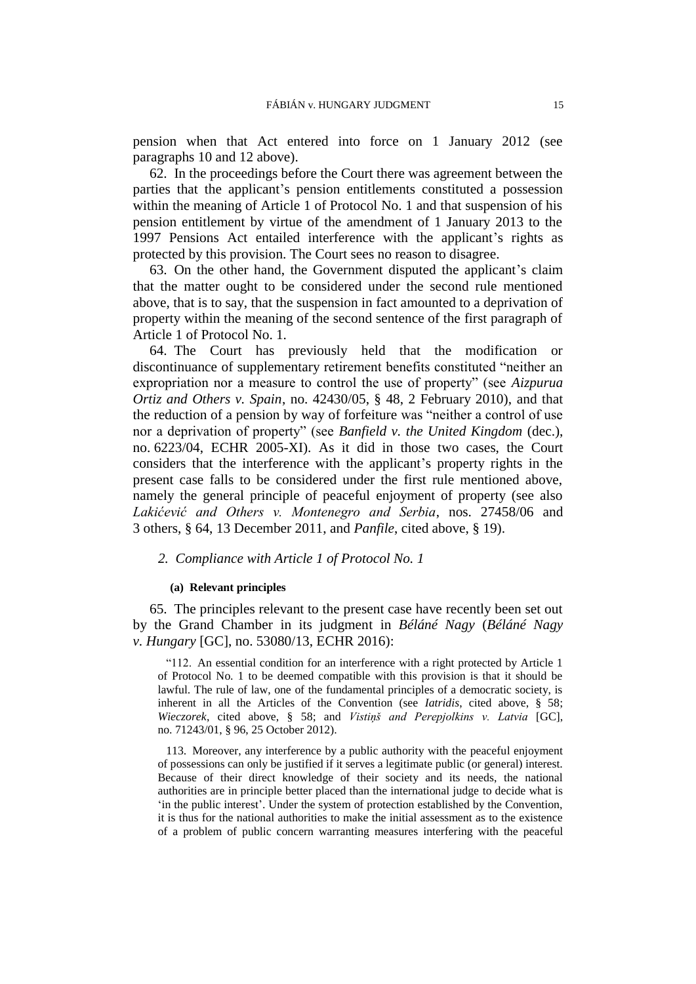pension when that Act entered into force on 1 January 2012 (see paragraphs [10](#page-4-1) and [12](#page-4-0) above).

62. In the proceedings before the Court there was agreement between the parties that the applicant's pension entitlements constituted a possession within the meaning of Article 1 of Protocol No. 1 and that suspension of his pension entitlement by virtue of the amendment of 1 January 2013 to the 1997 Pensions Act entailed interference with the applicant's rights as protected by this provision. The Court sees no reason to disagree.

63. On the other hand, the Government disputed the applicant's claim that the matter ought to be considered under the second rule mentioned above, that is to say, that the suspension in fact amounted to a deprivation of property within the meaning of the second sentence of the first paragraph of Article 1 of Protocol No. 1.

64. The Court has previously held that the modification or discontinuance of supplementary retirement benefits constituted "neither an expropriation nor a measure to control the use of property" (see *Aizpurua Ortiz and Others v. Spain*, no. 42430/05, § 48, 2 February 2010), and that the reduction of a pension by way of forfeiture was "neither a control of use nor a deprivation of property" (see *Banfield v. the United Kingdom* (dec.), no. 6223/04, ECHR 2005-XI). As it did in those two cases, the Court considers that the interference with the applicant's property rights in the present case falls to be considered under the first rule mentioned above, namely the general principle of peaceful enjoyment of property (see also *Lakićević and Others v. Montenegro and Serbia*, nos. 27458/06 and 3 others, § 64, 13 December 2011, and *Panfile*, cited above, § 19).

## *2. Compliance with Article 1 of Protocol No. 1*

#### **(a) Relevant principles**

<span id="page-16-0"></span>65. The principles relevant to the present case have recently been set out by the Grand Chamber in its judgment in *Béláné Nagy* (*Béláné Nagy v. Hungary* [GC], no. 53080/13, ECHR 2016):

"112. An essential condition for an interference with a right protected by Article 1 of Protocol No. 1 to be deemed compatible with this provision is that it should be lawful. The rule of law, one of the fundamental principles of a democratic society, is inherent in all the Articles of the Convention (see *Iatridis*, cited above, § 58; *Wieczorek*, cited above, § 58; and *Vistiņš and Perepjolkins v. Latvia* [GC], no. 71243/01, § 96, 25 October 2012).

113. Moreover, any interference by a public authority with the peaceful enjoyment of possessions can only be justified if it serves a legitimate public (or general) interest. Because of their direct knowledge of their society and its needs, the national authorities are in principle better placed than the international judge to decide what is 'in the public interest'. Under the system of protection established by the Convention, it is thus for the national authorities to make the initial assessment as to the existence of a problem of public concern warranting measures interfering with the peaceful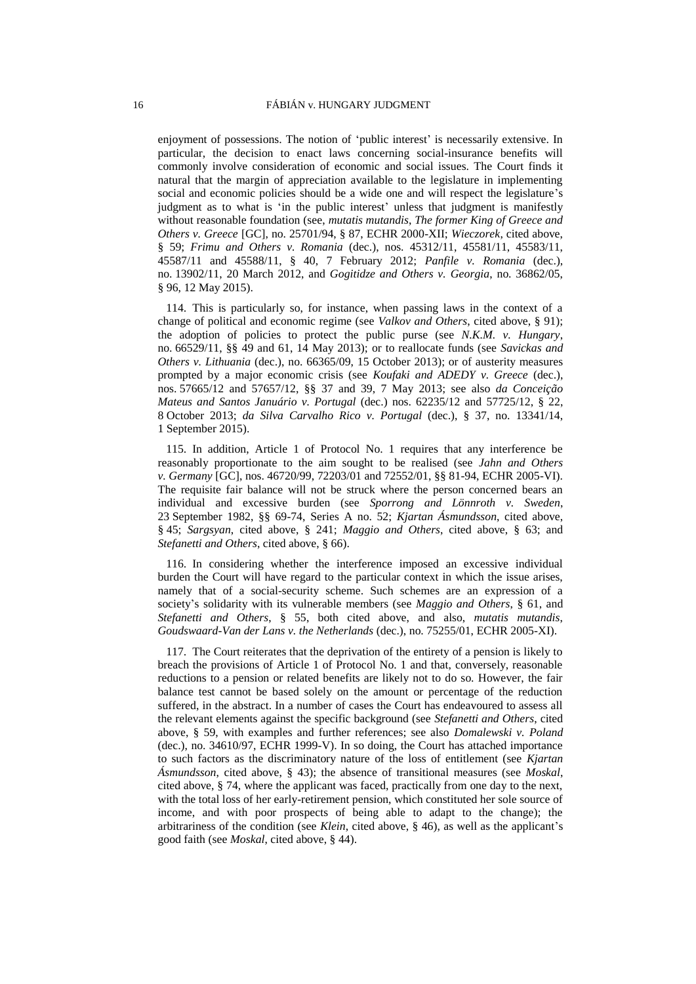enjoyment of possessions. The notion of 'public interest' is necessarily extensive. In particular, the decision to enact laws concerning social-insurance benefits will commonly involve consideration of economic and social issues. The Court finds it natural that the margin of appreciation available to the legislature in implementing social and economic policies should be a wide one and will respect the legislature's judgment as to what is 'in the public interest' unless that judgment is manifestly without reasonable foundation (see, *mutatis mutandis*, *The former King of Greece and Others v. Greece* [GC], no. 25701/94, § 87, ECHR 2000-XII; *Wieczorek*, cited above, § 59; *Frimu and Others v. Romania* (dec.), nos. 45312/11, 45581/11, 45583/11, 45587/11 and 45588/11, § 40, 7 February 2012; *Panfile v. Romania* (dec.), no. 13902/11, 20 March 2012, and *Gogitidze and Others v. Georgia*, no. 36862/05, § 96, 12 May 2015).

114. This is particularly so, for instance, when passing laws in the context of a change of political and economic regime (see *Valkov and Others*, cited above, § 91); the adoption of policies to protect the public purse (see *N.K.M. v. Hungary*, no. 66529/11, §§ 49 and 61, 14 May 2013); or to reallocate funds (see *Savickas and Others v. Lithuania* (dec.), no. 66365/09, 15 October 2013); or of austerity measures prompted by a major economic crisis (see *Koufaki and ADEDY v. Greece* (dec.), nos. 57665/12 and 57657/12, §§ 37 and 39, 7 May 2013; see also *da Conceição Mateus and Santos Januário v. Portugal* (dec.) nos. 62235/12 and 57725/12, § 22, 8 October 2013; *da Silva Carvalho Rico v. Portugal* (dec.), § 37, no. 13341/14, 1 September 2015).

115. In addition, Article 1 of Protocol No. 1 requires that any interference be reasonably proportionate to the aim sought to be realised (see *Jahn and Others v. Germany* [GC], nos. 46720/99, 72203/01 and 72552/01, §§ 81-94, ECHR 2005-VI). The requisite fair balance will not be struck where the person concerned bears an individual and excessive burden (see *Sporrong and Lönnroth v. Sweden*, 23 September 1982, §§ 69-74, Series A no. 52; *Kjartan Ásmundsson*, cited above, § 45; *Sargsyan*, cited above, § 241; *Maggio and Others*, cited above, § 63; and *Stefanetti and Others*, cited above, § 66).

116. In considering whether the interference imposed an excessive individual burden the Court will have regard to the particular context in which the issue arises, namely that of a social-security scheme. Such schemes are an expression of a society's solidarity with its vulnerable members (see *Maggio and Others*, § 61, and *Stefanetti and Others*, § 55, both cited above, and also, *mutatis mutandis*, *Goudswaard-Van der Lans v. the Netherlands* (dec.), no. 75255/01, ECHR 2005-XI).

117. The Court reiterates that the deprivation of the entirety of a pension is likely to breach the provisions of Article 1 of Protocol No. 1 and that, conversely, reasonable reductions to a pension or related benefits are likely not to do so. However, the fair balance test cannot be based solely on the amount or percentage of the reduction suffered, in the abstract. In a number of cases the Court has endeavoured to assess all the relevant elements against the specific background (see *Stefanetti and Others*, cited above, § 59, with examples and further references; see also *Domalewski v. Poland* (dec.), no. 34610/97, ECHR 1999-V). In so doing, the Court has attached importance to such factors as the discriminatory nature of the loss of entitlement (see *Kjartan Ásmundsson*, cited above, § 43); the absence of transitional measures (see *Moskal*, cited above, § 74, where the applicant was faced, practically from one day to the next, with the total loss of her early-retirement pension, which constituted her sole source of income, and with poor prospects of being able to adapt to the change); the arbitrariness of the condition (see *Klein*, cited above, § 46), as well as the applicant's good faith (see *Moskal*, cited above, § 44).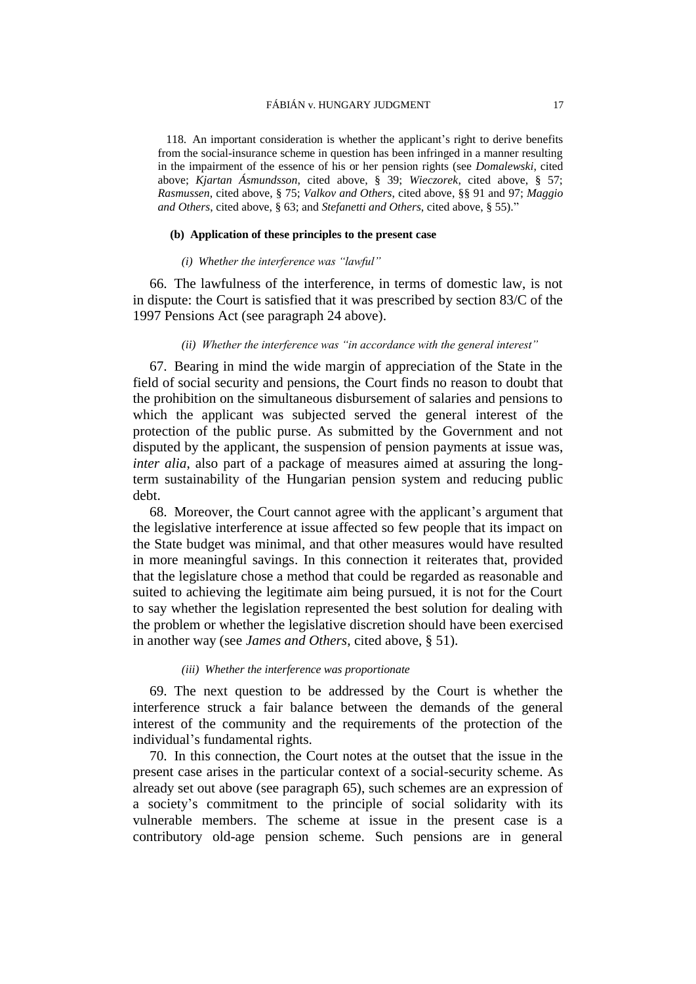118. An important consideration is whether the applicant's right to derive benefits from the social-insurance scheme in question has been infringed in a manner resulting in the impairment of the essence of his or her pension rights (see *Domalewski*, cited above; *Kjartan Ásmundsson*, cited above, § 39; *Wieczorek*, cited above, § 57; *Rasmussen*, cited above, § 75; *Valkov and Others*, cited above, §§ 91 and 97; *Maggio and Others*, cited above, § 63; and *Stefanetti and Others*, cited above, § 55)."

#### **(b) Application of these principles to the present case**

#### *(i) Whether the interference was "lawful"*

66. The lawfulness of the interference, in terms of domestic law, is not in dispute: the Court is satisfied that it was prescribed by section 83/C of the 1997 Pensions Act (see paragraph [24](#page-7-0) above).

### *(ii) Whether the interference was "in accordance with the general interest"*

67. Bearing in mind the wide margin of appreciation of the State in the field of social security and pensions, the Court finds no reason to doubt that the prohibition on the simultaneous disbursement of salaries and pensions to which the applicant was subjected served the general interest of the protection of the public purse. As submitted by the Government and not disputed by the applicant, the suspension of pension payments at issue was, *inter alia*, also part of a package of measures aimed at assuring the longterm sustainability of the Hungarian pension system and reducing public debt.

68. Moreover, the Court cannot agree with the applicant's argument that the legislative interference at issue affected so few people that its impact on the State budget was minimal, and that other measures would have resulted in more meaningful savings. In this connection it reiterates that, provided that the legislature chose a method that could be regarded as reasonable and suited to achieving the legitimate aim being pursued, it is not for the Court to say whether the legislation represented the best solution for dealing with the problem or whether the legislative discretion should have been exercised in another way (see *James and Others*, cited above, § 51).

#### *(iii) Whether the interference was proportionate*

69. The next question to be addressed by the Court is whether the interference struck a fair balance between the demands of the general interest of the community and the requirements of the protection of the individual's fundamental rights.

70. In this connection, the Court notes at the outset that the issue in the present case arises in the particular context of a social-security scheme. As already set out above (see paragraph [65\)](#page-16-0), such schemes are an expression of a society's commitment to the principle of social solidarity with its vulnerable members. The scheme at issue in the present case is a contributory old-age pension scheme. Such pensions are in general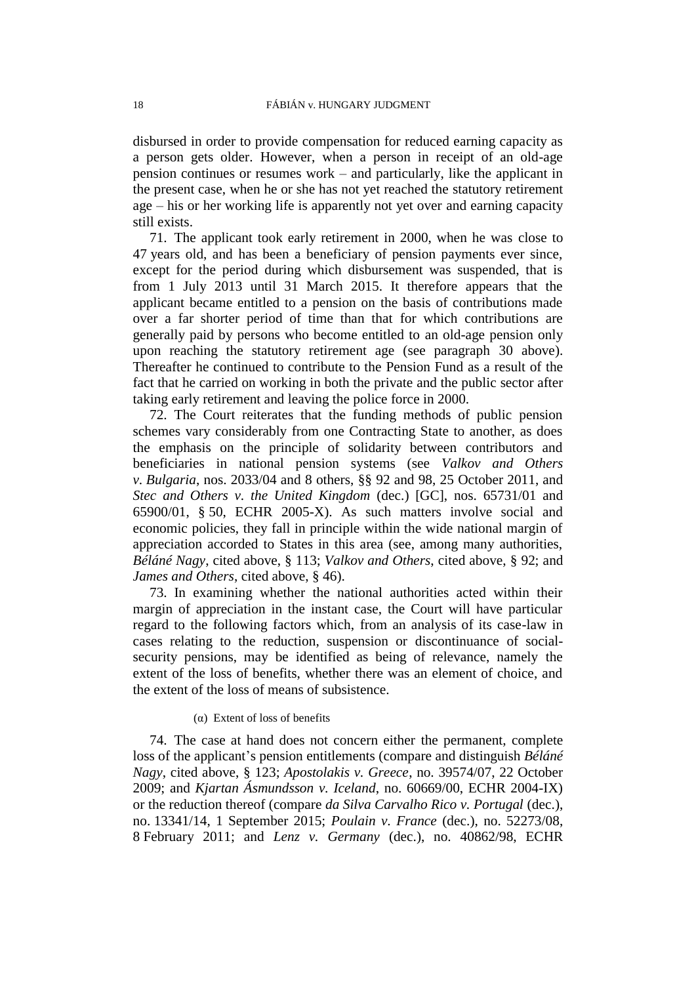disbursed in order to provide compensation for reduced earning capacity as a person gets older. However, when a person in receipt of an old-age pension continues or resumes work – and particularly, like the applicant in the present case, when he or she has not yet reached the statutory retirement age – his or her working life is apparently not yet over and earning capacity still exists.

71. The applicant took early retirement in 2000, when he was close to 47 years old, and has been a beneficiary of pension payments ever since, except for the period during which disbursement was suspended, that is from 1 July 2013 until 31 March 2015. It therefore appears that the applicant became entitled to a pension on the basis of contributions made over a far shorter period of time than that for which contributions are generally paid by persons who become entitled to an old-age pension only upon reaching the statutory retirement age (see paragraph [30](#page-8-2) above). Thereafter he continued to contribute to the Pension Fund as a result of the fact that he carried on working in both the private and the public sector after taking early retirement and leaving the police force in 2000.

72. The Court reiterates that the funding methods of public pension schemes vary considerably from one Contracting State to another, as does the emphasis on the principle of solidarity between contributors and beneficiaries in national pension systems (see *Valkov and Others v. Bulgaria*, nos. 2033/04 and 8 others, §§ 92 and 98, 25 October 2011, and *Stec and Others v. the United Kingdom* (dec.) [GC], nos. 65731/01 and 65900/01, § 50, ECHR 2005-X). As such matters involve social and economic policies, they fall in principle within the wide national margin of appreciation accorded to States in this area (see, among many authorities, *Béláné Nagy*, cited above, § 113; *Valkov and Others*, cited above, § 92; and *James and Others*, cited above, § 46).

73. In examining whether the national authorities acted within their margin of appreciation in the instant case, the Court will have particular regard to the following factors which, from an analysis of its case-law in cases relating to the reduction, suspension or discontinuance of socialsecurity pensions, may be identified as being of relevance, namely the extent of the loss of benefits, whether there was an element of choice, and the extent of the loss of means of subsistence.

#### (α) Extent of loss of benefits

74. The case at hand does not concern either the permanent, complete loss of the applicant's pension entitlements (compare and distinguish *Béláné Nagy*, cited above, § 123; *Apostolakis v. Greece*, no. 39574/07, 22 October 2009; and *Kjartan Ásmundsson v. Iceland*, no. 60669/00, ECHR 2004-IX) or the reduction thereof (compare *da Silva Carvalho Rico v. Portugal* (dec.), no. 13341/14, 1 September 2015; *Poulain v. France* (dec.), no. 52273/08, 8 February 2011; and *Lenz v. Germany* (dec.), no. 40862/98, ECHR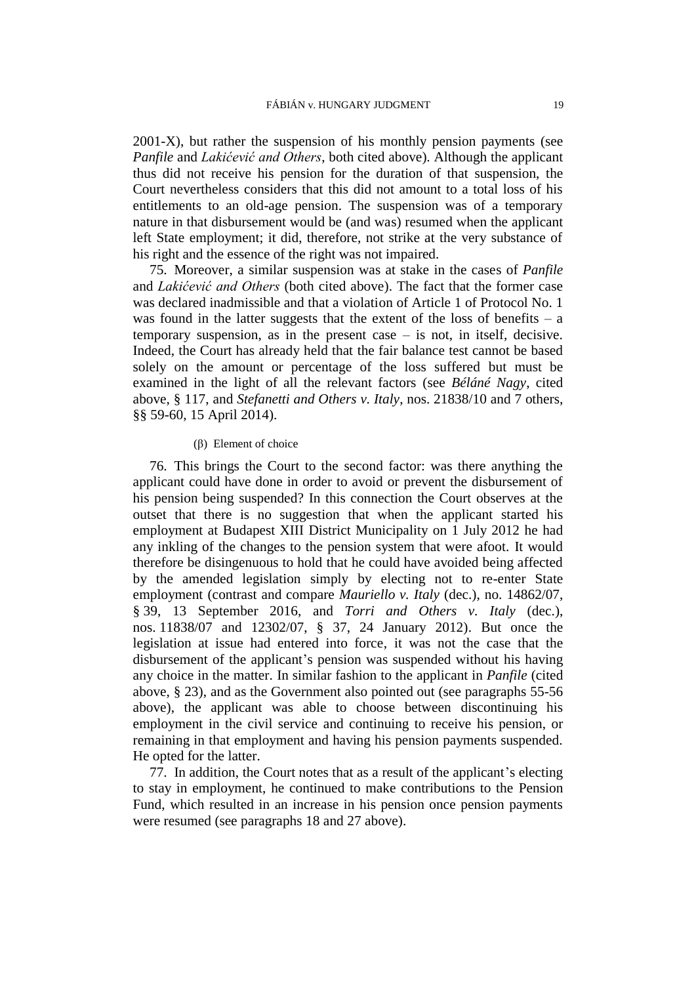2001-X), but rather the suspension of his monthly pension payments (see *Panfile* and *Lakićević and Others*, both cited above). Although the applicant thus did not receive his pension for the duration of that suspension, the Court nevertheless considers that this did not amount to a total loss of his entitlements to an old-age pension. The suspension was of a temporary nature in that disbursement would be (and was) resumed when the applicant left State employment; it did, therefore, not strike at the very substance of his right and the essence of the right was not impaired.

75. Moreover, a similar suspension was at stake in the cases of *Panfile* and *Lakićević and Others* (both cited above). The fact that the former case was declared inadmissible and that a violation of Article 1 of Protocol No. 1 was found in the latter suggests that the extent of the loss of benefits  $- a$ temporary suspension, as in the present case – is not, in itself, decisive. Indeed, the Court has already held that the fair balance test cannot be based solely on the amount or percentage of the loss suffered but must be examined in the light of all the relevant factors (see *Béláné Nagy*, cited above, § 117, and *Stefanetti and Others v. Italy*, nos. 21838/10 and 7 others, §§ 59-60, 15 April 2014).

#### (β) Element of choice

76. This brings the Court to the second factor: was there anything the applicant could have done in order to avoid or prevent the disbursement of his pension being suspended? In this connection the Court observes at the outset that there is no suggestion that when the applicant started his employment at Budapest XIII District Municipality on 1 July 2012 he had any inkling of the changes to the pension system that were afoot. It would therefore be disingenuous to hold that he could have avoided being affected by the amended legislation simply by electing not to re-enter State employment (contrast and compare *Mauriello v. Italy* (dec.), no. 14862/07, § 39, 13 September 2016, and *Torri and Others v. Italy* (dec.), nos. 11838/07 and 12302/07, § 37, 24 January 2012). But once the legislation at issue had entered into force, it was not the case that the disbursement of the applicant's pension was suspended without his having any choice in the matter. In similar fashion to the applicant in *Panfile* (cited above, § 23), and as the Government also pointed out (see paragraphs [55](#page-13-0)[-56](#page-14-0) above), the applicant was able to choose between discontinuing his employment in the civil service and continuing to receive his pension, or remaining in that employment and having his pension payments suspended. He opted for the latter.

77. In addition, the Court notes that as a result of the applicant's electing to stay in employment, he continued to make contributions to the Pension Fund, which resulted in an increase in his pension once pension payments were resumed (see paragraphs [18](#page-5-0) and [27](#page-7-1) above).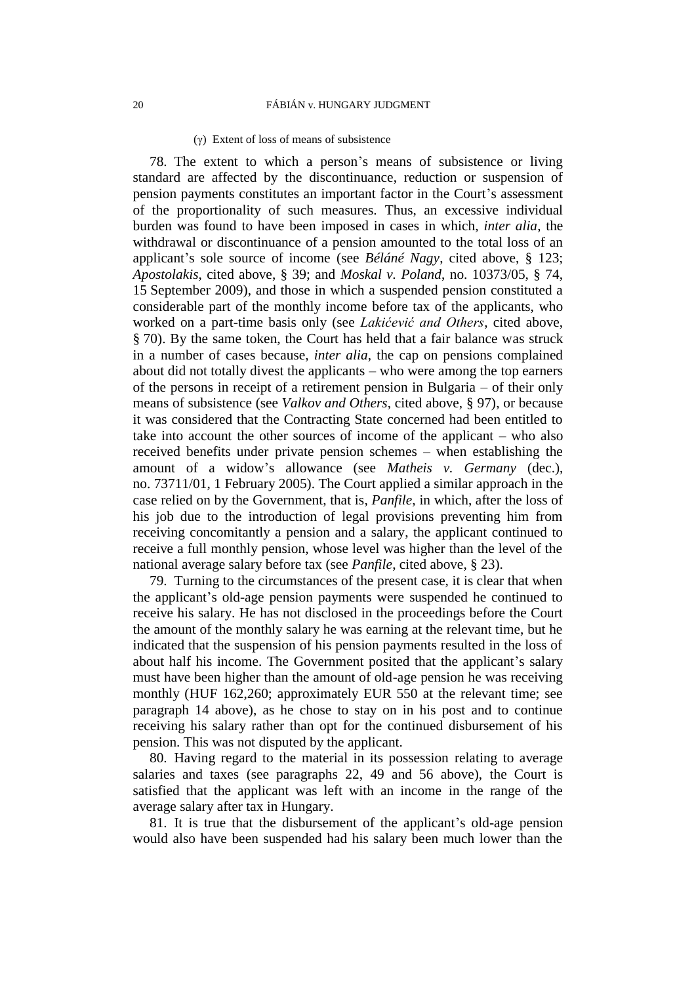#### (γ) Extent of loss of means of subsistence

78. The extent to which a person's means of subsistence or living standard are affected by the discontinuance, reduction or suspension of pension payments constitutes an important factor in the Court's assessment of the proportionality of such measures. Thus, an excessive individual burden was found to have been imposed in cases in which, *inter alia*, the withdrawal or discontinuance of a pension amounted to the total loss of an applicant's sole source of income (see *Béláné Nagy*, cited above, § 123; *Apostolakis*, cited above, § 39; and *Moskal v. Poland*, no. 10373/05, § 74, 15 September 2009), and those in which a suspended pension constituted a considerable part of the monthly income before tax of the applicants, who worked on a part-time basis only (see *Lakićević and Others*, cited above, § 70). By the same token, the Court has held that a fair balance was struck in a number of cases because, *inter alia*, the cap on pensions complained about did not totally divest the applicants – who were among the top earners of the persons in receipt of a retirement pension in Bulgaria – of their only means of subsistence (see *Valkov and Others*, cited above, § 97), or because it was considered that the Contracting State concerned had been entitled to take into account the other sources of income of the applicant – who also received benefits under private pension schemes – when establishing the amount of a widow's allowance (see *Matheis v. Germany* (dec.), no. 73711/01, 1 February 2005). The Court applied a similar approach in the case relied on by the Government, that is, *Panfile*, in which, after the loss of his job due to the introduction of legal provisions preventing him from receiving concomitantly a pension and a salary, the applicant continued to receive a full monthly pension, whose level was higher than the level of the national average salary before tax (see *Panfile*, cited above, § 23).

79. Turning to the circumstances of the present case, it is clear that when the applicant's old-age pension payments were suspended he continued to receive his salary. He has not disclosed in the proceedings before the Court the amount of the monthly salary he was earning at the relevant time, but he indicated that the suspension of his pension payments resulted in the loss of about half his income. The Government posited that the applicant's salary must have been higher than the amount of old-age pension he was receiving monthly (HUF 162,260; approximately EUR 550 at the relevant time; see paragraph [14](#page-4-2) above), as he chose to stay on in his post and to continue receiving his salary rather than opt for the continued disbursement of his pension. This was not disputed by the applicant.

80. Having regard to the material in its possession relating to average salaries and taxes (see paragraphs [22,](#page-6-2) [49](#page-12-0) and [56](#page-14-0) above), the Court is satisfied that the applicant was left with an income in the range of the average salary after tax in Hungary.

81. It is true that the disbursement of the applicant's old-age pension would also have been suspended had his salary been much lower than the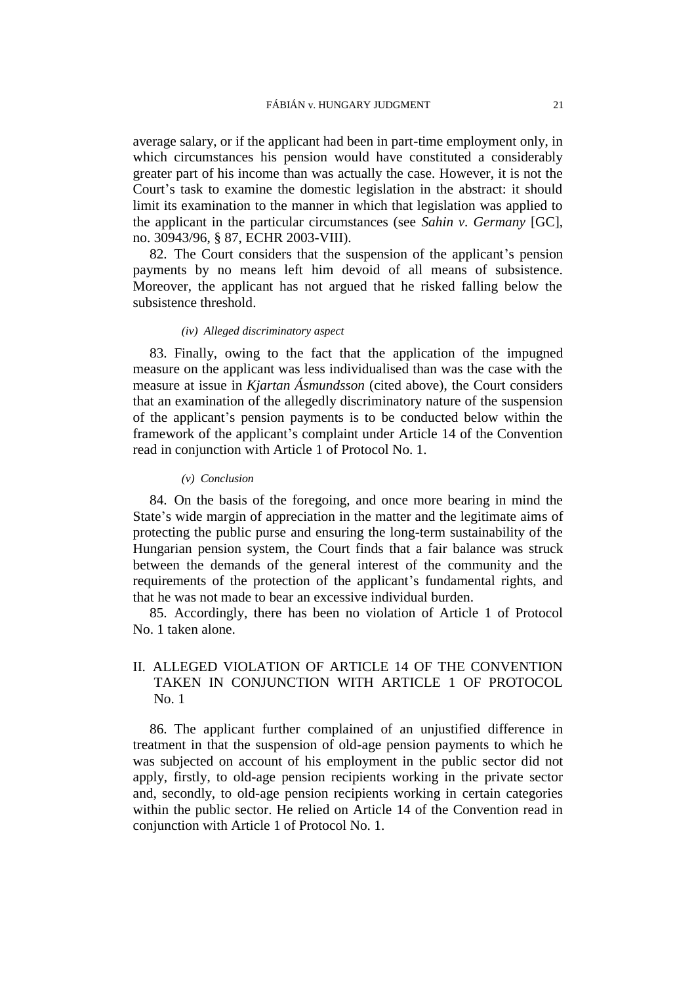average salary, or if the applicant had been in part-time employment only, in which circumstances his pension would have constituted a considerably greater part of his income than was actually the case. However, it is not the Court's task to examine the domestic legislation in the abstract: it should limit its examination to the manner in which that legislation was applied to the applicant in the particular circumstances (see *Sahin v. Germany* [GC], no. 30943/96, § 87, ECHR 2003-VIII).

82. The Court considers that the suspension of the applicant's pension payments by no means left him devoid of all means of subsistence. Moreover, the applicant has not argued that he risked falling below the subsistence threshold.

#### *(iv) Alleged discriminatory aspect*

83. Finally, owing to the fact that the application of the impugned measure on the applicant was less individualised than was the case with the measure at issue in *Kjartan Ásmundsson* (cited above), the Court considers that an examination of the allegedly discriminatory nature of the suspension of the applicant's pension payments is to be conducted below within the framework of the applicant's complaint under Article 14 of the Convention read in conjunction with Article 1 of Protocol No. 1.

#### *(v) Conclusion*

84. On the basis of the foregoing, and once more bearing in mind the State's wide margin of appreciation in the matter and the legitimate aims of protecting the public purse and ensuring the long-term sustainability of the Hungarian pension system, the Court finds that a fair balance was struck between the demands of the general interest of the community and the requirements of the protection of the applicant's fundamental rights, and that he was not made to bear an excessive individual burden.

85. Accordingly, there has been no violation of Article 1 of Protocol No. 1 taken alone.

## II. ALLEGED VIOLATION OF ARTICLE 14 OF THE CONVENTION TAKEN IN CONJUNCTION WITH ARTICLE 1 OF PROTOCOL No. 1

86. The applicant further complained of an unjustified difference in treatment in that the suspension of old-age pension payments to which he was subjected on account of his employment in the public sector did not apply, firstly, to old-age pension recipients working in the private sector and, secondly, to old-age pension recipients working in certain categories within the public sector. He relied on Article 14 of the Convention read in conjunction with Article 1 of Protocol No. 1.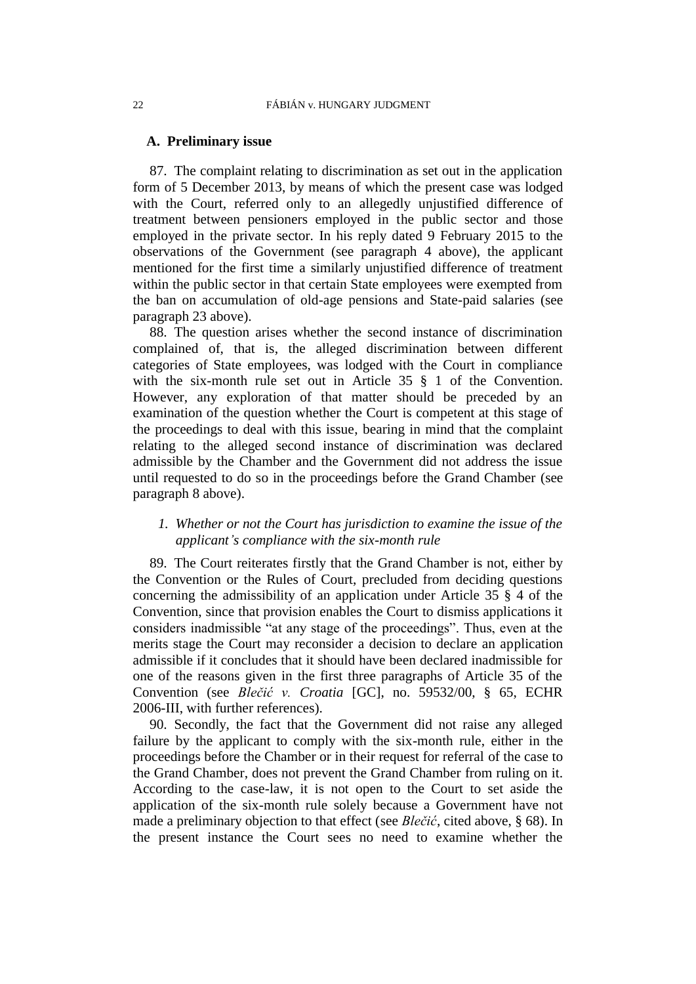### **A. Preliminary issue**

87. The complaint relating to discrimination as set out in the application form of 5 December 2013, by means of which the present case was lodged with the Court, referred only to an allegedly unjustified difference of treatment between pensioners employed in the public sector and those employed in the private sector. In his reply dated 9 February 2015 to the observations of the Government (see paragraph [4](#page-2-0) above), the applicant mentioned for the first time a similarly unjustified difference of treatment within the public sector in that certain State employees were exempted from the ban on accumulation of old-age pensions and State-paid salaries (see paragraph [23](#page-6-0) above).

88. The question arises whether the second instance of discrimination complained of, that is, the alleged discrimination between different categories of State employees, was lodged with the Court in compliance with the six-month rule set out in Article 35 § 1 of the Convention. However, any exploration of that matter should be preceded by an examination of the question whether the Court is competent at this stage of the proceedings to deal with this issue, bearing in mind that the complaint relating to the alleged second instance of discrimination was declared admissible by the Chamber and the Government did not address the issue until requested to do so in the proceedings before the Grand Chamber (see paragraph [8](#page-3-0) above).

## *1. Whether or not the Court has jurisdiction to examine the issue of the applicant's compliance with the six-month rule*

89. The Court reiterates firstly that the Grand Chamber is not, either by the Convention or the Rules of Court, precluded from deciding questions concerning the admissibility of an application under Article 35 § 4 of the Convention, since that provision enables the Court to dismiss applications it considers inadmissible "at any stage of the proceedings". Thus, even at the merits stage the Court may reconsider a decision to declare an application admissible if it concludes that it should have been declared inadmissible for one of the reasons given in the first three paragraphs of Article 35 of the Convention (see *Blečić v. Croatia* [GC], no. 59532/00, § 65, ECHR 2006-III, with further references).

90. Secondly, the fact that the Government did not raise any alleged failure by the applicant to comply with the six-month rule, either in the proceedings before the Chamber or in their request for referral of the case to the Grand Chamber, does not prevent the Grand Chamber from ruling on it. According to the case-law, it is not open to the Court to set aside the application of the six-month rule solely because a Government have not made a preliminary objection to that effect (see *Blečić*, cited above, § 68). In the present instance the Court sees no need to examine whether the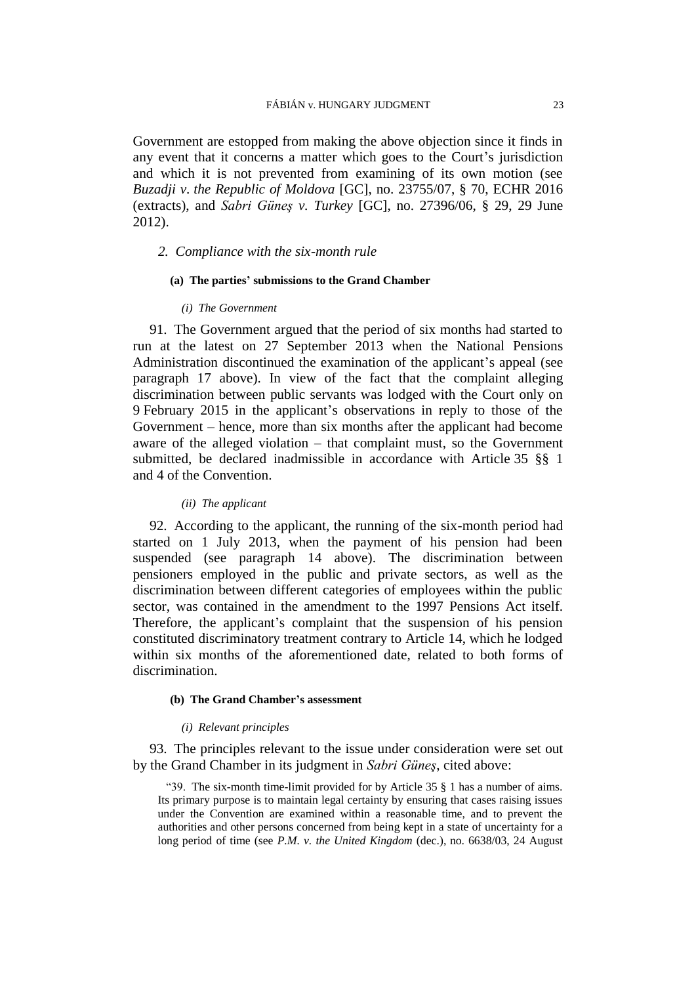Government are estopped from making the above objection since it finds in any event that it concerns a matter which goes to the Court's jurisdiction and which it is not prevented from examining of its own motion (see *Buzadji v. the Republic of Moldova* [GC], no. 23755/07, § 70, ECHR 2016 (extracts), and *Sabri Güneş v. Turkey* [GC], no. 27396/06, § 29, 29 June 2012).

## *2. Compliance with the six-month rule*

### **(a) The parties' submissions to the Grand Chamber**

#### *(i) The Government*

91. The Government argued that the period of six months had started to run at the latest on 27 September 2013 when the National Pensions Administration discontinued the examination of the applicant's appeal (see paragraph [17](#page-5-1) above). In view of the fact that the complaint alleging discrimination between public servants was lodged with the Court only on 9 February 2015 in the applicant's observations in reply to those of the Government – hence, more than six months after the applicant had become aware of the alleged violation – that complaint must, so the Government submitted, be declared inadmissible in accordance with Article 35 §§ 1 and 4 of the Convention.

### *(ii) The applicant*

92. According to the applicant, the running of the six-month period had started on 1 July 2013, when the payment of his pension had been suspended (see paragraph [14](#page-4-2) above). The discrimination between pensioners employed in the public and private sectors, as well as the discrimination between different categories of employees within the public sector, was contained in the amendment to the 1997 Pensions Act itself. Therefore, the applicant's complaint that the suspension of his pension constituted discriminatory treatment contrary to Article 14, which he lodged within six months of the aforementioned date, related to both forms of discrimination.

#### **(b) The Grand Chamber's assessment**

#### *(i) Relevant principles*

93. The principles relevant to the issue under consideration were set out by the Grand Chamber in its judgment in *Sabri Güneş*, cited above:

"39. The six-month time-limit provided for by Article 35 § 1 has a number of aims. Its primary purpose is to maintain legal certainty by ensuring that cases raising issues under the Convention are examined within a reasonable time, and to prevent the authorities and other persons concerned from being kept in a state of uncertainty for a long period of time (see *P.M. v. the United Kingdom* (dec.), no. 6638/03, 24 August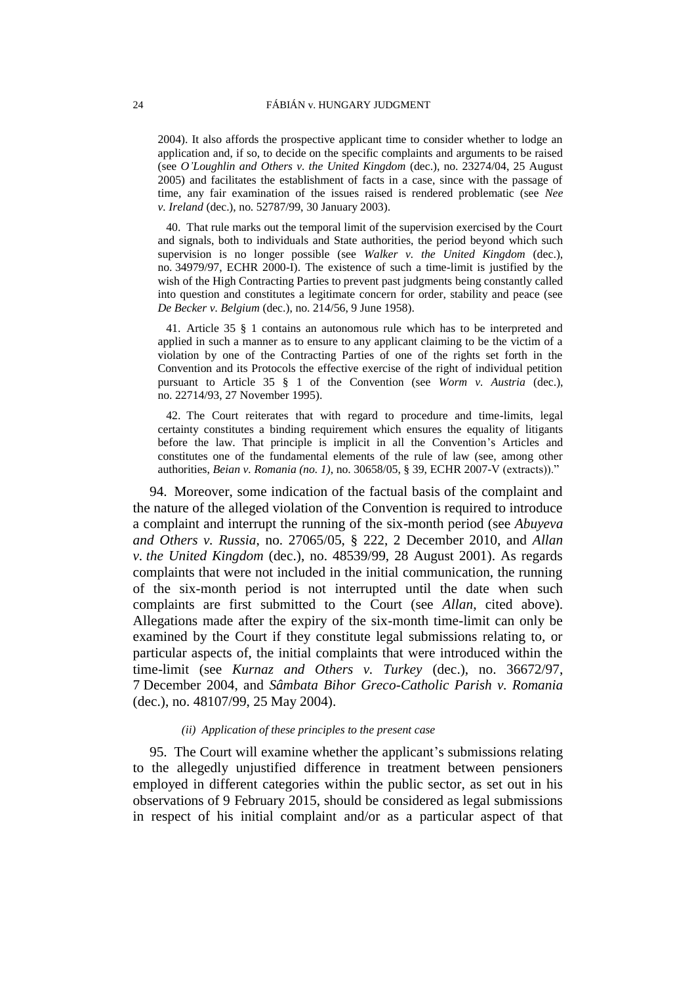2004). It also affords the prospective applicant time to consider whether to lodge an application and, if so, to decide on the specific complaints and arguments to be raised (see *O'Loughlin and Others v. the United Kingdom* (dec.), no. 23274/04, 25 August 2005) and facilitates the establishment of facts in a case, since with the passage of time, any fair examination of the issues raised is rendered problematic (see *Nee v. Ireland* (dec.), no. 52787/99, 30 January 2003).

40. That rule marks out the temporal limit of the supervision exercised by the Court and signals, both to individuals and State authorities, the period beyond which such supervision is no longer possible (see *Walker v. the United Kingdom* (dec.), no. 34979/97, ECHR 2000-I). The existence of such a time-limit is justified by the wish of the High Contracting Parties to prevent past judgments being constantly called into question and constitutes a legitimate concern for order, stability and peace (see *De Becker v. Belgium* (dec.), no. 214/56, 9 June 1958).

41. Article 35 § 1 contains an autonomous rule which has to be interpreted and applied in such a manner as to ensure to any applicant claiming to be the victim of a violation by one of the Contracting Parties of one of the rights set forth in the Convention and its Protocols the effective exercise of the right of individual petition pursuant to Article 35 § 1 of the Convention (see *Worm v. Austria* (dec.), no. 22714/93, 27 November 1995).

42. The Court reiterates that with regard to procedure and time-limits, legal certainty constitutes a binding requirement which ensures the equality of litigants before the law. That principle is implicit in all the Convention's Articles and constitutes one of the fundamental elements of the rule of law (see, among other authorities, *Beian v. Romania (no. 1)*, no. 30658/05, § 39, ECHR 2007-V (extracts))."

94. Moreover, some indication of the factual basis of the complaint and the nature of the alleged violation of the Convention is required to introduce a complaint and interrupt the running of the six-month period (see *Abuyeva and Others v. Russia*, no. 27065/05, § 222, 2 December 2010, and *Allan v. the United Kingdom* (dec.), no. 48539/99, 28 August 2001). As regards complaints that were not included in the initial communication, the running of the six-month period is not interrupted until the date when such complaints are first submitted to the Court (see *Allan*, cited above). Allegations made after the expiry of the six-month time-limit can only be examined by the Court if they constitute legal submissions relating to, or particular aspects of, the initial complaints that were introduced within the time-limit (see *Kurnaz and Others v. Turkey* (dec.), no. 36672/97, 7 December 2004, and *Sâmbata Bihor Greco-Catholic Parish v. Romania* (dec.), no. 48107/99, 25 May 2004).

#### *(ii) Application of these principles to the present case*

95. The Court will examine whether the applicant's submissions relating to the allegedly unjustified difference in treatment between pensioners employed in different categories within the public sector, as set out in his observations of 9 February 2015, should be considered as legal submissions in respect of his initial complaint and/or as a particular aspect of that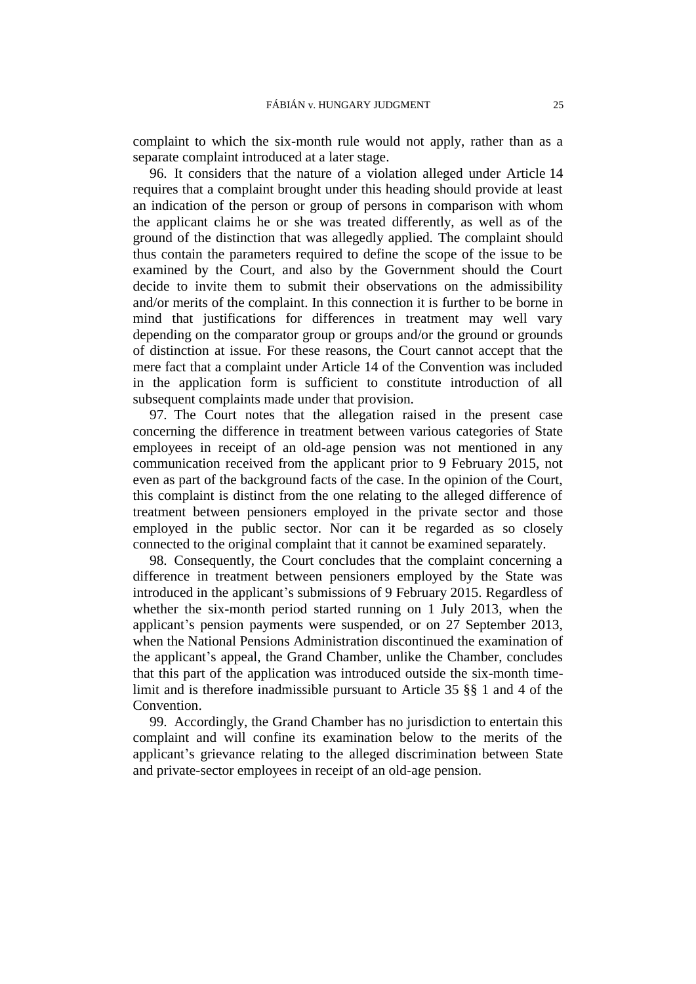complaint to which the six-month rule would not apply, rather than as a separate complaint introduced at a later stage.

96. It considers that the nature of a violation alleged under Article 14 requires that a complaint brought under this heading should provide at least an indication of the person or group of persons in comparison with whom the applicant claims he or she was treated differently, as well as of the ground of the distinction that was allegedly applied. The complaint should thus contain the parameters required to define the scope of the issue to be examined by the Court, and also by the Government should the Court decide to invite them to submit their observations on the admissibility and/or merits of the complaint. In this connection it is further to be borne in mind that justifications for differences in treatment may well vary depending on the comparator group or groups and/or the ground or grounds of distinction at issue. For these reasons, the Court cannot accept that the mere fact that a complaint under Article 14 of the Convention was included in the application form is sufficient to constitute introduction of all subsequent complaints made under that provision.

97. The Court notes that the allegation raised in the present case concerning the difference in treatment between various categories of State employees in receipt of an old-age pension was not mentioned in any communication received from the applicant prior to 9 February 2015, not even as part of the background facts of the case. In the opinion of the Court, this complaint is distinct from the one relating to the alleged difference of treatment between pensioners employed in the private sector and those employed in the public sector. Nor can it be regarded as so closely connected to the original complaint that it cannot be examined separately.

98. Consequently, the Court concludes that the complaint concerning a difference in treatment between pensioners employed by the State was introduced in the applicant's submissions of 9 February 2015. Regardless of whether the six-month period started running on 1 July 2013, when the applicant's pension payments were suspended, or on 27 September 2013, when the National Pensions Administration discontinued the examination of the applicant's appeal, the Grand Chamber, unlike the Chamber, concludes that this part of the application was introduced outside the six-month timelimit and is therefore inadmissible pursuant to Article 35 §§ 1 and 4 of the Convention.

<span id="page-26-0"></span>99. Accordingly, the Grand Chamber has no jurisdiction to entertain this complaint and will confine its examination below to the merits of the applicant's grievance relating to the alleged discrimination between State and private-sector employees in receipt of an old-age pension.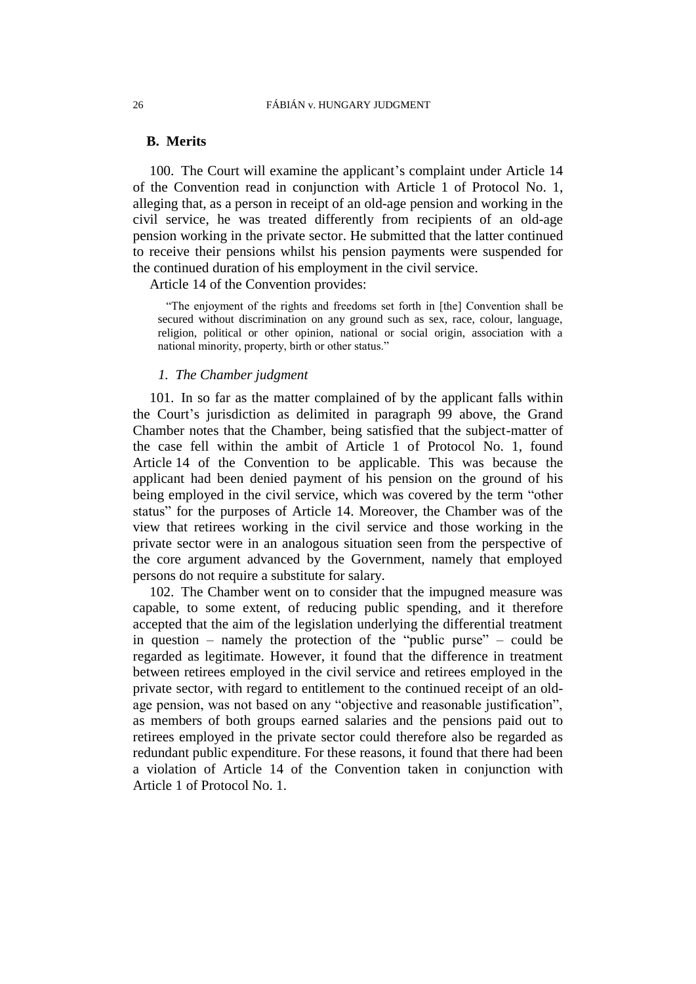#### 26 FÁBIÁN v. HUNGARY JUDGMENT

## **B. Merits**

100. The Court will examine the applicant's complaint under Article 14 of the Convention read in conjunction with Article 1 of Protocol No. 1, alleging that, as a person in receipt of an old-age pension and working in the civil service, he was treated differently from recipients of an old-age pension working in the private sector. He submitted that the latter continued to receive their pensions whilst his pension payments were suspended for the continued duration of his employment in the civil service.

Article 14 of the Convention provides:

"The enjoyment of the rights and freedoms set forth in [the] Convention shall be secured without discrimination on any ground such as sex, race, colour, language, religion, political or other opinion, national or social origin, association with a national minority, property, birth or other status."

#### *1. The Chamber judgment*

101. In so far as the matter complained of by the applicant falls within the Court's jurisdiction as delimited in paragraph [99](#page-26-0) above, the Grand Chamber notes that the Chamber, being satisfied that the subject-matter of the case fell within the ambit of Article 1 of Protocol No. 1, found Article 14 of the Convention to be applicable. This was because the applicant had been denied payment of his pension on the ground of his being employed in the civil service, which was covered by the term "other status" for the purposes of Article 14. Moreover, the Chamber was of the view that retirees working in the civil service and those working in the private sector were in an analogous situation seen from the perspective of the core argument advanced by the Government, namely that employed persons do not require a substitute for salary.

102. The Chamber went on to consider that the impugned measure was capable, to some extent, of reducing public spending, and it therefore accepted that the aim of the legislation underlying the differential treatment in question – namely the protection of the "public purse" – could be regarded as legitimate. However, it found that the difference in treatment between retirees employed in the civil service and retirees employed in the private sector, with regard to entitlement to the continued receipt of an oldage pension, was not based on any "objective and reasonable justification", as members of both groups earned salaries and the pensions paid out to retirees employed in the private sector could therefore also be regarded as redundant public expenditure. For these reasons, it found that there had been a violation of Article 14 of the Convention taken in conjunction with Article 1 of Protocol No. 1.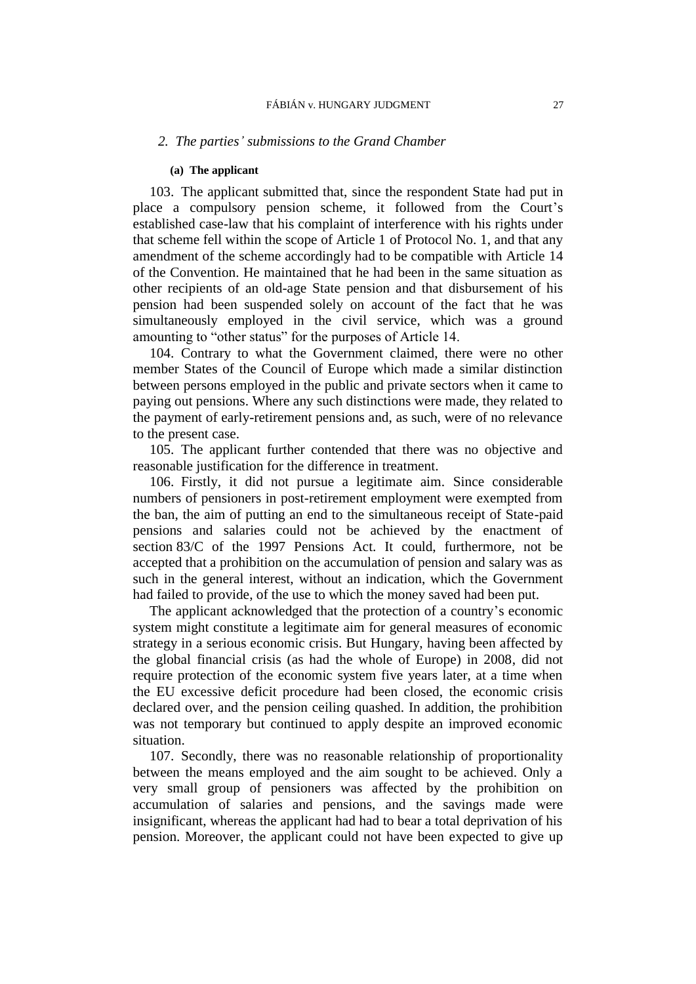#### *2. The parties' submissions to the Grand Chamber*

#### **(a) The applicant**

103. The applicant submitted that, since the respondent State had put in place a compulsory pension scheme, it followed from the Court's established case-law that his complaint of interference with his rights under that scheme fell within the scope of Article 1 of Protocol No. 1, and that any amendment of the scheme accordingly had to be compatible with Article 14 of the Convention. He maintained that he had been in the same situation as other recipients of an old-age State pension and that disbursement of his pension had been suspended solely on account of the fact that he was simultaneously employed in the civil service, which was a ground amounting to "other status" for the purposes of Article 14.

104. Contrary to what the Government claimed, there were no other member States of the Council of Europe which made a similar distinction between persons employed in the public and private sectors when it came to paying out pensions. Where any such distinctions were made, they related to the payment of early-retirement pensions and, as such, were of no relevance to the present case.

105. The applicant further contended that there was no objective and reasonable justification for the difference in treatment.

106. Firstly, it did not pursue a legitimate aim. Since considerable numbers of pensioners in post-retirement employment were exempted from the ban, the aim of putting an end to the simultaneous receipt of State-paid pensions and salaries could not be achieved by the enactment of section 83/C of the 1997 Pensions Act. It could, furthermore, not be accepted that a prohibition on the accumulation of pension and salary was as such in the general interest, without an indication, which the Government had failed to provide, of the use to which the money saved had been put.

The applicant acknowledged that the protection of a country's economic system might constitute a legitimate aim for general measures of economic strategy in a serious economic crisis. But Hungary, having been affected by the global financial crisis (as had the whole of Europe) in 2008, did not require protection of the economic system five years later, at a time when the EU excessive deficit procedure had been closed, the economic crisis declared over, and the pension ceiling quashed. In addition, the prohibition was not temporary but continued to apply despite an improved economic situation.

107. Secondly, there was no reasonable relationship of proportionality between the means employed and the aim sought to be achieved. Only a very small group of pensioners was affected by the prohibition on accumulation of salaries and pensions, and the savings made were insignificant, whereas the applicant had had to bear a total deprivation of his pension. Moreover, the applicant could not have been expected to give up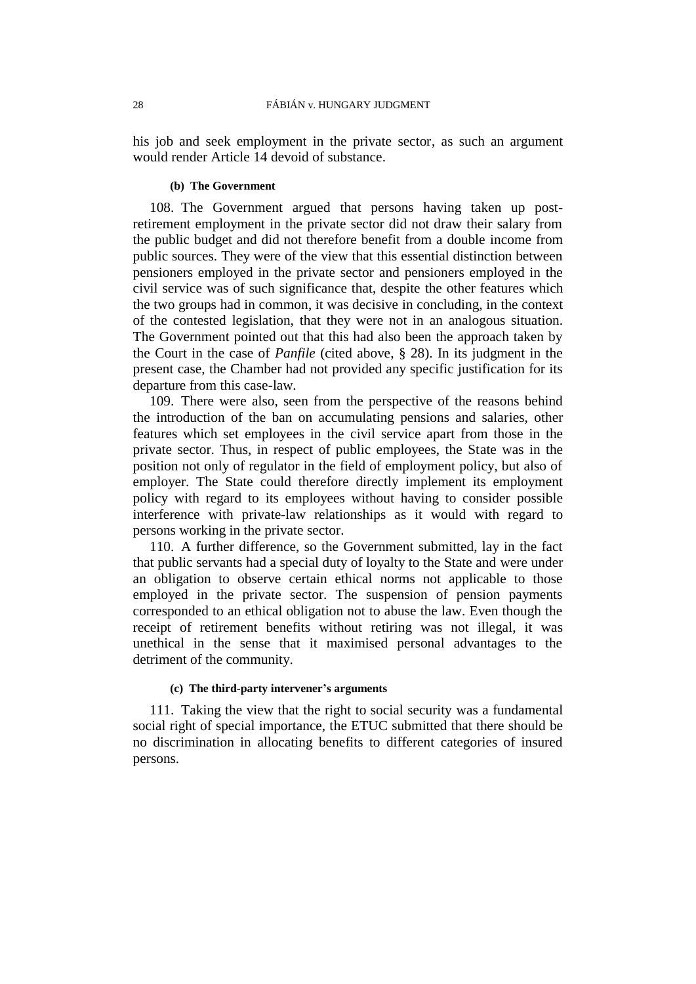his job and seek employment in the private sector, as such an argument would render Article 14 devoid of substance.

#### **(b) The Government**

108. The Government argued that persons having taken up postretirement employment in the private sector did not draw their salary from the public budget and did not therefore benefit from a double income from public sources. They were of the view that this essential distinction between pensioners employed in the private sector and pensioners employed in the civil service was of such significance that, despite the other features which the two groups had in common, it was decisive in concluding, in the context of the contested legislation, that they were not in an analogous situation. The Government pointed out that this had also been the approach taken by the Court in the case of *Panfile* (cited above, § 28). In its judgment in the present case, the Chamber had not provided any specific justification for its departure from this case-law*.*

109. There were also, seen from the perspective of the reasons behind the introduction of the ban on accumulating pensions and salaries, other features which set employees in the civil service apart from those in the private sector. Thus, in respect of public employees, the State was in the position not only of regulator in the field of employment policy, but also of employer. The State could therefore directly implement its employment policy with regard to its employees without having to consider possible interference with private-law relationships as it would with regard to persons working in the private sector.

110. A further difference, so the Government submitted, lay in the fact that public servants had a special duty of loyalty to the State and were under an obligation to observe certain ethical norms not applicable to those employed in the private sector. The suspension of pension payments corresponded to an ethical obligation not to abuse the law. Even though the receipt of retirement benefits without retiring was not illegal, it was unethical in the sense that it maximised personal advantages to the detriment of the community.

#### **(c) The third-party intervener's arguments**

111. Taking the view that the right to social security was a fundamental social right of special importance, the ETUC submitted that there should be no discrimination in allocating benefits to different categories of insured persons.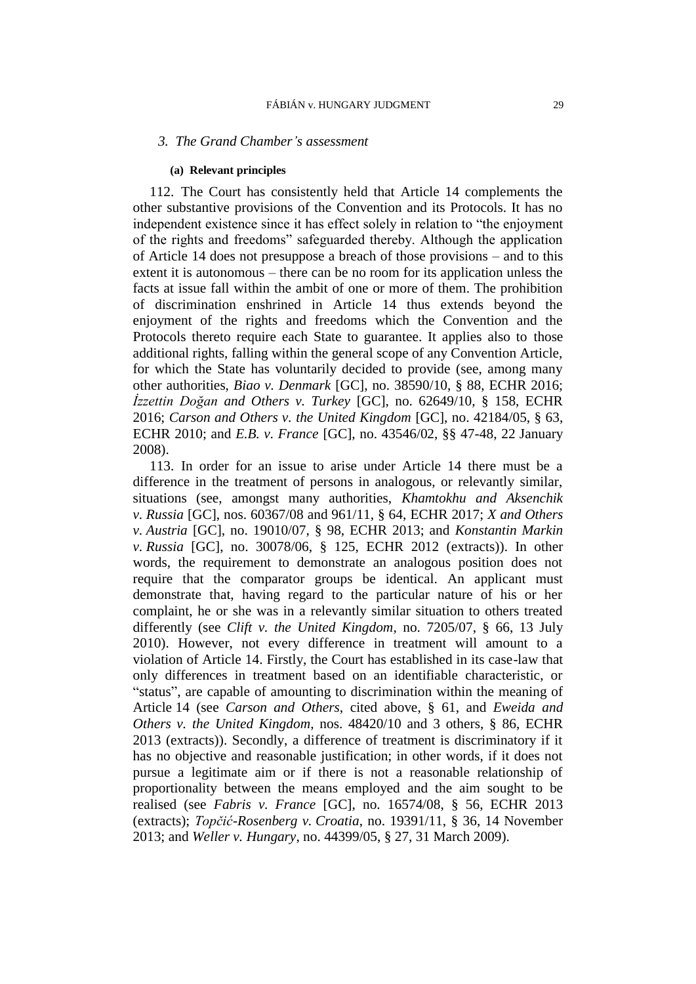#### *3. The Grand Chamber's assessment*

#### **(a) Relevant principles**

<span id="page-30-0"></span>112. The Court has consistently held that Article 14 complements the other substantive provisions of the Convention and its Protocols. It has no independent existence since it has effect solely in relation to "the enjoyment of the rights and freedoms" safeguarded thereby. Although the application of Article 14 does not presuppose a breach of those provisions – and to this extent it is autonomous – there can be no room for its application unless the facts at issue fall within the ambit of one or more of them. The prohibition of discrimination enshrined in Article 14 thus extends beyond the enjoyment of the rights and freedoms which the Convention and the Protocols thereto require each State to guarantee. It applies also to those additional rights, falling within the general scope of any Convention Article, for which the State has voluntarily decided to provide (see, among many other authorities, *Biao v. Denmark* [GC], no. 38590/10, § 88, ECHR 2016; *İzzettin Doğan and Others v. Turkey* [GC], no. 62649/10, § 158, ECHR 2016; *Carson and Others v. the United Kingdom* [GC], no. 42184/05, § 63, ECHR 2010; and *E.B. v. France* [GC], no. 43546/02, §§ 47-48, 22 January 2008).

<span id="page-30-1"></span>113. In order for an issue to arise under Article 14 there must be a difference in the treatment of persons in analogous, or relevantly similar, situations (see, amongst many authorities, *Khamtokhu and Aksenchik v. Russia* [GC], nos. 60367/08 and 961/11, § 64, ECHR 2017; *X and Others v. Austria* [GC], no. 19010/07, § 98, ECHR 2013; and *Konstantin Markin v. Russia* [GC], no. 30078/06, § 125, ECHR 2012 (extracts)). In other words, the requirement to demonstrate an analogous position does not require that the comparator groups be identical. An applicant must demonstrate that, having regard to the particular nature of his or her complaint, he or she was in a relevantly similar situation to others treated differently (see *Clift v. the United Kingdom*, no. 7205/07, § 66, 13 July 2010). However, not every difference in treatment will amount to a violation of Article 14. Firstly, the Court has established in its case-law that only differences in treatment based on an identifiable characteristic, or "status", are capable of amounting to discrimination within the meaning of Article 14 (see *Carson and Others*, cited above, § 61, and *Eweida and Others v. the United Kingdom*, nos. 48420/10 and 3 others, § 86, ECHR 2013 (extracts)). Secondly, a difference of treatment is discriminatory if it has no objective and reasonable justification; in other words, if it does not pursue a legitimate aim or if there is not a reasonable relationship of proportionality between the means employed and the aim sought to be realised (see *Fabris v. France* [GC], no. 16574/08, § 56, ECHR 2013 (extracts); *Topčić-Rosenberg v. Croatia*, no. 19391/11, § 36, 14 November 2013; and *Weller v. Hungary*, no. 44399/05, § 27, 31 March 2009).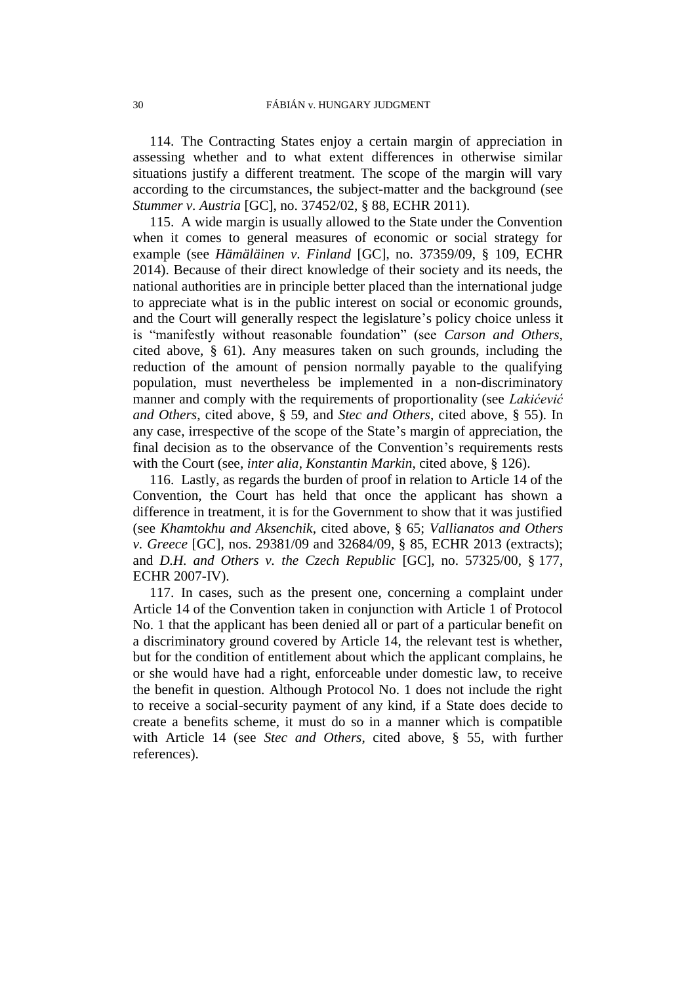114. The Contracting States enjoy a certain margin of appreciation in assessing whether and to what extent differences in otherwise similar situations justify a different treatment. The scope of the margin will vary according to the circumstances, the subject-matter and the background (see *Stummer v. Austria* [GC], no. 37452/02, § 88, ECHR 2011).

115. A wide margin is usually allowed to the State under the Convention when it comes to general measures of economic or social strategy for example (see *Hämäläinen v. Finland* [GC], no. 37359/09, § 109, ECHR 2014). Because of their direct knowledge of their society and its needs, the national authorities are in principle better placed than the international judge to appreciate what is in the public interest on social or economic grounds, and the Court will generally respect the legislature's policy choice unless it is "manifestly without reasonable foundation" (see *Carson and Others*, cited above, § 61). Any measures taken on such grounds, including the reduction of the amount of pension normally payable to the qualifying population, must nevertheless be implemented in a non-discriminatory manner and comply with the requirements of proportionality (see *Lakićević and Others*, cited above, § 59, and *Stec and Others*, cited above, § 55). In any case, irrespective of the scope of the State's margin of appreciation, the final decision as to the observance of the Convention's requirements rests with the Court (see, *inter alia*, *Konstantin Markin*, cited above, § 126).

116. Lastly, as regards the burden of proof in relation to Article 14 of the Convention, the Court has held that once the applicant has shown a difference in treatment, it is for the Government to show that it was justified (see *Khamtokhu and Aksenchik*, cited above, § 65; *Vallianatos and Others v. Greece* [GC], nos. 29381/09 and 32684/09, § 85, ECHR 2013 (extracts); and *D.H. and Others v. the Czech Republic* [GC], no. 57325/00, § 177, ECHR 2007-IV).

<span id="page-31-0"></span>117. In cases, such as the present one, concerning a complaint under Article 14 of the Convention taken in conjunction with Article 1 of Protocol No. 1 that the applicant has been denied all or part of a particular benefit on a discriminatory ground covered by Article 14, the relevant test is whether, but for the condition of entitlement about which the applicant complains, he or she would have had a right, enforceable under domestic law, to receive the benefit in question. Although Protocol No. 1 does not include the right to receive a social-security payment of any kind, if a State does decide to create a benefits scheme, it must do so in a manner which is compatible with Article 14 (see *Stec and Others*, cited above, § 55, with further references).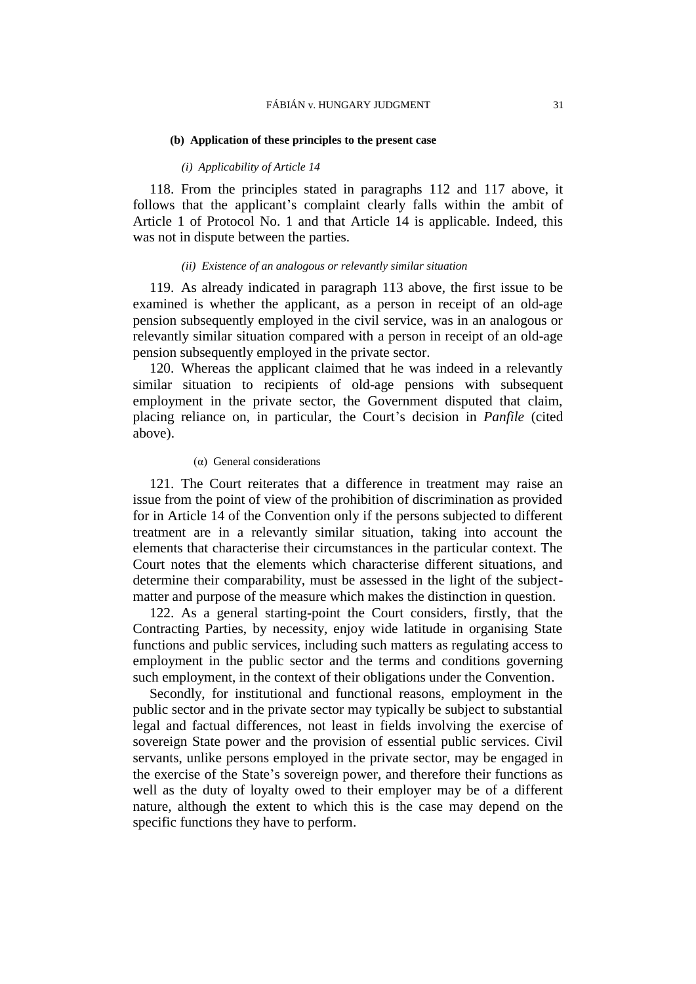#### **(b) Application of these principles to the present case**

#### *(i) Applicability of Article 14*

118. From the principles stated in paragraphs [112](#page-30-0) and [117](#page-31-0) above, it follows that the applicant's complaint clearly falls within the ambit of Article 1 of Protocol No. 1 and that Article 14 is applicable. Indeed, this was not in dispute between the parties.

#### *(ii) Existence of an analogous or relevantly similar situation*

119. As already indicated in paragraph [113](#page-30-1) above, the first issue to be examined is whether the applicant, as a person in receipt of an old-age pension subsequently employed in the civil service, was in an analogous or relevantly similar situation compared with a person in receipt of an old-age pension subsequently employed in the private sector.

120. Whereas the applicant claimed that he was indeed in a relevantly similar situation to recipients of old-age pensions with subsequent employment in the private sector, the Government disputed that claim, placing reliance on, in particular, the Court's decision in *Panfile* (cited above).

#### (α) General considerations

121. The Court reiterates that a difference in treatment may raise an issue from the point of view of the prohibition of discrimination as provided for in Article 14 of the Convention only if the persons subjected to different treatment are in a relevantly similar situation, taking into account the elements that characterise their circumstances in the particular context. The Court notes that the elements which characterise different situations, and determine their comparability, must be assessed in the light of the subjectmatter and purpose of the measure which makes the distinction in question.

122. As a general starting-point the Court considers, firstly, that the Contracting Parties, by necessity, enjoy wide latitude in organising State functions and public services, including such matters as regulating access to employment in the public sector and the terms and conditions governing such employment, in the context of their obligations under the Convention.

Secondly, for institutional and functional reasons, employment in the public sector and in the private sector may typically be subject to substantial legal and factual differences, not least in fields involving the exercise of sovereign State power and the provision of essential public services. Civil servants, unlike persons employed in the private sector, may be engaged in the exercise of the State's sovereign power, and therefore their functions as well as the duty of loyalty owed to their employer may be of a different nature, although the extent to which this is the case may depend on the specific functions they have to perform.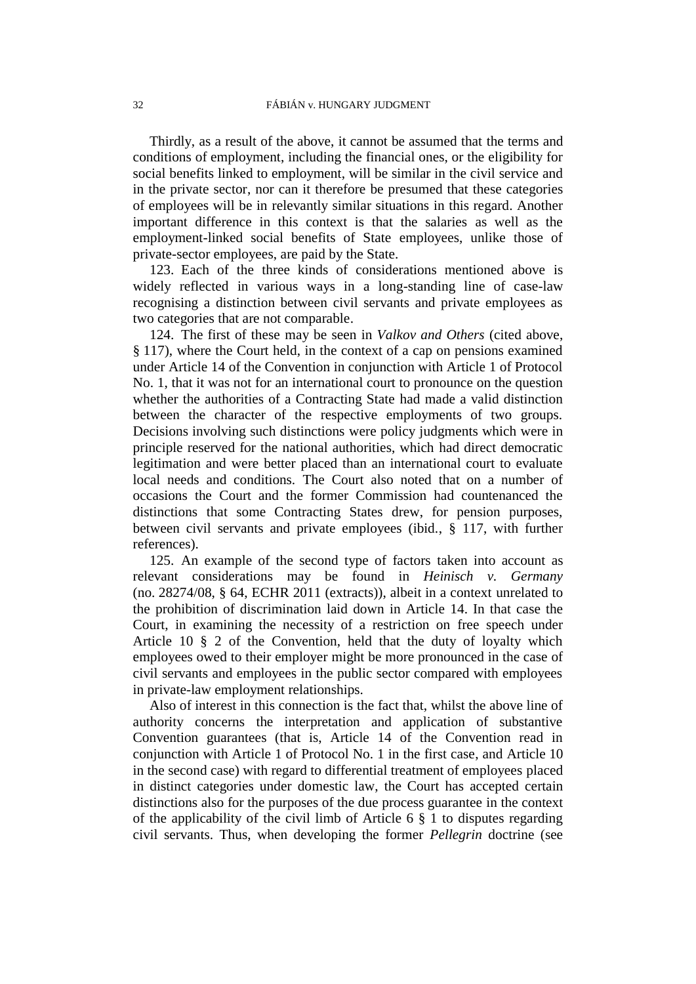Thirdly, as a result of the above, it cannot be assumed that the terms and conditions of employment, including the financial ones, or the eligibility for social benefits linked to employment, will be similar in the civil service and in the private sector, nor can it therefore be presumed that these categories of employees will be in relevantly similar situations in this regard. Another important difference in this context is that the salaries as well as the employment-linked social benefits of State employees, unlike those of private-sector employees, are paid by the State.

123. Each of the three kinds of considerations mentioned above is widely reflected in various ways in a long-standing line of case-law recognising a distinction between civil servants and private employees as two categories that are not comparable.

124. The first of these may be seen in *Valkov and Others* (cited above, § 117), where the Court held, in the context of a cap on pensions examined under Article 14 of the Convention in conjunction with Article 1 of Protocol No. 1, that it was not for an international court to pronounce on the question whether the authorities of a Contracting State had made a valid distinction between the character of the respective employments of two groups. Decisions involving such distinctions were policy judgments which were in principle reserved for the national authorities, which had direct democratic legitimation and were better placed than an international court to evaluate local needs and conditions. The Court also noted that on a number of occasions the Court and the former Commission had countenanced the distinctions that some Contracting States drew, for pension purposes, between civil servants and private employees (ibid., § 117, with further references).

125. An example of the second type of factors taken into account as relevant considerations may be found in *Heinisch v. Germany* (no. 28274/08, § 64, ECHR 2011 (extracts)), albeit in a context unrelated to the prohibition of discrimination laid down in Article 14. In that case the Court, in examining the necessity of a restriction on free speech under Article 10 § 2 of the Convention, held that the duty of loyalty which employees owed to their employer might be more pronounced in the case of civil servants and employees in the public sector compared with employees in private-law employment relationships.

Also of interest in this connection is the fact that, whilst the above line of authority concerns the interpretation and application of substantive Convention guarantees (that is, Article 14 of the Convention read in conjunction with Article 1 of Protocol No. 1 in the first case, and Article 10 in the second case) with regard to differential treatment of employees placed in distinct categories under domestic law, the Court has accepted certain distinctions also for the purposes of the due process guarantee in the context of the applicability of the civil limb of Article 6  $\S$  1 to disputes regarding civil servants. Thus, when developing the former *Pellegrin* doctrine (see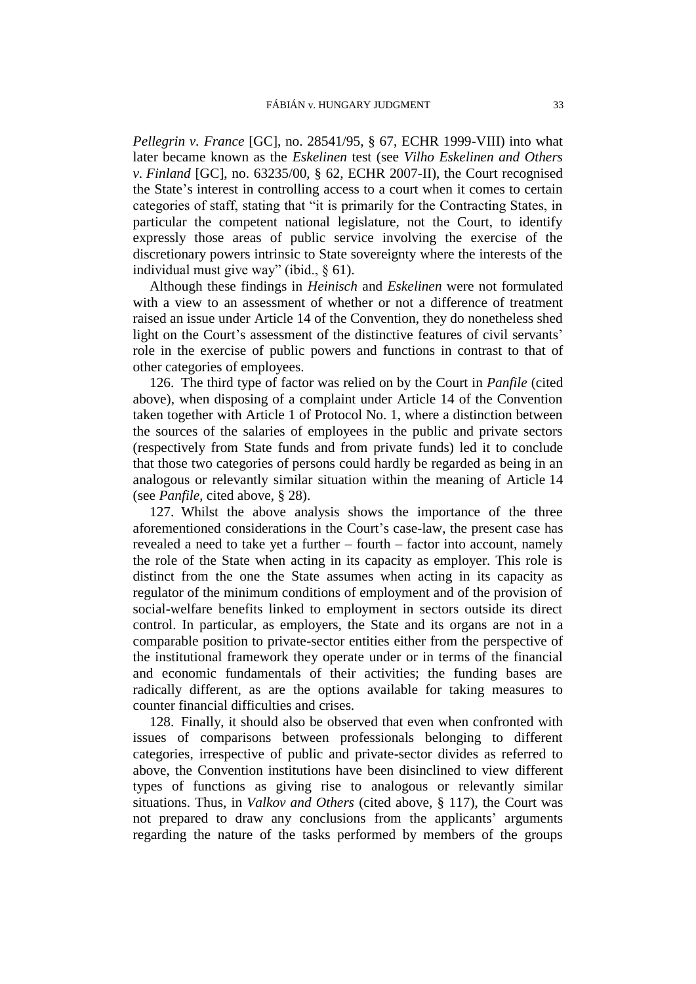*Pellegrin v. France* [GC], no. 28541/95, § 67, ECHR 1999-VIII) into what later became known as the *Eskelinen* test (see *Vilho Eskelinen and Others v. Finland* [GC], no. 63235/00, § 62, ECHR 2007-II), the Court recognised the State's interest in controlling access to a court when it comes to certain categories of staff, stating that "it is primarily for the Contracting States, in particular the competent national legislature, not the Court, to identify expressly those areas of public service involving the exercise of the discretionary powers intrinsic to State sovereignty where the interests of the individual must give way" (ibid., § 61).

Although these findings in *Heinisch* and *Eskelinen* were not formulated with a view to an assessment of whether or not a difference of treatment raised an issue under Article 14 of the Convention, they do nonetheless shed light on the Court's assessment of the distinctive features of civil servants' role in the exercise of public powers and functions in contrast to that of other categories of employees.

<span id="page-34-0"></span>126. The third type of factor was relied on by the Court in *Panfile* (cited above), when disposing of a complaint under Article 14 of the Convention taken together with Article 1 of Protocol No. 1, where a distinction between the sources of the salaries of employees in the public and private sectors (respectively from State funds and from private funds) led it to conclude that those two categories of persons could hardly be regarded as being in an analogous or relevantly similar situation within the meaning of Article 14 (see *Panfile*, cited above, § 28).

<span id="page-34-1"></span>127. Whilst the above analysis shows the importance of the three aforementioned considerations in the Court's case-law, the present case has revealed a need to take yet a further – fourth – factor into account, namely the role of the State when acting in its capacity as employer. This role is distinct from the one the State assumes when acting in its capacity as regulator of the minimum conditions of employment and of the provision of social-welfare benefits linked to employment in sectors outside its direct control. In particular, as employers, the State and its organs are not in a comparable position to private-sector entities either from the perspective of the institutional framework they operate under or in terms of the financial and economic fundamentals of their activities; the funding bases are radically different, as are the options available for taking measures to counter financial difficulties and crises.

128. Finally, it should also be observed that even when confronted with issues of comparisons between professionals belonging to different categories, irrespective of public and private-sector divides as referred to above, the Convention institutions have been disinclined to view different types of functions as giving rise to analogous or relevantly similar situations. Thus, in *Valkov and Others* (cited above, § 117), the Court was not prepared to draw any conclusions from the applicants' arguments regarding the nature of the tasks performed by members of the groups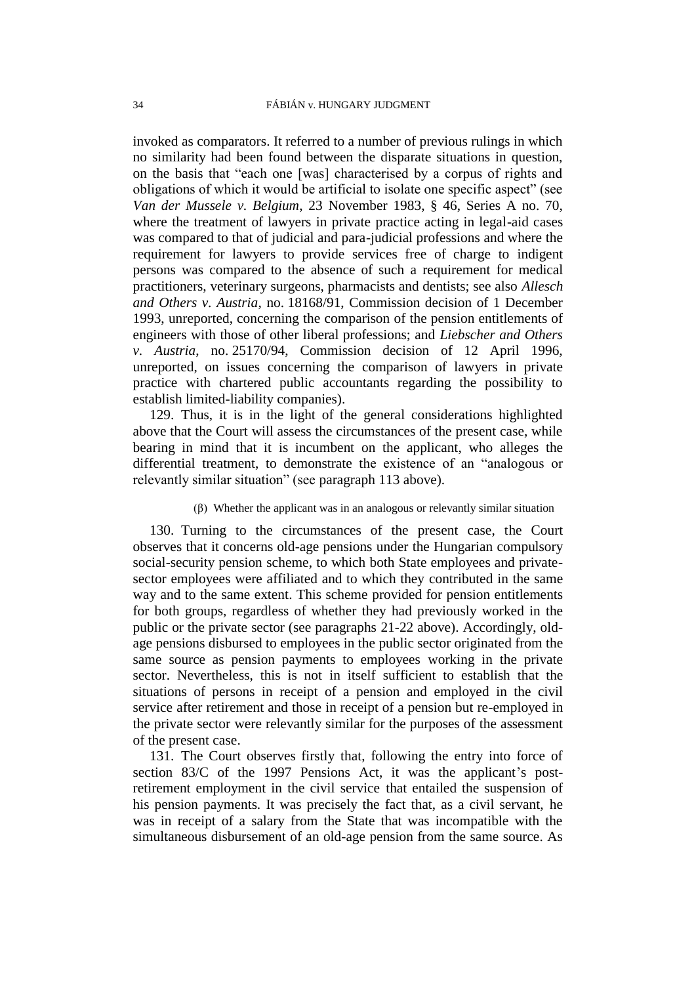invoked as comparators. It referred to a number of previous rulings in which no similarity had been found between the disparate situations in question, on the basis that "each one [was] characterised by a corpus of rights and obligations of which it would be artificial to isolate one specific aspect" (see *Van der Mussele v. Belgium*, 23 November 1983, § 46, Series A no. 70, where the treatment of lawyers in private practice acting in legal-aid cases was compared to that of judicial and para-judicial professions and where the requirement for lawyers to provide services free of charge to indigent persons was compared to the absence of such a requirement for medical practitioners, veterinary surgeons, pharmacists and dentists; see also *Allesch and Others v. Austria*, no. 18168/91, Commission decision of 1 December 1993, unreported, concerning the comparison of the pension entitlements of engineers with those of other liberal professions; and *Liebscher and Others v. Austria*, no. 25170/94, Commission decision of 12 April 1996, unreported, on issues concerning the comparison of lawyers in private practice with chartered public accountants regarding the possibility to establish limited-liability companies).

129. Thus, it is in the light of the general considerations highlighted above that the Court will assess the circumstances of the present case, while bearing in mind that it is incumbent on the applicant, who alleges the differential treatment, to demonstrate the existence of an "analogous or relevantly similar situation" (see paragraph [113](#page-30-1) above).

### (β) Whether the applicant was in an analogous or relevantly similar situation

130. Turning to the circumstances of the present case, the Court observes that it concerns old-age pensions under the Hungarian compulsory social-security pension scheme, to which both State employees and privatesector employees were affiliated and to which they contributed in the same way and to the same extent. This scheme provided for pension entitlements for both groups, regardless of whether they had previously worked in the public or the private sector (see paragraphs [21](#page-6-1)[-22](#page-6-2) above). Accordingly, oldage pensions disbursed to employees in the public sector originated from the same source as pension payments to employees working in the private sector. Nevertheless, this is not in itself sufficient to establish that the situations of persons in receipt of a pension and employed in the civil service after retirement and those in receipt of a pension but re-employed in the private sector were relevantly similar for the purposes of the assessment of the present case.

131. The Court observes firstly that, following the entry into force of section 83/C of the 1997 Pensions Act, it was the applicant's postretirement employment in the civil service that entailed the suspension of his pension payments. It was precisely the fact that, as a civil servant, he was in receipt of a salary from the State that was incompatible with the simultaneous disbursement of an old-age pension from the same source. As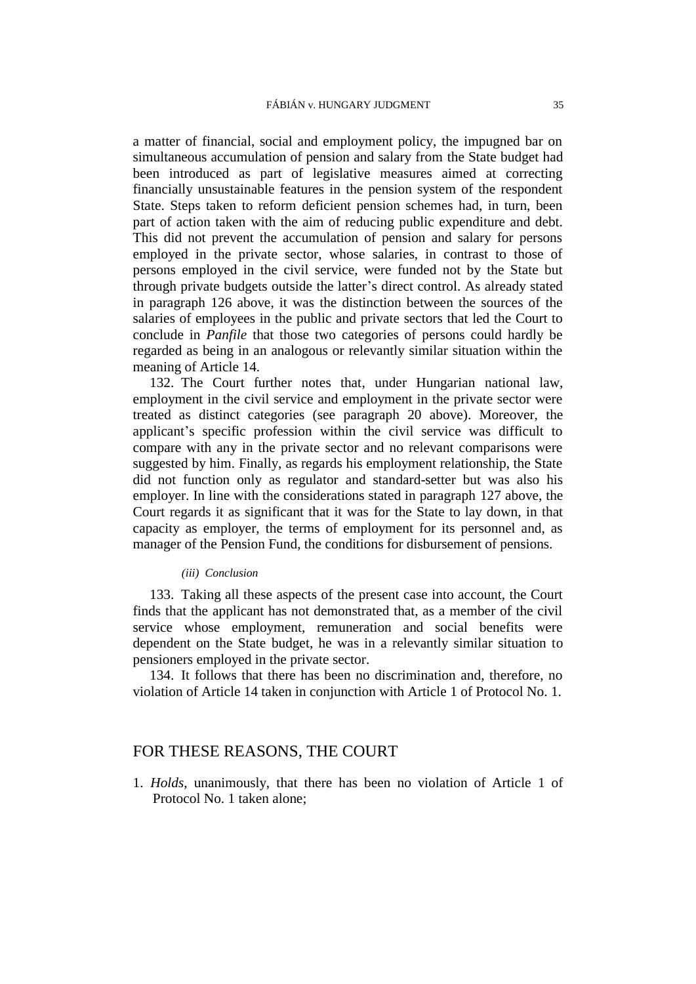a matter of financial, social and employment policy, the impugned bar on simultaneous accumulation of pension and salary from the State budget had been introduced as part of legislative measures aimed at correcting financially unsustainable features in the pension system of the respondent State. Steps taken to reform deficient pension schemes had, in turn, been part of action taken with the aim of reducing public expenditure and debt. This did not prevent the accumulation of pension and salary for persons employed in the private sector, whose salaries, in contrast to those of persons employed in the civil service, were funded not by the State but through private budgets outside the latter's direct control. As already stated in paragraph [126](#page-34-0) above, it was the distinction between the sources of the salaries of employees in the public and private sectors that led the Court to conclude in *Panfile* that those two categories of persons could hardly be regarded as being in an analogous or relevantly similar situation within the meaning of Article 14.

132. The Court further notes that, under Hungarian national law, employment in the civil service and employment in the private sector were treated as distinct categories (see paragraph [20](#page-6-3) above). Moreover, the applicant's specific profession within the civil service was difficult to compare with any in the private sector and no relevant comparisons were suggested by him. Finally, as regards his employment relationship, the State did not function only as regulator and standard-setter but was also his employer. In line with the considerations stated in paragraph [127](#page-34-1) above, the Court regards it as significant that it was for the State to lay down, in that capacity as employer, the terms of employment for its personnel and, as manager of the Pension Fund, the conditions for disbursement of pensions.

#### *(iii) Conclusion*

133. Taking all these aspects of the present case into account, the Court finds that the applicant has not demonstrated that, as a member of the civil service whose employment, remuneration and social benefits were dependent on the State budget, he was in a relevantly similar situation to pensioners employed in the private sector.

134. It follows that there has been no discrimination and, therefore, no violation of Article 14 taken in conjunction with Article 1 of Protocol No. 1.

## FOR THESE REASONS, THE COURT

1. *Holds*, unanimously, that there has been no violation of Article 1 of Protocol No. 1 taken alone;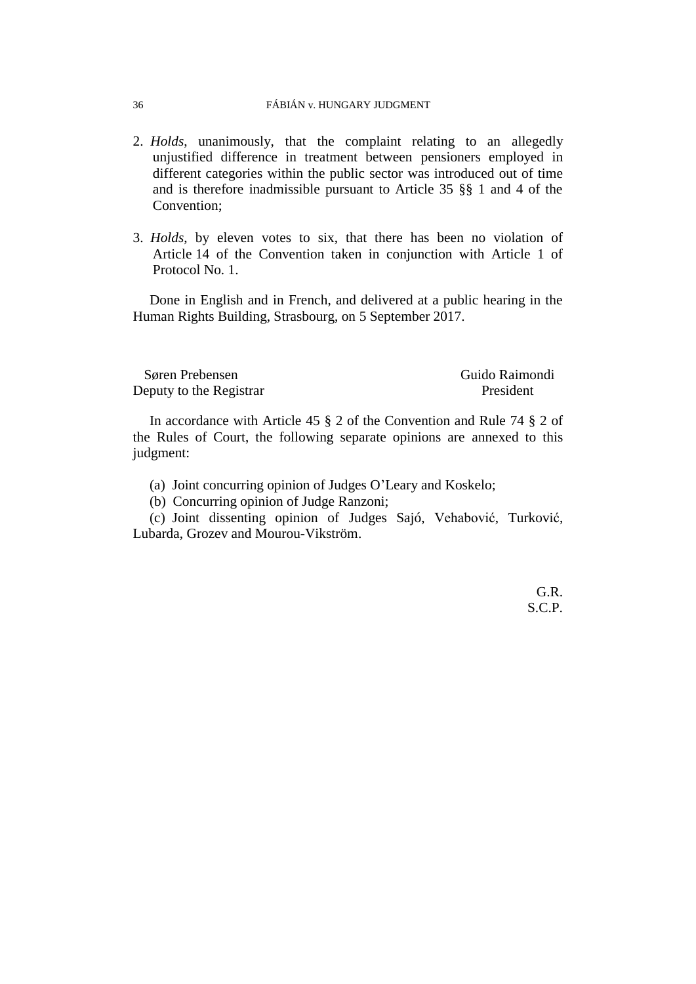#### 36 FÁBIÁN v. HUNGARY JUDGMENT

- 2. *Holds*, unanimously, that the complaint relating to an allegedly unjustified difference in treatment between pensioners employed in different categories within the public sector was introduced out of time and is therefore inadmissible pursuant to Article 35 §§ 1 and 4 of the Convention;
- 3. *Holds*, by eleven votes to six, that there has been no violation of Article 14 of the Convention taken in conjunction with Article 1 of Protocol No. 1.

Done in English and in French, and delivered at a public hearing in the Human Rights Building, Strasbourg, on 5 September 2017.

Søren Prebensen Guido Raimondi Deputy to the Registrar President

In accordance with Article 45 § 2 of the Convention and Rule 74 § 2 of the Rules of Court, the following separate opinions are annexed to this judgment:

(a) Joint concurring opinion of Judges O'Leary and Koskelo;

(b) Concurring opinion of Judge Ranzoni;

(c) Joint dissenting opinion of Judges Sajó, Vehabović, Turković, Lubarda, Grozev and Mourou-Vikström.

> G.R. S.C.P.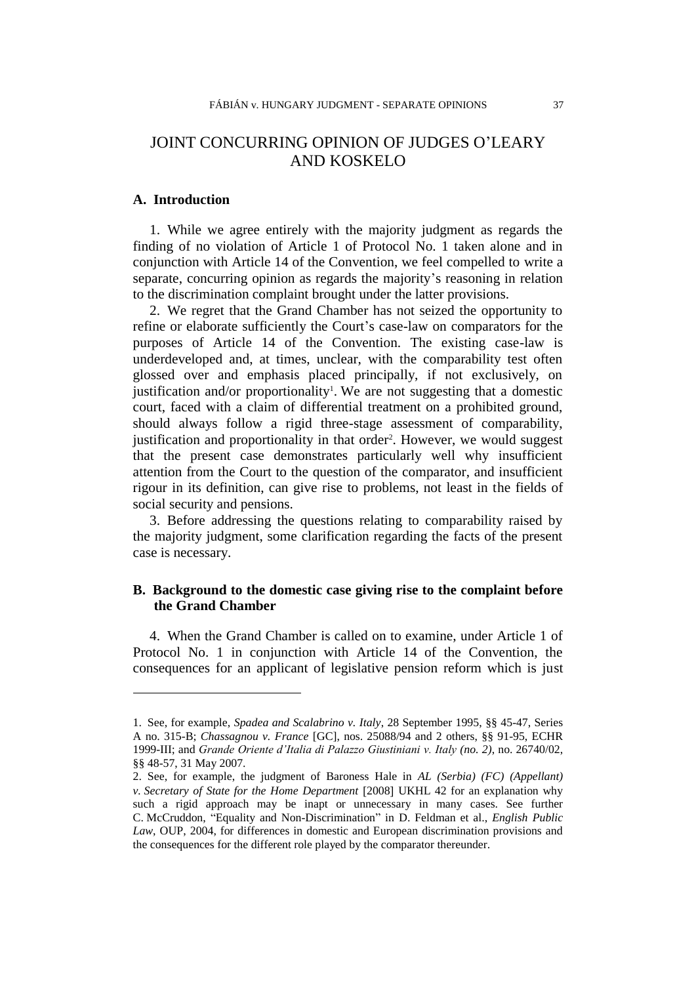# JOINT CONCURRING OPINION OF JUDGES O'LEARY AND KOSKELO

## **A. Introduction**

 $\overline{a}$ 

1. While we agree entirely with the majority judgment as regards the finding of no violation of Article 1 of Protocol No. 1 taken alone and in conjunction with Article 14 of the Convention, we feel compelled to write a separate, concurring opinion as regards the majority's reasoning in relation to the discrimination complaint brought under the latter provisions.

2. We regret that the Grand Chamber has not seized the opportunity to refine or elaborate sufficiently the Court's case-law on comparators for the purposes of Article 14 of the Convention. The existing case-law is underdeveloped and, at times, unclear, with the comparability test often glossed over and emphasis placed principally, if not exclusively, on justification and/or proportionality<sup>1</sup>. We are not suggesting that a domestic court, faced with a claim of differential treatment on a prohibited ground, should always follow a rigid three-stage assessment of comparability, justification and proportionality in that order<sup>2</sup>. However, we would suggest that the present case demonstrates particularly well why insufficient attention from the Court to the question of the comparator, and insufficient rigour in its definition, can give rise to problems, not least in the fields of social security and pensions.

3. Before addressing the questions relating to comparability raised by the majority judgment, some clarification regarding the facts of the present case is necessary.

## **B. Background to the domestic case giving rise to the complaint before the Grand Chamber**

4. When the Grand Chamber is called on to examine, under Article 1 of Protocol No. 1 in conjunction with Article 14 of the Convention, the consequences for an applicant of legislative pension reform which is just

<sup>1.</sup> See, for example, *Spadea and Scalabrino v. Italy*, 28 September 1995, §§ 45-47, Series A no. 315-B; *Chassagnou v. France* [GC], nos. 25088/94 and 2 others, §§ 91-95, ECHR 1999-III; and *Grande Oriente d'Italia di Palazzo Giustiniani v. Italy (no. 2)*, no. 26740/02, §§ 48-57, 31 May 2007.

<sup>2.</sup> See, for example, the judgment of Baroness Hale in *AL (Serbia) (FC) (Appellant) v. Secretary of State for the Home Department* [2008] UKHL 42 for an explanation why such a rigid approach may be inapt or unnecessary in many cases. See further C. McCruddon, "Equality and Non-Discrimination" in D. Feldman et al., *English Public Law*, OUP, 2004, for differences in domestic and European discrimination provisions and the consequences for the different role played by the comparator thereunder.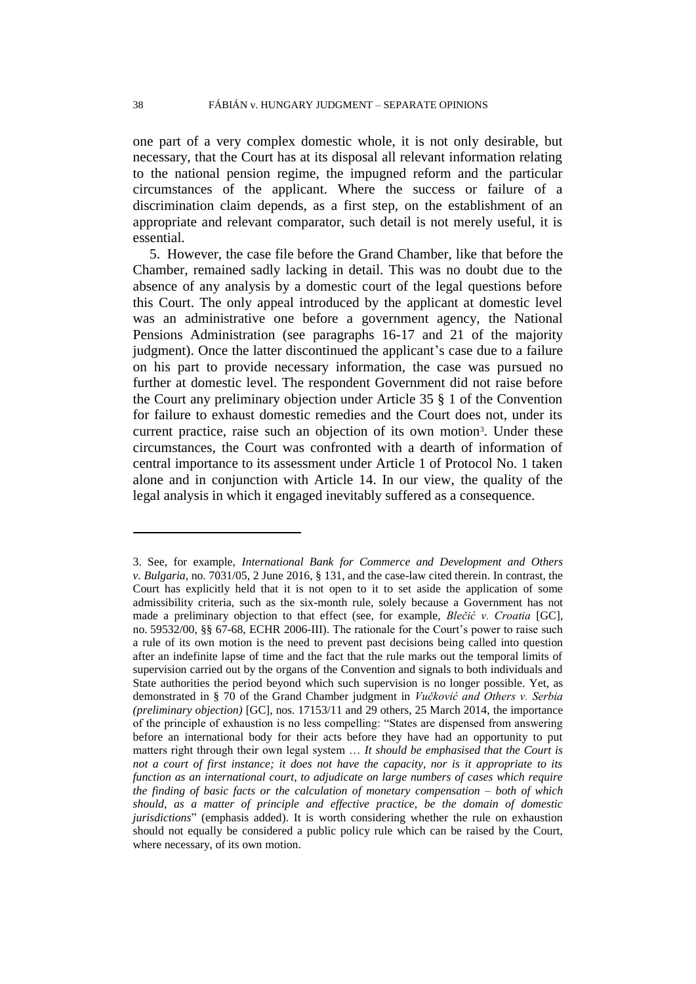one part of a very complex domestic whole, it is not only desirable, but necessary, that the Court has at its disposal all relevant information relating to the national pension regime, the impugned reform and the particular circumstances of the applicant. Where the success or failure of a discrimination claim depends, as a first step, on the establishment of an appropriate and relevant comparator, such detail is not merely useful, it is essential.

5. However, the case file before the Grand Chamber, like that before the Chamber, remained sadly lacking in detail. This was no doubt due to the absence of any analysis by a domestic court of the legal questions before this Court. The only appeal introduced by the applicant at domestic level was an administrative one before a government agency, the National Pensions Administration (see paragraphs 16-17 and 21 of the majority judgment). Once the latter discontinued the applicant's case due to a failure on his part to provide necessary information, the case was pursued no further at domestic level. The respondent Government did not raise before the Court any preliminary objection under Article 35 § 1 of the Convention for failure to exhaust domestic remedies and the Court does not, under its current practice, raise such an objection of its own motion<sup>3</sup>. Under these circumstances, the Court was confronted with a dearth of information of central importance to its assessment under Article 1 of Protocol No. 1 taken alone and in conjunction with Article 14. In our view, the quality of the legal analysis in which it engaged inevitably suffered as a consequence.

<sup>3.</sup> See, for example, *International Bank for Commerce and Development and Others v. Bulgaria*, no. 7031/05, 2 June 2016, § 131, and the case-law cited therein. In contrast, the Court has explicitly held that it is not open to it to set aside the application of some admissibility criteria, such as the six-month rule, solely because a Government has not made a preliminary objection to that effect (see, for example, *Blečić v. Croatia* [GC], no. 59532/00, §§ 67-68, ECHR 2006-III). The rationale for the Court's power to raise such a rule of its own motion is the need to prevent past decisions being called into question after an indefinite lapse of time and the fact that the rule marks out the temporal limits of supervision carried out by the organs of the Convention and signals to both individuals and State authorities the period beyond which such supervision is no longer possible. Yet, as demonstrated in § 70 of the Grand Chamber judgment in *Vučković and Others v. Serbia (preliminary objection)* [GC], nos. 17153/11 and 29 others, 25 March 2014, the importance of the principle of exhaustion is no less compelling: "States are dispensed from answering before an international body for their acts before they have had an opportunity to put matters right through their own legal system … *It should be emphasised that the Court is not a court of first instance; it does not have the capacity, nor is it appropriate to its function as an international court, to adjudicate on large numbers of cases which require the finding of basic facts or the calculation of monetary compensation – both of which should, as a matter of principle and effective practice, be the domain of domestic jurisdictions*" (emphasis added). It is worth considering whether the rule on exhaustion should not equally be considered a public policy rule which can be raised by the Court, where necessary, of its own motion.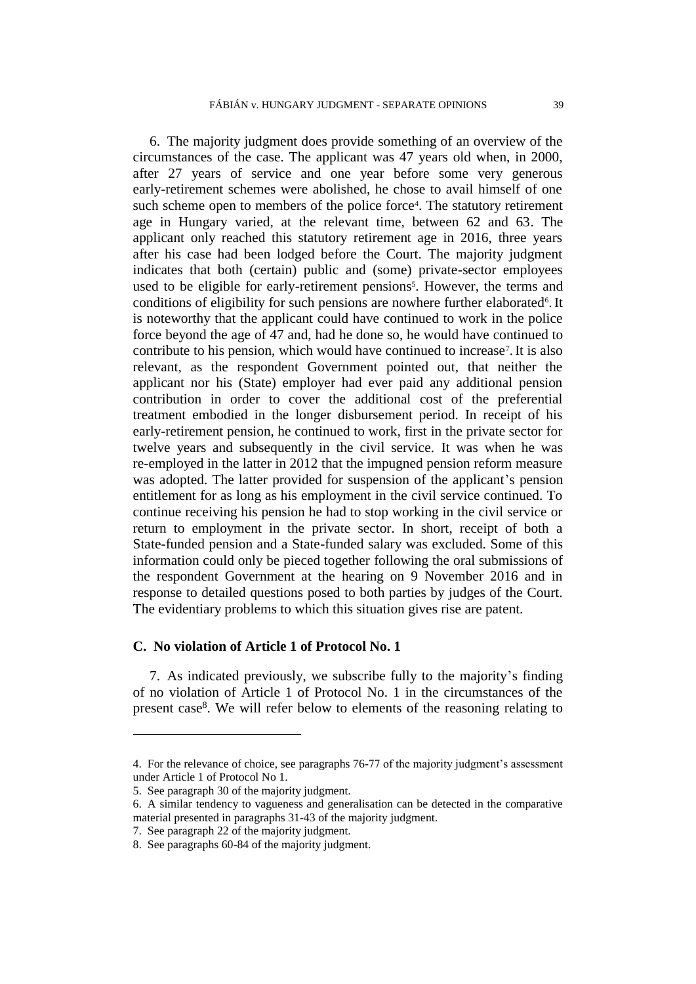6. The majority judgment does provide something of an overview of the circumstances of the case. The applicant was 47 years old when, in 2000, after 27 years of service and one year before some very generous early-retirement schemes were abolished, he chose to avail himself of one such scheme open to members of the police force<sup>4</sup>. The statutory retirement age in Hungary varied, at the relevant time, between 62 and 63. The applicant only reached this statutory retirement age in 2016, three years after his case had been lodged before the Court. The majority judgment indicates that both (certain) public and (some) private-sector employees used to be eligible for early-retirement pensions<sup>5</sup>. However, the terms and conditions of eligibility for such pensions are nowhere further elaborated<sup>6</sup>. It is noteworthy that the applicant could have continued to work in the police force beyond the age of 47 and, had he done so, he would have continued to contribute to his pension, which would have continued to increase<sup>7</sup> .It is also relevant, as the respondent Government pointed out, that neither the applicant nor his (State) employer had ever paid any additional pension contribution in order to cover the additional cost of the preferential treatment embodied in the longer disbursement period. In receipt of his early-retirement pension, he continued to work, first in the private sector for twelve years and subsequently in the civil service. It was when he was re-employed in the latter in 2012 that the impugned pension reform measure was adopted. The latter provided for suspension of the applicant's pension entitlement for as long as his employment in the civil service continued. To continue receiving his pension he had to stop working in the civil service or return to employment in the private sector. In short, receipt of both a State-funded pension and a State-funded salary was excluded. Some of this information could only be pieced together following the oral submissions of the respondent Government at the hearing on 9 November 2016 and in response to detailed questions posed to both parties by judges of the Court. The evidentiary problems to which this situation gives rise are patent.

### **C. No violation of Article 1 of Protocol No. 1**

7. As indicated previously, we subscribe fully to the majority's finding of no violation of Article 1 of Protocol No. 1 in the circumstances of the present case<sup>8</sup>. We will refer below to elements of the reasoning relating to

<sup>4.</sup> For the relevance of choice, see paragraphs 76-77 of the majority judgment's assessment under Article 1 of Protocol No 1.

<sup>5.</sup> See paragraph 30 of the majority judgment.

<sup>6.</sup> A similar tendency to vagueness and generalisation can be detected in the comparative material presented in paragraphs 31-43 of the majority judgment.

<sup>7.</sup> See paragraph 22 of the majority judgment.

<sup>8.</sup> See paragraphs 60-84 of the majority judgment.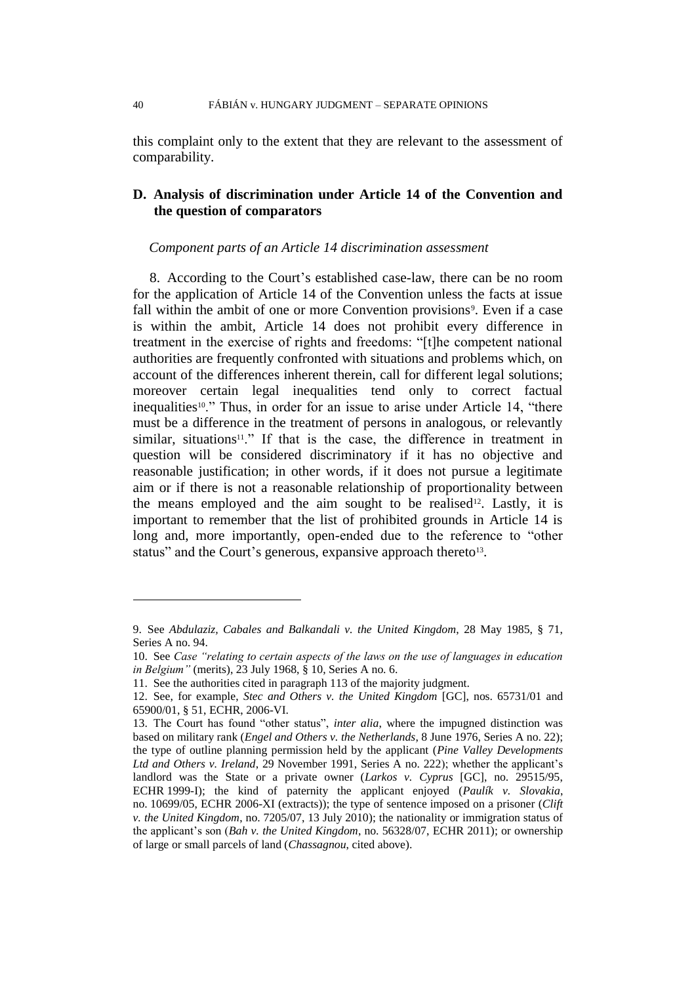this complaint only to the extent that they are relevant to the assessment of comparability.

## **D. Analysis of discrimination under Article 14 of the Convention and the question of comparators**

#### *Component parts of an Article 14 discrimination assessment*

8. According to the Court's established case-law, there can be no room for the application of Article 14 of the Convention unless the facts at issue fall within the ambit of one or more Convention provisions<sup>9</sup>. Even if a case is within the ambit, Article 14 does not prohibit every difference in treatment in the exercise of rights and freedoms: "[t]he competent national authorities are frequently confronted with situations and problems which, on account of the differences inherent therein, call for different legal solutions; moreover certain legal inequalities tend only to correct factual inequalities<sup>10</sup>." Thus, in order for an issue to arise under Article 14, "there must be a difference in the treatment of persons in analogous, or relevantly similar, situations<sup>11</sup>." If that is the case, the difference in treatment in question will be considered discriminatory if it has no objective and reasonable justification; in other words, if it does not pursue a legitimate aim or if there is not a reasonable relationship of proportionality between the means employed and the aim sought to be realised<sup>12</sup>. Lastly, it is important to remember that the list of prohibited grounds in Article 14 is long and, more importantly, open-ended due to the reference to "other status" and the Court's generous, expansive approach thereto<sup>13</sup>.

<sup>9.</sup> See *Abdulaziz, Cabales and Balkandali v. the United Kingdom*, 28 May 1985, § 71, Series A no. 94.

<sup>10.</sup> See *Case "relating to certain aspects of the laws on the use of languages in education in Belgium"* (merits), 23 July 1968, § 10, Series A no. 6.

<sup>11.</sup> See the authorities cited in paragraph 113 of the majority judgment.

<sup>12.</sup> See, for example, *Stec and Others v. the United Kingdom* [GC], nos. 65731/01 and 65900/01, § 51, ECHR, 2006-VI.

<sup>13.</sup> The Court has found "other status", *inter alia*, where the impugned distinction was based on military rank (*Engel and Others v. the Netherlands*, 8 June 1976, Series A no. 22); the type of outline planning permission held by the applicant (*Pine Valley Developments Ltd and Others v. Ireland*, 29 November 1991, Series A no. 222); whether the applicant's landlord was the State or a private owner (*Larkos v. Cyprus* [GC], no. 29515/95, ECHR 1999-I); the kind of paternity the applicant enjoyed (*Paulík v. Slovakia*, no. 10699/05, ECHR 2006-XI (extracts)); the type of sentence imposed on a prisoner (*Clift v. the United Kingdom*, no. 7205/07, 13 July 2010); the nationality or immigration status of the applicant's son (*Bah v. the United Kingdom*, no. 56328/07, ECHR 2011); or ownership of large or small parcels of land (*Chassagnou*, cited above).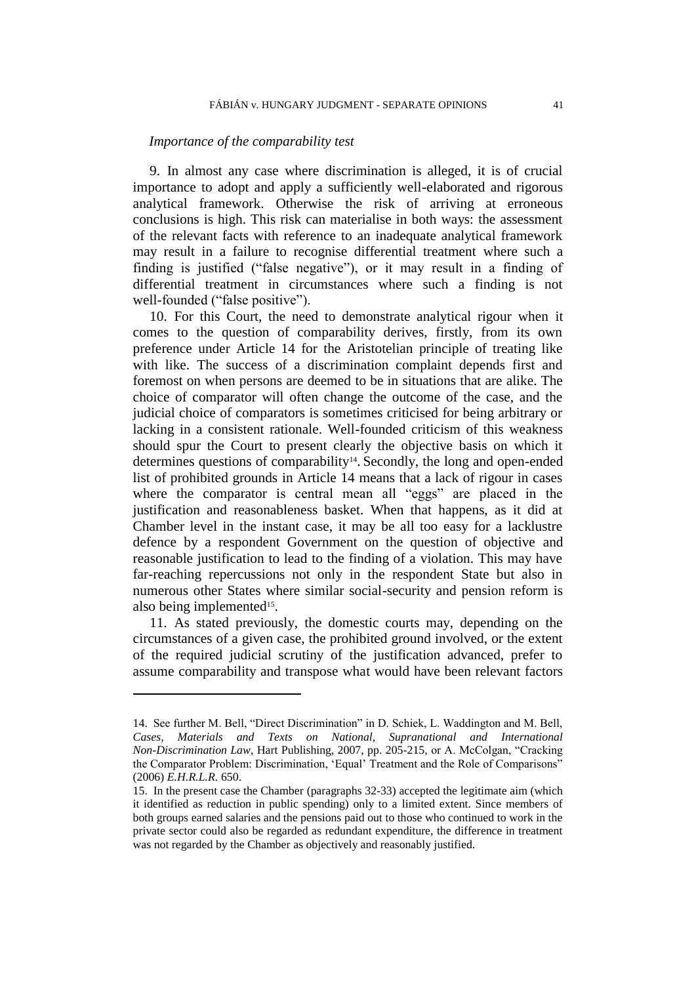#### *Importance of the comparability test*

9. In almost any case where discrimination is alleged, it is of crucial importance to adopt and apply a sufficiently well-elaborated and rigorous analytical framework. Otherwise the risk of arriving at erroneous conclusions is high. This risk can materialise in both ways: the assessment of the relevant facts with reference to an inadequate analytical framework may result in a failure to recognise differential treatment where such a finding is justified ("false negative"), or it may result in a finding of differential treatment in circumstances where such a finding is not well-founded ("false positive").

10. For this Court, the need to demonstrate analytical rigour when it comes to the question of comparability derives, firstly, from its own preference under Article 14 for the Aristotelian principle of treating like with like. The success of a discrimination complaint depends first and foremost on when persons are deemed to be in situations that are alike. The choice of comparator will often change the outcome of the case, and the judicial choice of comparators is sometimes criticised for being arbitrary or lacking in a consistent rationale. Well-founded criticism of this weakness should spur the Court to present clearly the objective basis on which it determines questions of comparability<sup>14</sup>. Secondly, the long and open-ended list of prohibited grounds in Article 14 means that a lack of rigour in cases where the comparator is central mean all "eggs" are placed in the justification and reasonableness basket. When that happens, as it did at Chamber level in the instant case, it may be all too easy for a lacklustre defence by a respondent Government on the question of objective and reasonable justification to lead to the finding of a violation. This may have far-reaching repercussions not only in the respondent State but also in numerous other States where similar social-security and pension reform is also being implemented<sup>15</sup>.

11. As stated previously, the domestic courts may, depending on the circumstances of a given case, the prohibited ground involved, or the extent of the required judicial scrutiny of the justification advanced, prefer to assume comparability and transpose what would have been relevant factors

<sup>14.</sup> See further M. Bell, "Direct Discrimination" in D. Schiek, L. Waddington and M. Bell, *Cases, Materials and Texts on National, Supranational and International Non-Discrimination Law*, Hart Publishing, 2007, pp. 205-215, or A. McColgan, "Cracking the Comparator Problem: Discrimination, 'Equal' Treatment and the Role of Comparisons" (2006) *E.H.R.L.R.* 650.

<sup>15.</sup> In the present case the Chamber (paragraphs 32-33) accepted the legitimate aim (which it identified as reduction in public spending) only to a limited extent. Since members of both groups earned salaries and the pensions paid out to those who continued to work in the private sector could also be regarded as redundant expenditure, the difference in treatment was not regarded by the Chamber as objectively and reasonably justified.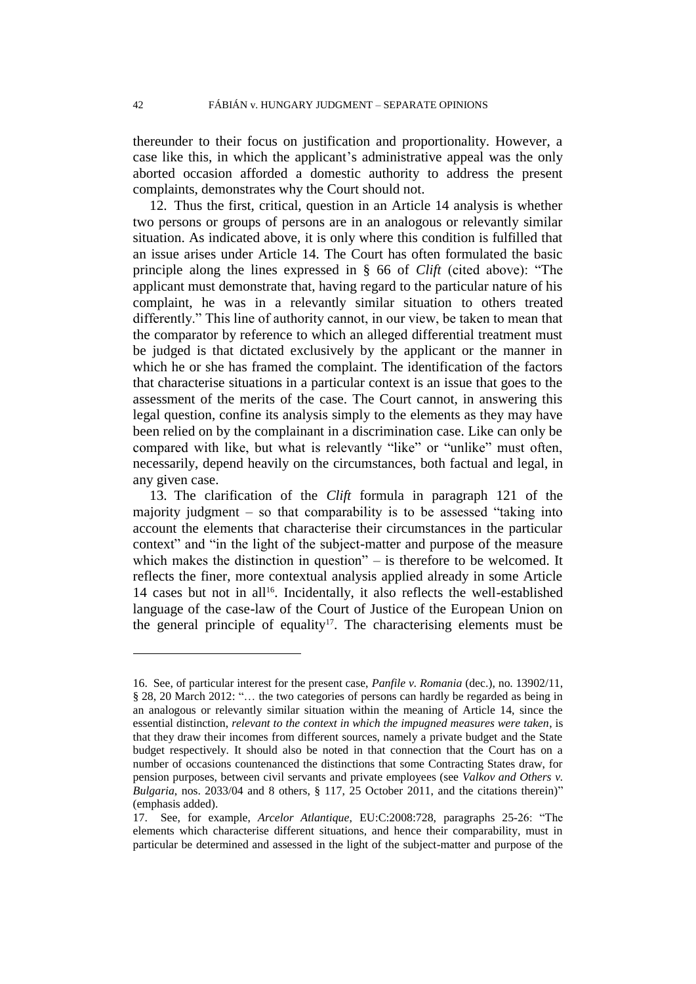thereunder to their focus on justification and proportionality. However, a case like this, in which the applicant's administrative appeal was the only aborted occasion afforded a domestic authority to address the present complaints, demonstrates why the Court should not.

12. Thus the first, critical, question in an Article 14 analysis is whether two persons or groups of persons are in an analogous or relevantly similar situation. As indicated above, it is only where this condition is fulfilled that an issue arises under Article 14. The Court has often formulated the basic principle along the lines expressed in § 66 of *Clift* (cited above): "The applicant must demonstrate that, having regard to the particular nature of his complaint, he was in a relevantly similar situation to others treated differently." This line of authority cannot, in our view, be taken to mean that the comparator by reference to which an alleged differential treatment must be judged is that dictated exclusively by the applicant or the manner in which he or she has framed the complaint. The identification of the factors that characterise situations in a particular context is an issue that goes to the assessment of the merits of the case. The Court cannot, in answering this legal question, confine its analysis simply to the elements as they may have been relied on by the complainant in a discrimination case. Like can only be compared with like, but what is relevantly "like" or "unlike" must often, necessarily, depend heavily on the circumstances, both factual and legal, in any given case.

13. The clarification of the *Clift* formula in paragraph 121 of the majority judgment – so that comparability is to be assessed "taking into account the elements that characterise their circumstances in the particular context" and "in the light of the subject-matter and purpose of the measure which makes the distinction in question" – is therefore to be welcomed. It reflects the finer, more contextual analysis applied already in some Article 14 cases but not in all<sup>16</sup>. Incidentally, it also reflects the well-established language of the case-law of the Court of Justice of the European Union on the general principle of equality<sup>17</sup>. The characterising elements must be

<sup>16.</sup> See, of particular interest for the present case, *Panfile v. Romania* (dec.), no. 13902/11, § 28, 20 March 2012: "… the two categories of persons can hardly be regarded as being in an analogous or relevantly similar situation within the meaning of Article 14, since the essential distinction, *relevant to the context in which the impugned measures were taken*, is that they draw their incomes from different sources, namely a private budget and the State budget respectively. It should also be noted in that connection that the Court has on a number of occasions countenanced the distinctions that some Contracting States draw, for pension purposes, between civil servants and private employees (see *Valkov and Others v. Bulgaria*, nos. 2033/04 and 8 others, § 117, 25 October 2011, and the citations therein)" (emphasis added).

<sup>17.</sup> See, for example, *Arcelor Atlantique*, EU:C:2008:728, paragraphs 25-26: "The elements which characterise different situations, and hence their comparability, must in particular be determined and assessed in the light of the subject-matter and purpose of the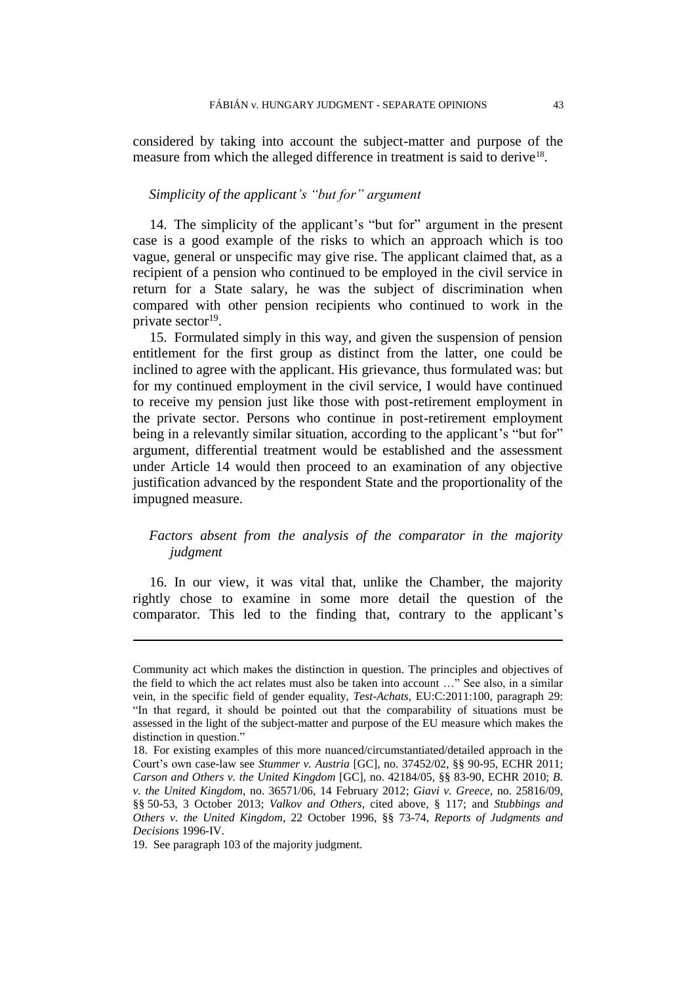considered by taking into account the subject-matter and purpose of the measure from which the alleged difference in treatment is said to derive<sup>18</sup>.

### *Simplicity of the applicant's "but for" argument*

14. The simplicity of the applicant's "but for" argument in the present case is a good example of the risks to which an approach which is too vague, general or unspecific may give rise. The applicant claimed that, as a recipient of a pension who continued to be employed in the civil service in return for a State salary, he was the subject of discrimination when compared with other pension recipients who continued to work in the private sector<sup>19</sup>.

15. Formulated simply in this way, and given the suspension of pension entitlement for the first group as distinct from the latter, one could be inclined to agree with the applicant. His grievance, thus formulated was: but for my continued employment in the civil service, I would have continued to receive my pension just like those with post-retirement employment in the private sector. Persons who continue in post-retirement employment being in a relevantly similar situation, according to the applicant's "but for" argument, differential treatment would be established and the assessment under Article 14 would then proceed to an examination of any objective justification advanced by the respondent State and the proportionality of the impugned measure.

## *Factors absent from the analysis of the comparator in the majority judgment*

16. In our view, it was vital that, unlike the Chamber, the majority rightly chose to examine in some more detail the question of the comparator. This led to the finding that, contrary to the applicant's

Community act which makes the distinction in question. The principles and objectives of the field to which the act relates must also be taken into account …" See also, in a similar vein, in the specific field of gender equality, *Test-Achats*, EU:C:2011:100, paragraph 29: "In that regard, it should be pointed out that the comparability of situations must be assessed in the light of the subject-matter and purpose of the EU measure which makes the distinction in question."

<sup>18.</sup> For existing examples of this more nuanced/circumstantiated/detailed approach in the Court's own case-law see *Stummer v. Austria* [GC], no. 37452/02, §§ 90-95, ECHR 2011; *Carson and Others v. the United Kingdom* [GC], no. 42184/05, §§ 83-90, ECHR 2010; *B. v. the United Kingdom*, no. 36571/06, 14 February 2012; *Giavi v. Greece,* no. 25816/09, §§ 50-53, 3 October 2013; *Valkov and Others*, cited above, § 117; and *Stubbings and Others v. the United Kingdom*, 22 October 1996, §§ 73-74, *Reports of Judgments and Decisions* 1996-IV.

<sup>19.</sup> See paragraph 103 of the majority judgment.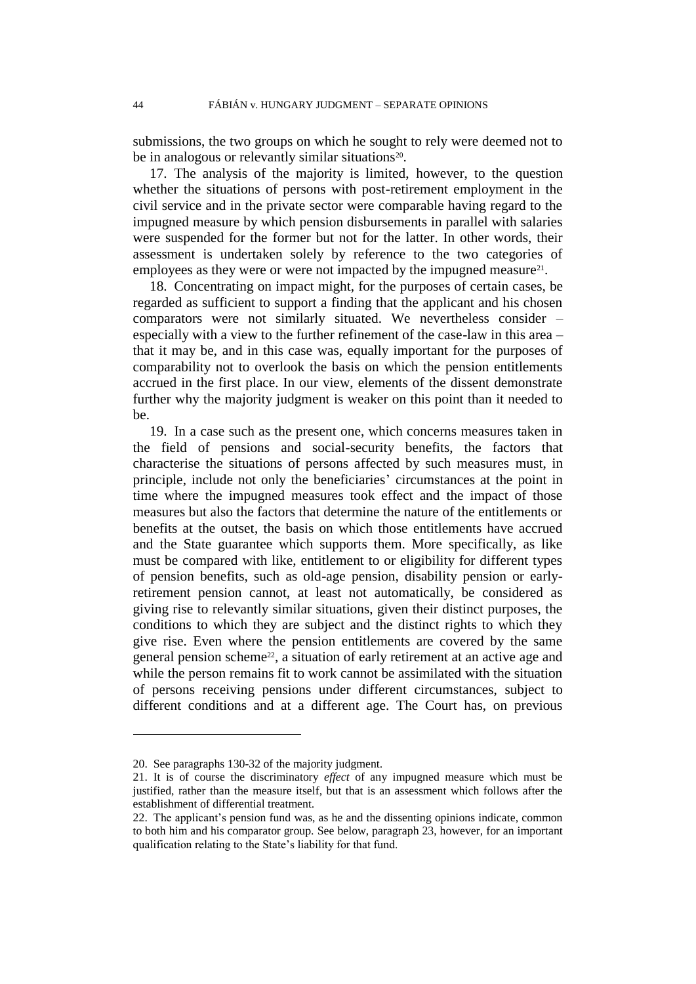submissions, the two groups on which he sought to rely were deemed not to be in analogous or relevantly similar situations<sup>20</sup>.

17. The analysis of the majority is limited, however, to the question whether the situations of persons with post-retirement employment in the civil service and in the private sector were comparable having regard to the impugned measure by which pension disbursements in parallel with salaries were suspended for the former but not for the latter. In other words, their assessment is undertaken solely by reference to the two categories of employees as they were or were not impacted by the impugned measure<sup>21</sup>.

18. Concentrating on impact might, for the purposes of certain cases, be regarded as sufficient to support a finding that the applicant and his chosen comparators were not similarly situated. We nevertheless consider – especially with a view to the further refinement of the case-law in this area – that it may be, and in this case was, equally important for the purposes of comparability not to overlook the basis on which the pension entitlements accrued in the first place. In our view, elements of the dissent demonstrate further why the majority judgment is weaker on this point than it needed to be.

19. In a case such as the present one, which concerns measures taken in the field of pensions and social-security benefits, the factors that characterise the situations of persons affected by such measures must, in principle, include not only the beneficiaries' circumstances at the point in time where the impugned measures took effect and the impact of those measures but also the factors that determine the nature of the entitlements or benefits at the outset, the basis on which those entitlements have accrued and the State guarantee which supports them. More specifically, as like must be compared with like, entitlement to or eligibility for different types of pension benefits, such as old-age pension, disability pension or earlyretirement pension cannot, at least not automatically, be considered as giving rise to relevantly similar situations, given their distinct purposes, the conditions to which they are subject and the distinct rights to which they give rise. Even where the pension entitlements are covered by the same general pension scheme<sup>22</sup>, a situation of early retirement at an active age and while the person remains fit to work cannot be assimilated with the situation of persons receiving pensions under different circumstances, subject to different conditions and at a different age. The Court has, on previous

<sup>20.</sup> See paragraphs 130-32 of the majority judgment.

<sup>21.</sup> It is of course the discriminatory *effect* of any impugned measure which must be justified, rather than the measure itself, but that is an assessment which follows after the establishment of differential treatment.

<sup>22.</sup> The applicant's pension fund was, as he and the dissenting opinions indicate, common to both him and his comparator group. See below, paragraph 23, however, for an important qualification relating to the State's liability for that fund.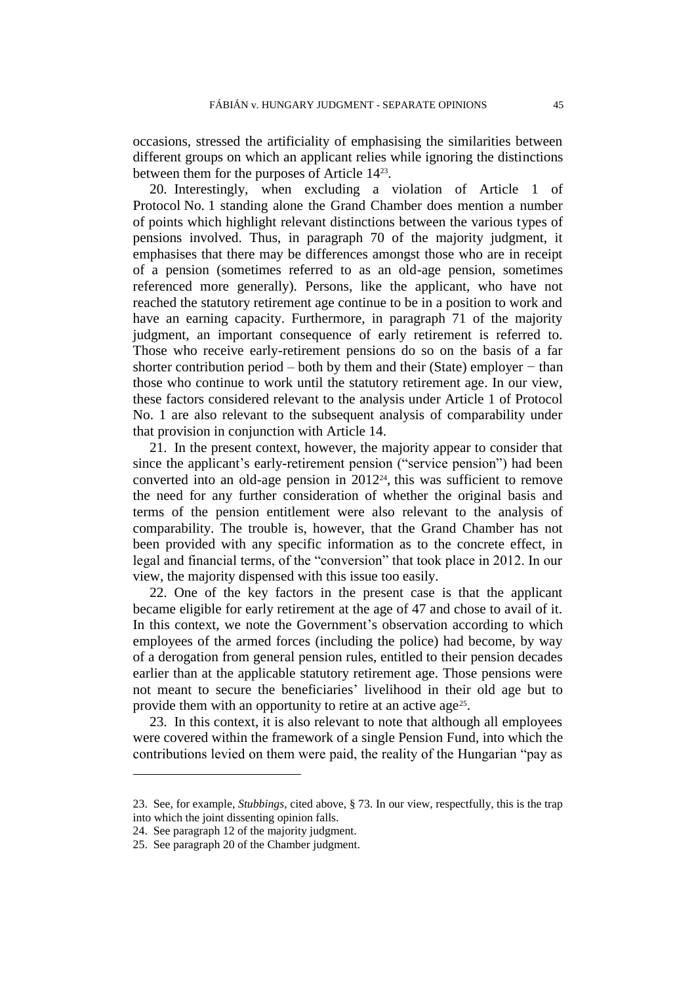occasions, stressed the artificiality of emphasising the similarities between different groups on which an applicant relies while ignoring the distinctions between them for the purposes of Article 14<sup>23</sup> .

20. Interestingly, when excluding a violation of Article 1 of Protocol No. 1 standing alone the Grand Chamber does mention a number of points which highlight relevant distinctions between the various types of pensions involved. Thus, in paragraph 70 of the majority judgment, it emphasises that there may be differences amongst those who are in receipt of a pension (sometimes referred to as an old-age pension, sometimes referenced more generally). Persons, like the applicant, who have not reached the statutory retirement age continue to be in a position to work and have an earning capacity. Furthermore, in paragraph 71 of the majority judgment, an important consequence of early retirement is referred to. Those who receive early-retirement pensions do so on the basis of a far shorter contribution period – both by them and their (State) employer – than those who continue to work until the statutory retirement age. In our view, these factors considered relevant to the analysis under Article 1 of Protocol No. 1 are also relevant to the subsequent analysis of comparability under that provision in conjunction with Article 14.

21. In the present context, however, the majority appear to consider that since the applicant's early-retirement pension ("service pension") had been converted into an old-age pension in  $2012<sup>24</sup>$ , this was sufficient to remove the need for any further consideration of whether the original basis and terms of the pension entitlement were also relevant to the analysis of comparability. The trouble is, however, that the Grand Chamber has not been provided with any specific information as to the concrete effect, in legal and financial terms, of the "conversion" that took place in 2012. In our view, the majority dispensed with this issue too easily.

22. One of the key factors in the present case is that the applicant became eligible for early retirement at the age of 47 and chose to avail of it. In this context, we note the Government's observation according to which employees of the armed forces (including the police) had become, by way of a derogation from general pension rules, entitled to their pension decades earlier than at the applicable statutory retirement age. Those pensions were not meant to secure the beneficiaries' livelihood in their old age but to provide them with an opportunity to retire at an active age<sup>25</sup>.

23. In this context, it is also relevant to note that although all employees were covered within the framework of a single Pension Fund, into which the contributions levied on them were paid, the reality of the Hungarian "pay as

<sup>23.</sup> See, for example, *Stubbings*, cited above, § 73. In our view, respectfully, this is the trap into which the joint dissenting opinion falls.

<sup>24.</sup> See paragraph 12 of the majority judgment.

<sup>25.</sup> See paragraph 20 of the Chamber judgment.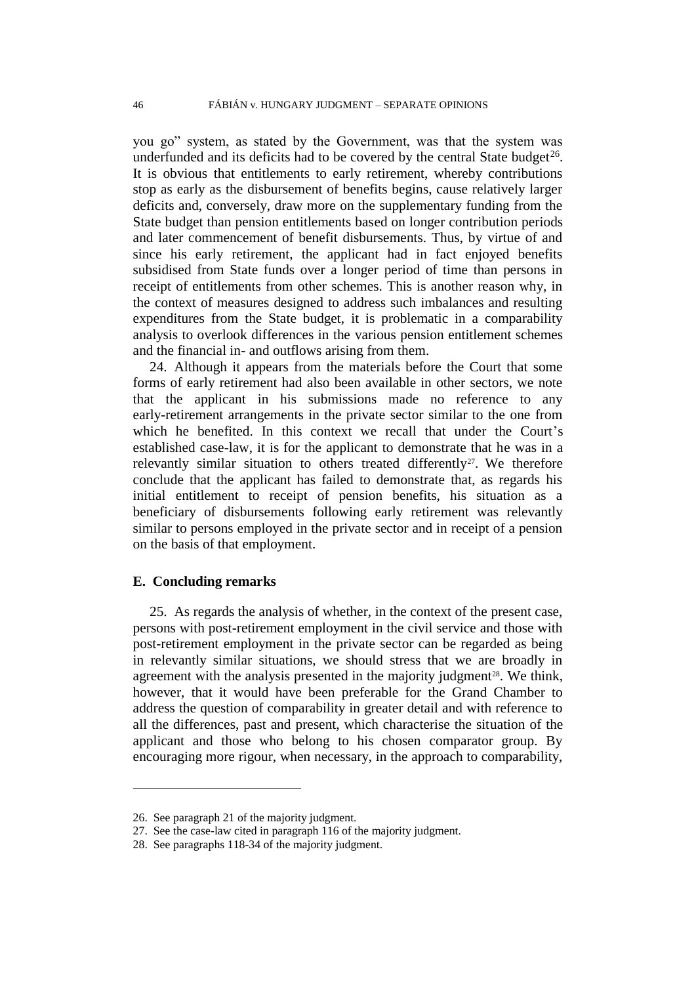you go" system, as stated by the Government, was that the system was underfunded and its deficits had to be covered by the central State budget<sup>26</sup>. It is obvious that entitlements to early retirement, whereby contributions stop as early as the disbursement of benefits begins, cause relatively larger deficits and, conversely, draw more on the supplementary funding from the State budget than pension entitlements based on longer contribution periods and later commencement of benefit disbursements. Thus, by virtue of and since his early retirement, the applicant had in fact enjoyed benefits subsidised from State funds over a longer period of time than persons in receipt of entitlements from other schemes. This is another reason why, in the context of measures designed to address such imbalances and resulting expenditures from the State budget, it is problematic in a comparability analysis to overlook differences in the various pension entitlement schemes and the financial in- and outflows arising from them.

24. Although it appears from the materials before the Court that some forms of early retirement had also been available in other sectors, we note that the applicant in his submissions made no reference to any early-retirement arrangements in the private sector similar to the one from which he benefited. In this context we recall that under the Court's established case-law, it is for the applicant to demonstrate that he was in a relevantly similar situation to others treated differently<sup>27</sup>. We therefore conclude that the applicant has failed to demonstrate that, as regards his initial entitlement to receipt of pension benefits, his situation as a beneficiary of disbursements following early retirement was relevantly similar to persons employed in the private sector and in receipt of a pension on the basis of that employment.

### **E. Concluding remarks**

 $\overline{a}$ 

25. As regards the analysis of whether, in the context of the present case, persons with post-retirement employment in the civil service and those with post-retirement employment in the private sector can be regarded as being in relevantly similar situations, we should stress that we are broadly in agreement with the analysis presented in the majority judgment<sup>28</sup>. We think, however, that it would have been preferable for the Grand Chamber to address the question of comparability in greater detail and with reference to all the differences, past and present, which characterise the situation of the applicant and those who belong to his chosen comparator group. By encouraging more rigour, when necessary, in the approach to comparability,

<sup>26.</sup> See paragraph 21 of the majority judgment.

<sup>27.</sup> See the case-law cited in paragraph 116 of the majority judgment.

<sup>28.</sup> See paragraphs 118-34 of the majority judgment.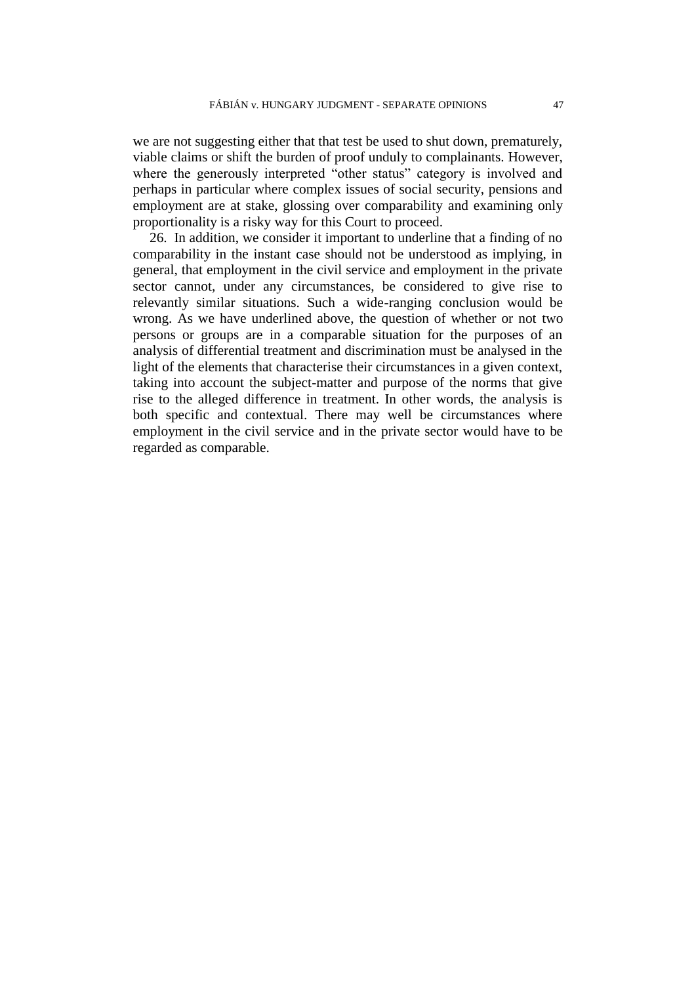we are not suggesting either that that test be used to shut down, prematurely, viable claims or shift the burden of proof unduly to complainants. However, where the generously interpreted "other status" category is involved and perhaps in particular where complex issues of social security, pensions and employment are at stake, glossing over comparability and examining only proportionality is a risky way for this Court to proceed.

26. In addition, we consider it important to underline that a finding of no comparability in the instant case should not be understood as implying, in general, that employment in the civil service and employment in the private sector cannot, under any circumstances, be considered to give rise to relevantly similar situations. Such a wide-ranging conclusion would be wrong. As we have underlined above, the question of whether or not two persons or groups are in a comparable situation for the purposes of an analysis of differential treatment and discrimination must be analysed in the light of the elements that characterise their circumstances in a given context, taking into account the subject-matter and purpose of the norms that give rise to the alleged difference in treatment. In other words, the analysis is both specific and contextual. There may well be circumstances where employment in the civil service and in the private sector would have to be regarded as comparable.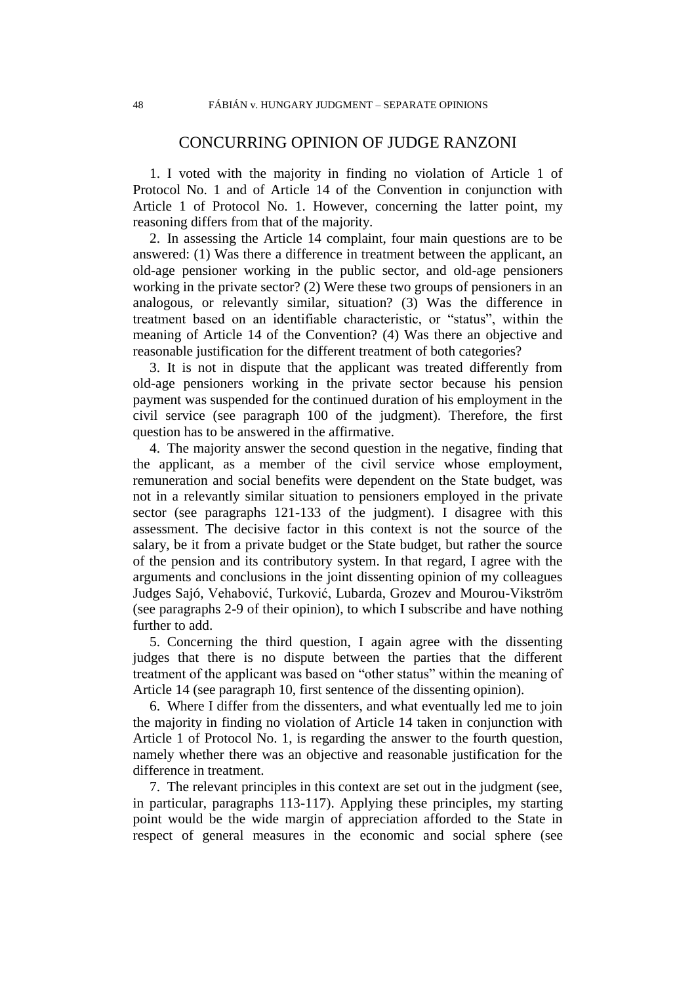## CONCURRING OPINION OF JUDGE RANZONI

1. I voted with the majority in finding no violation of Article 1 of Protocol No. 1 and of Article 14 of the Convention in conjunction with Article 1 of Protocol No. 1. However, concerning the latter point, my reasoning differs from that of the majority.

2. In assessing the Article 14 complaint, four main questions are to be answered: (1) Was there a difference in treatment between the applicant, an old-age pensioner working in the public sector, and old-age pensioners working in the private sector? (2) Were these two groups of pensioners in an analogous, or relevantly similar, situation? (3) Was the difference in treatment based on an identifiable characteristic, or "status", within the meaning of Article 14 of the Convention? (4) Was there an objective and reasonable justification for the different treatment of both categories?

3. It is not in dispute that the applicant was treated differently from old-age pensioners working in the private sector because his pension payment was suspended for the continued duration of his employment in the civil service (see paragraph 100 of the judgment). Therefore, the first question has to be answered in the affirmative.

4. The majority answer the second question in the negative, finding that the applicant, as a member of the civil service whose employment, remuneration and social benefits were dependent on the State budget, was not in a relevantly similar situation to pensioners employed in the private sector (see paragraphs 121-133 of the judgment). I disagree with this assessment. The decisive factor in this context is not the source of the salary, be it from a private budget or the State budget, but rather the source of the pension and its contributory system. In that regard, I agree with the arguments and conclusions in the joint dissenting opinion of my colleagues Judges Sajó, Vehabović, Turković, Lubarda, Grozev and Mourou-Vikström (see paragraphs 2-9 of their opinion), to which I subscribe and have nothing further to add.

5. Concerning the third question, I again agree with the dissenting judges that there is no dispute between the parties that the different treatment of the applicant was based on "other status" within the meaning of Article 14 (see paragraph 10, first sentence of the dissenting opinion).

6. Where I differ from the dissenters, and what eventually led me to join the majority in finding no violation of Article 14 taken in conjunction with Article 1 of Protocol No. 1, is regarding the answer to the fourth question, namely whether there was an objective and reasonable justification for the difference in treatment.

7. The relevant principles in this context are set out in the judgment (see, in particular, paragraphs 113-117). Applying these principles, my starting point would be the wide margin of appreciation afforded to the State in respect of general measures in the economic and social sphere (see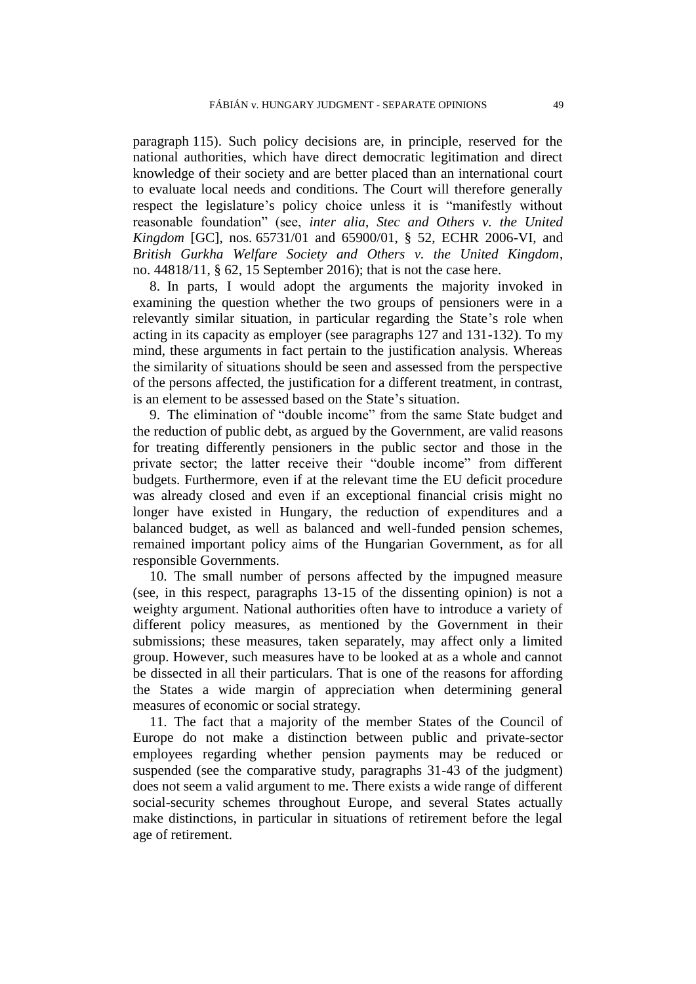paragraph 115). Such policy decisions are, in principle, reserved for the national authorities, which have direct democratic legitimation and direct knowledge of their society and are better placed than an international court to evaluate local needs and conditions. The Court will therefore generally respect the legislature's policy choice unless it is "manifestly without reasonable foundation" (see, *inter alia*, *Stec and Others v. the United Kingdom* [GC], nos. 65731/01 and 65900/01, § 52, ECHR 2006-VI, and *British Gurkha Welfare Society and Others v. the United Kingdom*, no. 44818/11, § 62, 15 September 2016); that is not the case here.

8. In parts, I would adopt the arguments the majority invoked in examining the question whether the two groups of pensioners were in a relevantly similar situation, in particular regarding the State's role when acting in its capacity as employer (see paragraphs 127 and 131-132). To my mind, these arguments in fact pertain to the justification analysis. Whereas the similarity of situations should be seen and assessed from the perspective of the persons affected, the justification for a different treatment, in contrast, is an element to be assessed based on the State's situation.

9. The elimination of "double income" from the same State budget and the reduction of public debt, as argued by the Government, are valid reasons for treating differently pensioners in the public sector and those in the private sector; the latter receive their "double income" from different budgets. Furthermore, even if at the relevant time the EU deficit procedure was already closed and even if an exceptional financial crisis might no longer have existed in Hungary, the reduction of expenditures and a balanced budget, as well as balanced and well-funded pension schemes, remained important policy aims of the Hungarian Government, as for all responsible Governments.

10. The small number of persons affected by the impugned measure (see, in this respect, paragraphs 13-15 of the dissenting opinion) is not a weighty argument. National authorities often have to introduce a variety of different policy measures, as mentioned by the Government in their submissions; these measures, taken separately, may affect only a limited group. However, such measures have to be looked at as a whole and cannot be dissected in all their particulars. That is one of the reasons for affording the States a wide margin of appreciation when determining general measures of economic or social strategy.

11. The fact that a majority of the member States of the Council of Europe do not make a distinction between public and private-sector employees regarding whether pension payments may be reduced or suspended (see the comparative study, paragraphs 31-43 of the judgment) does not seem a valid argument to me. There exists a wide range of different social-security schemes throughout Europe, and several States actually make distinctions, in particular in situations of retirement before the legal age of retirement.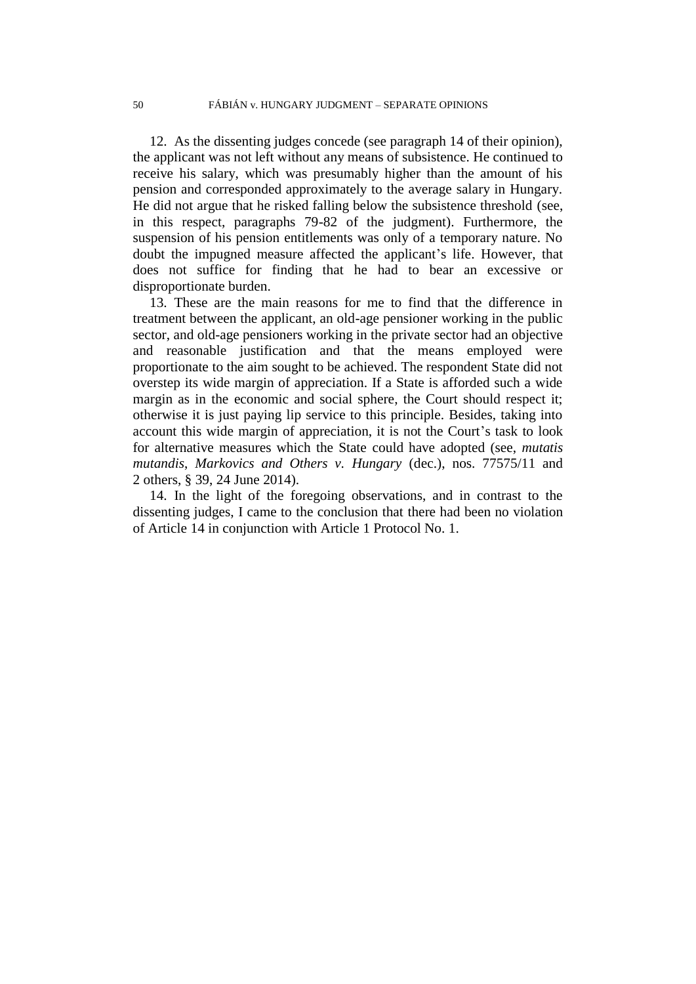12. As the dissenting judges concede (see paragraph 14 of their opinion), the applicant was not left without any means of subsistence. He continued to receive his salary, which was presumably higher than the amount of his pension and corresponded approximately to the average salary in Hungary. He did not argue that he risked falling below the subsistence threshold (see, in this respect, paragraphs 79-82 of the judgment). Furthermore, the suspension of his pension entitlements was only of a temporary nature. No doubt the impugned measure affected the applicant's life. However, that does not suffice for finding that he had to bear an excessive or disproportionate burden.

13. These are the main reasons for me to find that the difference in treatment between the applicant, an old-age pensioner working in the public sector, and old-age pensioners working in the private sector had an objective and reasonable justification and that the means employed were proportionate to the aim sought to be achieved. The respondent State did not overstep its wide margin of appreciation. If a State is afforded such a wide margin as in the economic and social sphere, the Court should respect it; otherwise it is just paying lip service to this principle. Besides, taking into account this wide margin of appreciation, it is not the Court's task to look for alternative measures which the State could have adopted (see, *mutatis mutandis*, *Markovics and Others v. Hungary* (dec.), nos. 77575/11 and 2 others, § 39, 24 June 2014).

14. In the light of the foregoing observations, and in contrast to the dissenting judges, I came to the conclusion that there had been no violation of Article 14 in conjunction with Article 1 Protocol No. 1.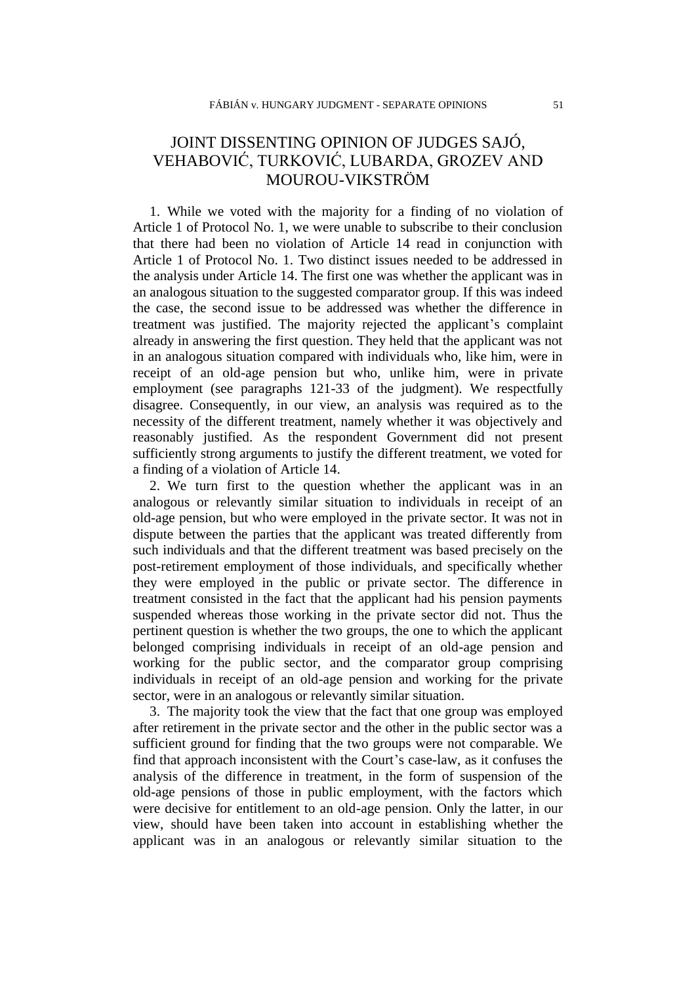# JOINT DISSENTING OPINION OF JUDGES SAJÓ, VEHABOVIĆ, TURKOVIĆ, LUBARDA, GROZEV AND MOUROU-VIKSTRÖM

1. While we voted with the majority for a finding of no violation of Article 1 of Protocol No. 1, we were unable to subscribe to their conclusion that there had been no violation of Article 14 read in conjunction with Article 1 of Protocol No. 1. Two distinct issues needed to be addressed in the analysis under Article 14. The first one was whether the applicant was in an analogous situation to the suggested comparator group. If this was indeed the case, the second issue to be addressed was whether the difference in treatment was justified. The majority rejected the applicant's complaint already in answering the first question. They held that the applicant was not in an analogous situation compared with individuals who, like him, were in receipt of an old-age pension but who, unlike him, were in private employment (see paragraphs 121-33 of the judgment). We respectfully disagree. Consequently, in our view, an analysis was required as to the necessity of the different treatment, namely whether it was objectively and reasonably justified. As the respondent Government did not present sufficiently strong arguments to justify the different treatment, we voted for a finding of a violation of Article 14.

2. We turn first to the question whether the applicant was in an analogous or relevantly similar situation to individuals in receipt of an old-age pension, but who were employed in the private sector. It was not in dispute between the parties that the applicant was treated differently from such individuals and that the different treatment was based precisely on the post-retirement employment of those individuals, and specifically whether they were employed in the public or private sector. The difference in treatment consisted in the fact that the applicant had his pension payments suspended whereas those working in the private sector did not. Thus the pertinent question is whether the two groups, the one to which the applicant belonged comprising individuals in receipt of an old-age pension and working for the public sector, and the comparator group comprising individuals in receipt of an old-age pension and working for the private sector, were in an analogous or relevantly similar situation.

3. The majority took the view that the fact that one group was employed after retirement in the private sector and the other in the public sector was a sufficient ground for finding that the two groups were not comparable. We find that approach inconsistent with the Court's case-law, as it confuses the analysis of the difference in treatment, in the form of suspension of the old-age pensions of those in public employment, with the factors which were decisive for entitlement to an old-age pension. Only the latter, in our view, should have been taken into account in establishing whether the applicant was in an analogous or relevantly similar situation to the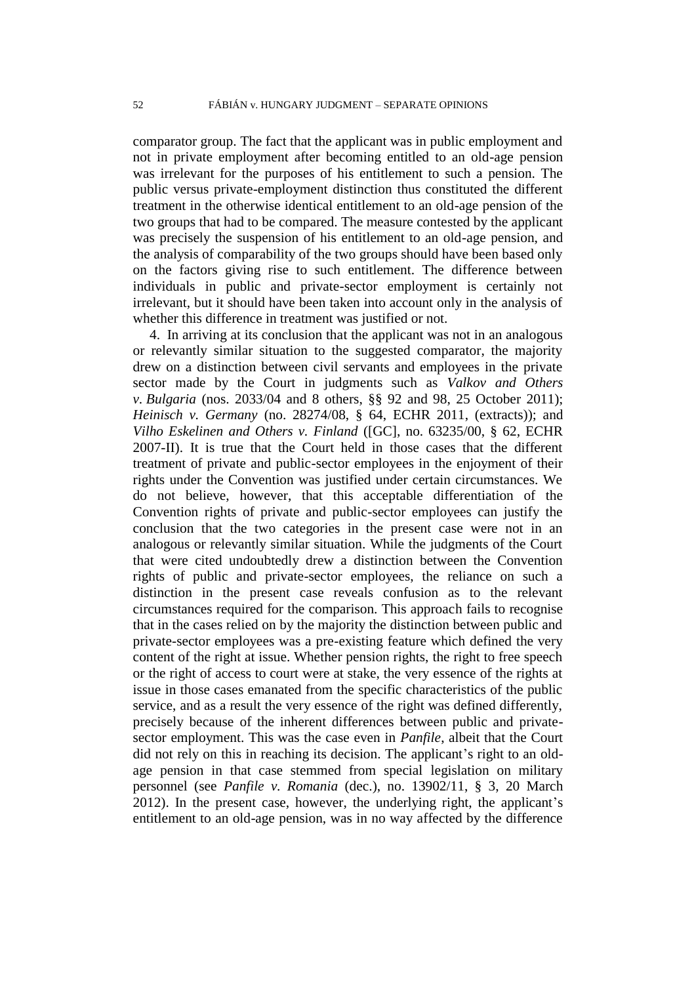comparator group. The fact that the applicant was in public employment and not in private employment after becoming entitled to an old-age pension was irrelevant for the purposes of his entitlement to such a pension. The public versus private-employment distinction thus constituted the different treatment in the otherwise identical entitlement to an old-age pension of the two groups that had to be compared. The measure contested by the applicant was precisely the suspension of his entitlement to an old-age pension, and the analysis of comparability of the two groups should have been based only on the factors giving rise to such entitlement. The difference between individuals in public and private-sector employment is certainly not irrelevant, but it should have been taken into account only in the analysis of whether this difference in treatment was justified or not.

4. In arriving at its conclusion that the applicant was not in an analogous or relevantly similar situation to the suggested comparator, the majority drew on a distinction between civil servants and employees in the private sector made by the Court in judgments such as *Valkov and Others v. Bulgaria* (nos. 2033/04 and 8 others, §§ 92 and 98, 25 October 2011); *Heinisch v. Germany* (no. 28274/08, § 64, ECHR 2011, (extracts)); and *Vilho Eskelinen and Others v. Finland* ([GC], no. 63235/00, § 62, ECHR 2007-II). It is true that the Court held in those cases that the different treatment of private and public-sector employees in the enjoyment of their rights under the Convention was justified under certain circumstances. We do not believe, however, that this acceptable differentiation of the Convention rights of private and public-sector employees can justify the conclusion that the two categories in the present case were not in an analogous or relevantly similar situation. While the judgments of the Court that were cited undoubtedly drew a distinction between the Convention rights of public and private-sector employees, the reliance on such a distinction in the present case reveals confusion as to the relevant circumstances required for the comparison. This approach fails to recognise that in the cases relied on by the majority the distinction between public and private-sector employees was a pre-existing feature which defined the very content of the right at issue. Whether pension rights, the right to free speech or the right of access to court were at stake, the very essence of the rights at issue in those cases emanated from the specific characteristics of the public service, and as a result the very essence of the right was defined differently, precisely because of the inherent differences between public and privatesector employment. This was the case even in *Panfile*, albeit that the Court did not rely on this in reaching its decision. The applicant's right to an oldage pension in that case stemmed from special legislation on military personnel (see *Panfile v. Romania* (dec.), no. 13902/11, § 3, 20 March 2012). In the present case, however, the underlying right, the applicant's entitlement to an old-age pension, was in no way affected by the difference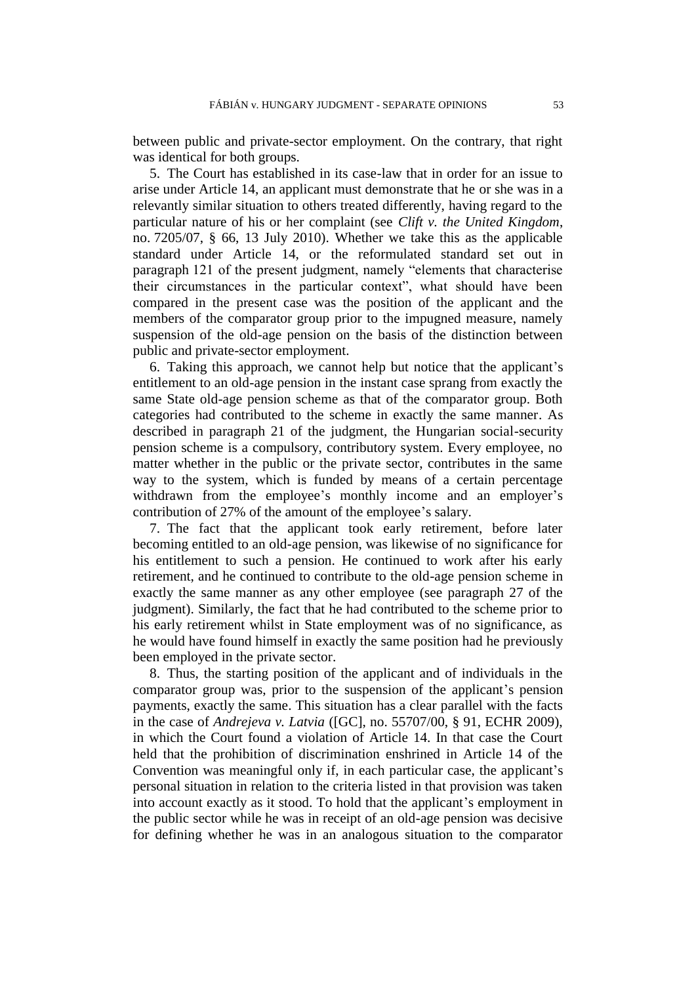between public and private-sector employment. On the contrary, that right was identical for both groups.

5. The Court has established in its case-law that in order for an issue to arise under Article 14, an applicant must demonstrate that he or she was in a relevantly similar situation to others treated differently, having regard to the particular nature of his or her complaint (see *Clift v. the United Kingdom*, no. 7205/07, § 66, 13 July 2010). Whether we take this as the applicable standard under Article 14, or the reformulated standard set out in paragraph 121 of the present judgment, namely "elements that characterise their circumstances in the particular context", what should have been compared in the present case was the position of the applicant and the members of the comparator group prior to the impugned measure, namely suspension of the old-age pension on the basis of the distinction between public and private-sector employment.

6. Taking this approach, we cannot help but notice that the applicant's entitlement to an old-age pension in the instant case sprang from exactly the same State old-age pension scheme as that of the comparator group. Both categories had contributed to the scheme in exactly the same manner. As described in paragraph 21 of the judgment, the Hungarian social-security pension scheme is a compulsory, contributory system. Every employee, no matter whether in the public or the private sector, contributes in the same way to the system, which is funded by means of a certain percentage withdrawn from the employee's monthly income and an employer's contribution of 27% of the amount of the employee's salary.

7. The fact that the applicant took early retirement, before later becoming entitled to an old-age pension, was likewise of no significance for his entitlement to such a pension. He continued to work after his early retirement, and he continued to contribute to the old-age pension scheme in exactly the same manner as any other employee (see paragraph 27 of the judgment). Similarly, the fact that he had contributed to the scheme prior to his early retirement whilst in State employment was of no significance, as he would have found himself in exactly the same position had he previously been employed in the private sector.

8. Thus, the starting position of the applicant and of individuals in the comparator group was, prior to the suspension of the applicant's pension payments, exactly the same. This situation has a clear parallel with the facts in the case of *Andrejeva v. Latvia* ([GC], no. 55707/00, § 91, ECHR 2009), in which the Court found a violation of Article 14. In that case the Court held that the prohibition of discrimination enshrined in Article 14 of the Convention was meaningful only if, in each particular case, the applicant's personal situation in relation to the criteria listed in that provision was taken into account exactly as it stood. To hold that the applicant's employment in the public sector while he was in receipt of an old-age pension was decisive for defining whether he was in an analogous situation to the comparator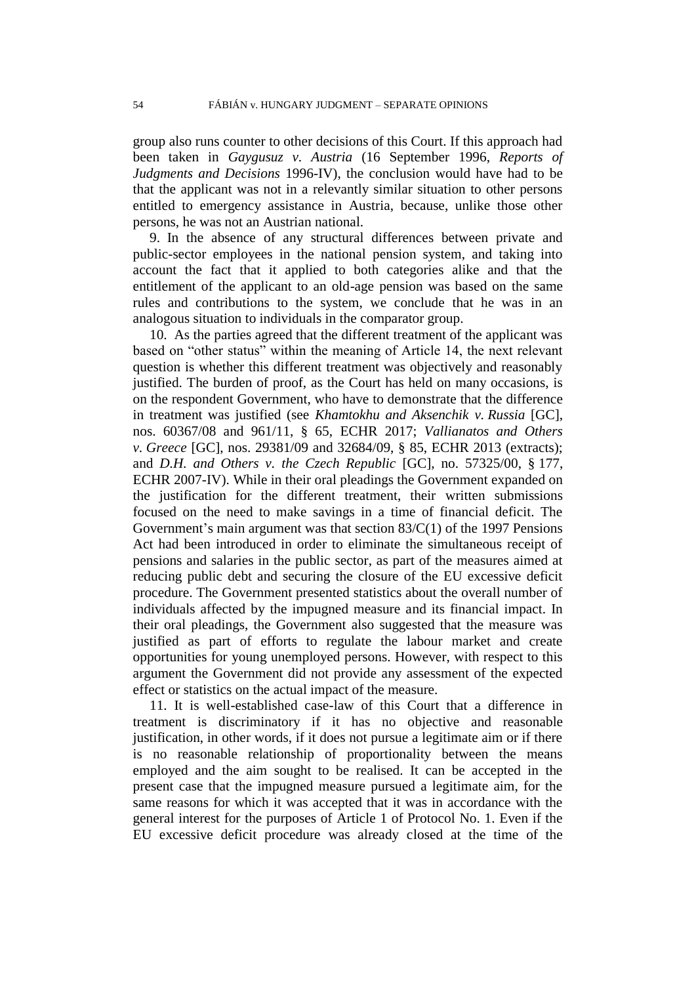group also runs counter to other decisions of this Court. If this approach had been taken in *Gaygusuz v. Austria* (16 September 1996, *Reports of Judgments and Decisions* 1996-IV), the conclusion would have had to be that the applicant was not in a relevantly similar situation to other persons entitled to emergency assistance in Austria, because, unlike those other persons, he was not an Austrian national.

9. In the absence of any structural differences between private and public-sector employees in the national pension system, and taking into account the fact that it applied to both categories alike and that the entitlement of the applicant to an old-age pension was based on the same rules and contributions to the system, we conclude that he was in an analogous situation to individuals in the comparator group.

10. As the parties agreed that the different treatment of the applicant was based on "other status" within the meaning of Article 14, the next relevant question is whether this different treatment was objectively and reasonably justified. The burden of proof, as the Court has held on many occasions, is on the respondent Government, who have to demonstrate that the difference in treatment was justified (see *Khamtokhu and Aksenchik v. Russia* [GC], nos. 60367/08 and 961/11, § 65, ECHR 2017; *Vallianatos and Others v. Greece* [GC], nos. 29381/09 and 32684/09, § 85, ECHR 2013 (extracts); and *D.H. and Others v. the Czech Republic* [GC], no. 57325/00, § 177, ECHR 2007-IV). While in their oral pleadings the Government expanded on the justification for the different treatment, their written submissions focused on the need to make savings in a time of financial deficit. The Government's main argument was that section 83/C(1) of the 1997 Pensions Act had been introduced in order to eliminate the simultaneous receipt of pensions and salaries in the public sector, as part of the measures aimed at reducing public debt and securing the closure of the EU excessive deficit procedure. The Government presented statistics about the overall number of individuals affected by the impugned measure and its financial impact. In their oral pleadings, the Government also suggested that the measure was justified as part of efforts to regulate the labour market and create opportunities for young unemployed persons. However, with respect to this argument the Government did not provide any assessment of the expected effect or statistics on the actual impact of the measure.

11. It is well-established case-law of this Court that a difference in treatment is discriminatory if it has no objective and reasonable justification, in other words, if it does not pursue a legitimate aim or if there is no reasonable relationship of proportionality between the means employed and the aim sought to be realised. It can be accepted in the present case that the impugned measure pursued a legitimate aim, for the same reasons for which it was accepted that it was in accordance with the general interest for the purposes of Article 1 of Protocol No. 1. Even if the EU excessive deficit procedure was already closed at the time of the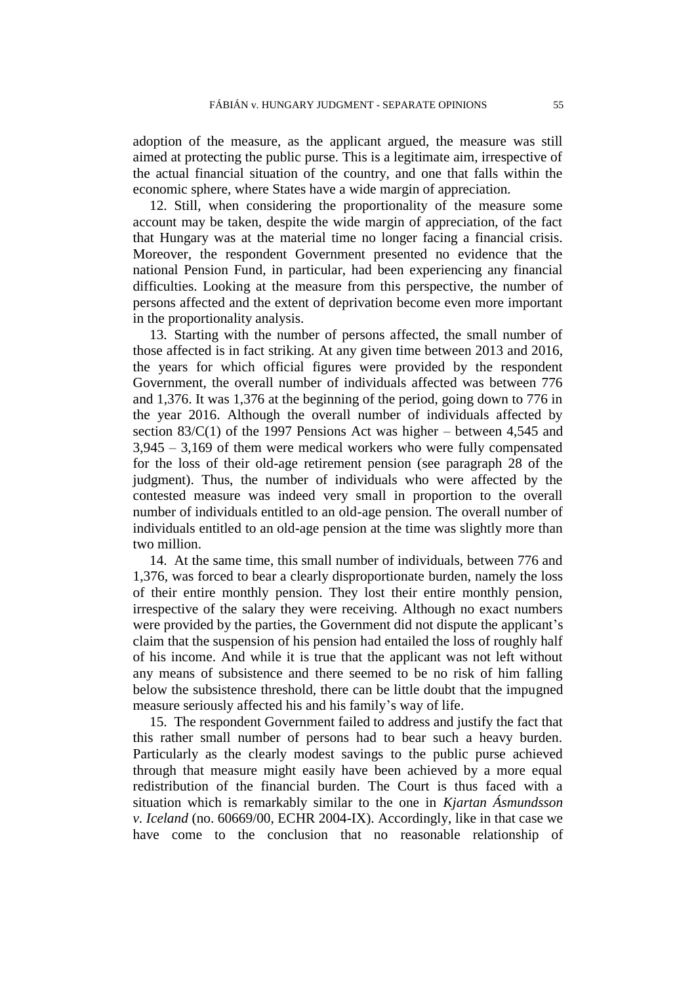adoption of the measure, as the applicant argued, the measure was still aimed at protecting the public purse. This is a legitimate aim, irrespective of the actual financial situation of the country, and one that falls within the economic sphere, where States have a wide margin of appreciation.

12. Still, when considering the proportionality of the measure some account may be taken, despite the wide margin of appreciation, of the fact that Hungary was at the material time no longer facing a financial crisis. Moreover, the respondent Government presented no evidence that the national Pension Fund, in particular, had been experiencing any financial difficulties. Looking at the measure from this perspective, the number of persons affected and the extent of deprivation become even more important in the proportionality analysis.

13. Starting with the number of persons affected, the small number of those affected is in fact striking. At any given time between 2013 and 2016, the years for which official figures were provided by the respondent Government, the overall number of individuals affected was between 776 and 1,376. It was 1,376 at the beginning of the period, going down to 776 in the year 2016. Although the overall number of individuals affected by section 83/C(1) of the 1997 Pensions Act was higher – between 4,545 and 3,945 – 3,169 of them were medical workers who were fully compensated for the loss of their old-age retirement pension (see paragraph 28 of the judgment). Thus, the number of individuals who were affected by the contested measure was indeed very small in proportion to the overall number of individuals entitled to an old-age pension. The overall number of individuals entitled to an old-age pension at the time was slightly more than two million.

14. At the same time, this small number of individuals, between 776 and 1,376, was forced to bear a clearly disproportionate burden, namely the loss of their entire monthly pension. They lost their entire monthly pension, irrespective of the salary they were receiving. Although no exact numbers were provided by the parties, the Government did not dispute the applicant's claim that the suspension of his pension had entailed the loss of roughly half of his income. And while it is true that the applicant was not left without any means of subsistence and there seemed to be no risk of him falling below the subsistence threshold, there can be little doubt that the impugned measure seriously affected his and his family's way of life.

15. The respondent Government failed to address and justify the fact that this rather small number of persons had to bear such a heavy burden. Particularly as the clearly modest savings to the public purse achieved through that measure might easily have been achieved by a more equal redistribution of the financial burden. The Court is thus faced with a situation which is remarkably similar to the one in *Kjartan Ásmundsson v. Iceland* (no. 60669/00, ECHR 2004-IX). Accordingly, like in that case we have come to the conclusion that no reasonable relationship of